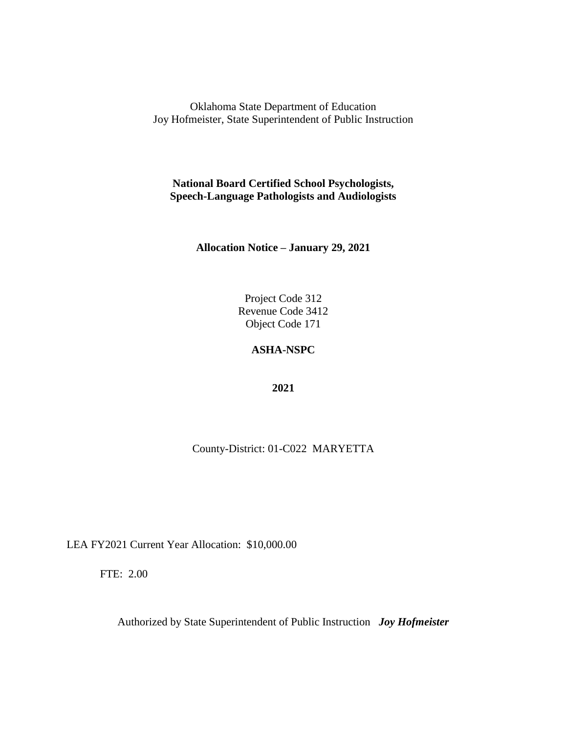**National Board Certified School Psychologists, Speech-Language Pathologists and Audiologists**

**Allocation Notice – January 29, 2021**

Project Code 312 Revenue Code 3412 Object Code 171

# **ASHA-NSPC**

**2021**

County-District: 01-C022 MARYETTA

LEA FY2021 Current Year Allocation: \$10,000.00

FTE: 2.00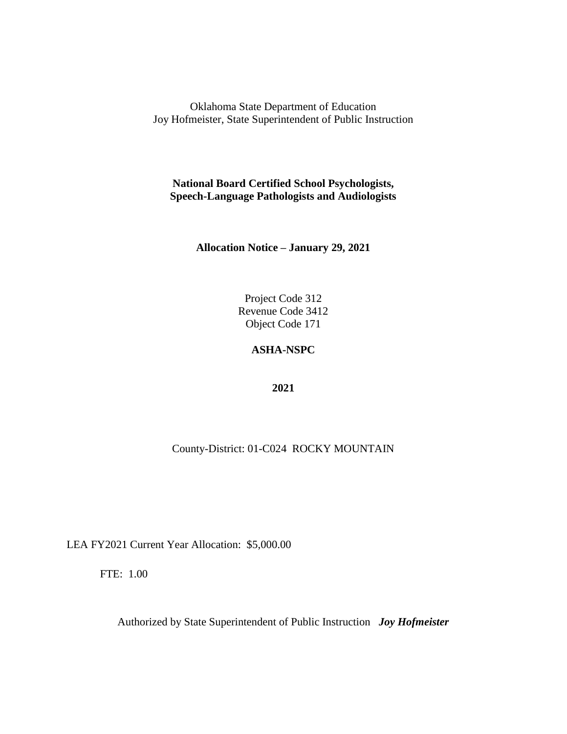**National Board Certified School Psychologists, Speech-Language Pathologists and Audiologists**

**Allocation Notice – January 29, 2021**

Project Code 312 Revenue Code 3412 Object Code 171

# **ASHA-NSPC**

**2021**

County-District: 01-C024 ROCKY MOUNTAIN

LEA FY2021 Current Year Allocation: \$5,000.00

FTE: 1.00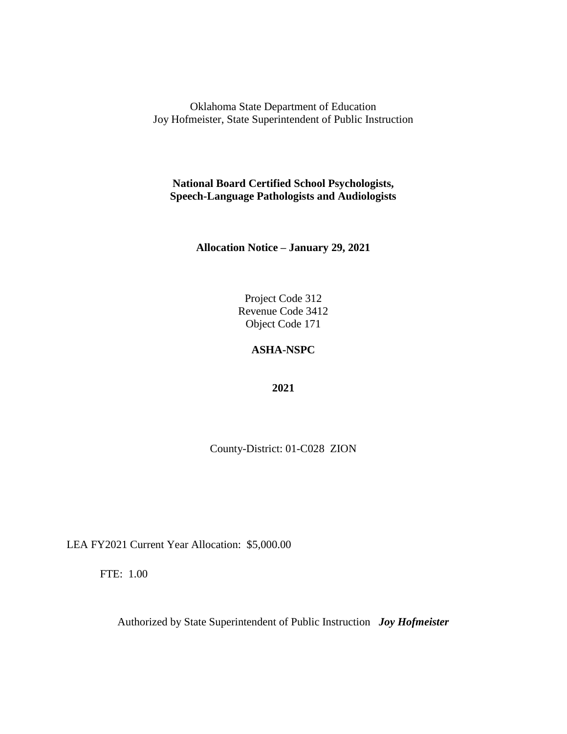**National Board Certified School Psychologists, Speech-Language Pathologists and Audiologists**

**Allocation Notice – January 29, 2021**

Project Code 312 Revenue Code 3412 Object Code 171

### **ASHA-NSPC**

**2021**

County-District: 01-C028 ZION

LEA FY2021 Current Year Allocation: \$5,000.00

FTE: 1.00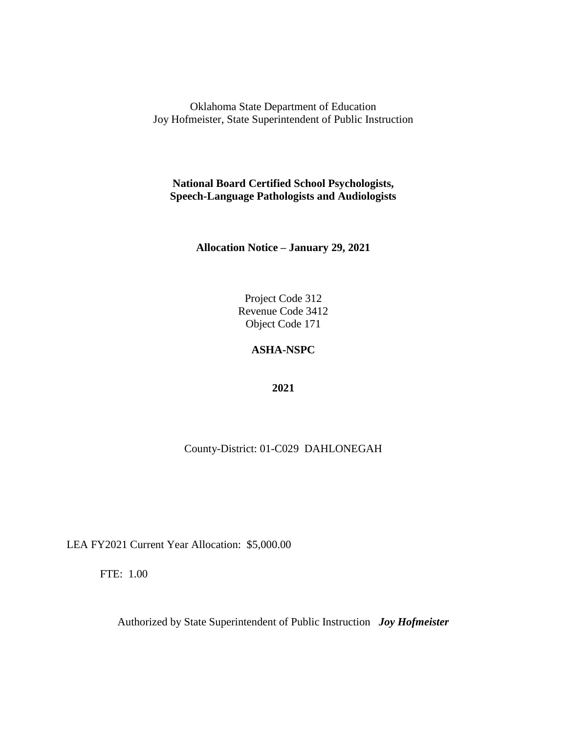**National Board Certified School Psychologists, Speech-Language Pathologists and Audiologists**

**Allocation Notice – January 29, 2021**

Project Code 312 Revenue Code 3412 Object Code 171

# **ASHA-NSPC**

**2021**

County-District: 01-C029 DAHLONEGAH

LEA FY2021 Current Year Allocation: \$5,000.00

FTE: 1.00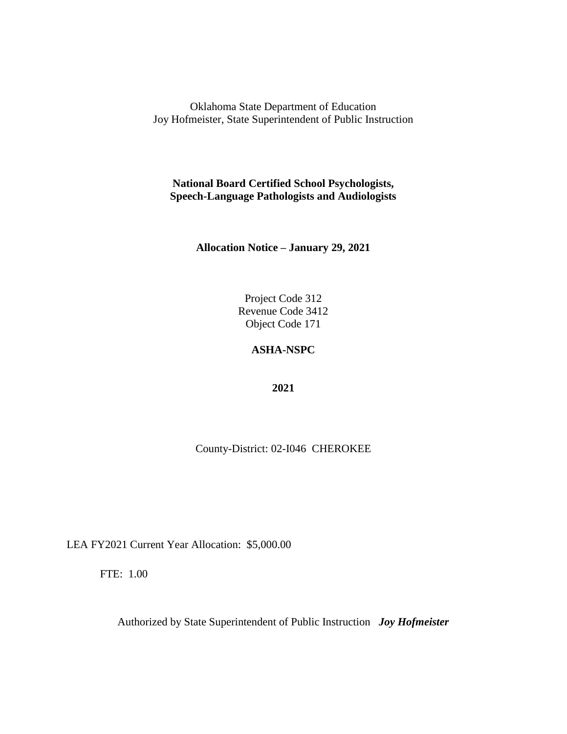**National Board Certified School Psychologists, Speech-Language Pathologists and Audiologists**

**Allocation Notice – January 29, 2021**

Project Code 312 Revenue Code 3412 Object Code 171

### **ASHA-NSPC**

**2021**

County-District: 02-I046 CHEROKEE

LEA FY2021 Current Year Allocation: \$5,000.00

FTE: 1.00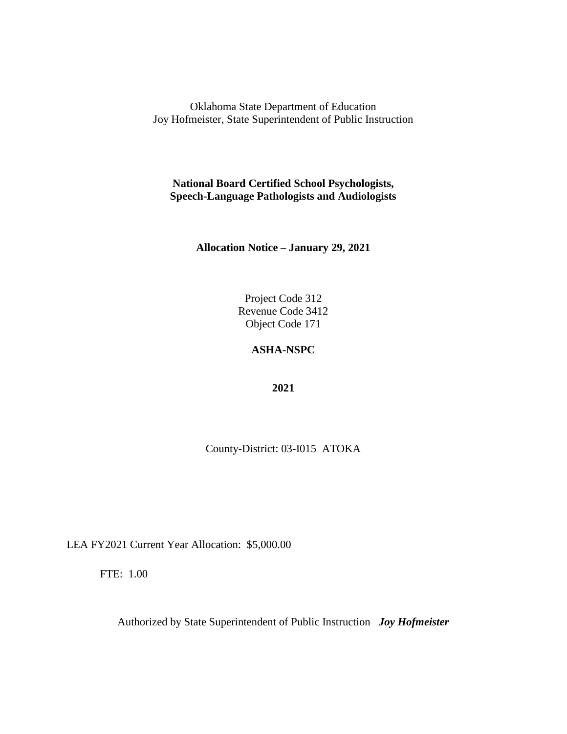**National Board Certified School Psychologists, Speech-Language Pathologists and Audiologists**

**Allocation Notice – January 29, 2021**

Project Code 312 Revenue Code 3412 Object Code 171

### **ASHA-NSPC**

**2021**

County-District: 03-I015 ATOKA

LEA FY2021 Current Year Allocation: \$5,000.00

FTE: 1.00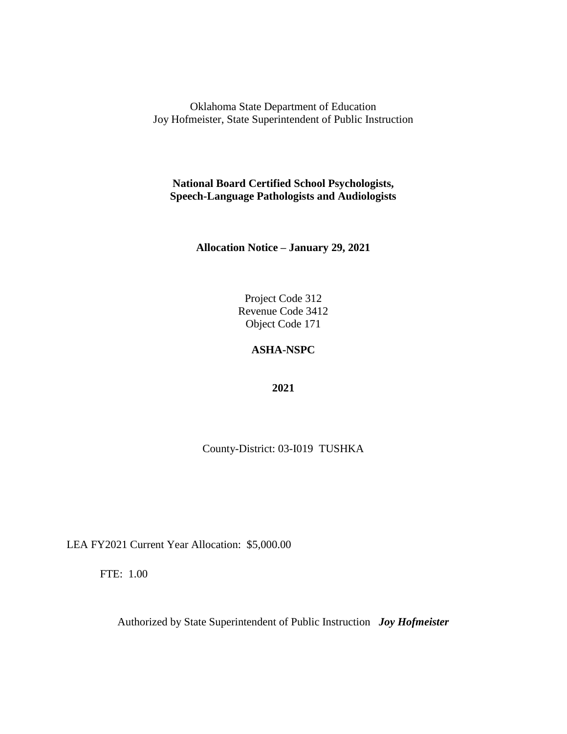**National Board Certified School Psychologists, Speech-Language Pathologists and Audiologists**

**Allocation Notice – January 29, 2021**

Project Code 312 Revenue Code 3412 Object Code 171

# **ASHA-NSPC**

**2021**

County-District: 03-I019 TUSHKA

LEA FY2021 Current Year Allocation: \$5,000.00

FTE: 1.00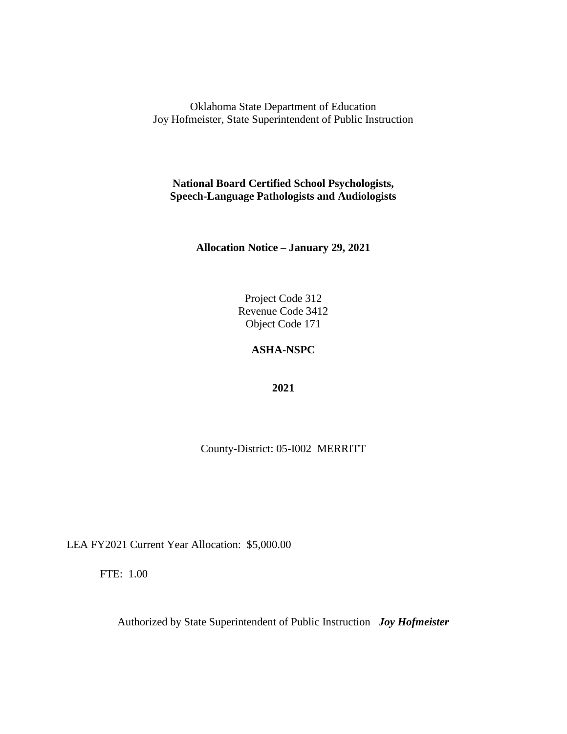**National Board Certified School Psychologists, Speech-Language Pathologists and Audiologists**

**Allocation Notice – January 29, 2021**

Project Code 312 Revenue Code 3412 Object Code 171

### **ASHA-NSPC**

**2021**

County-District: 05-I002 MERRITT

LEA FY2021 Current Year Allocation: \$5,000.00

FTE: 1.00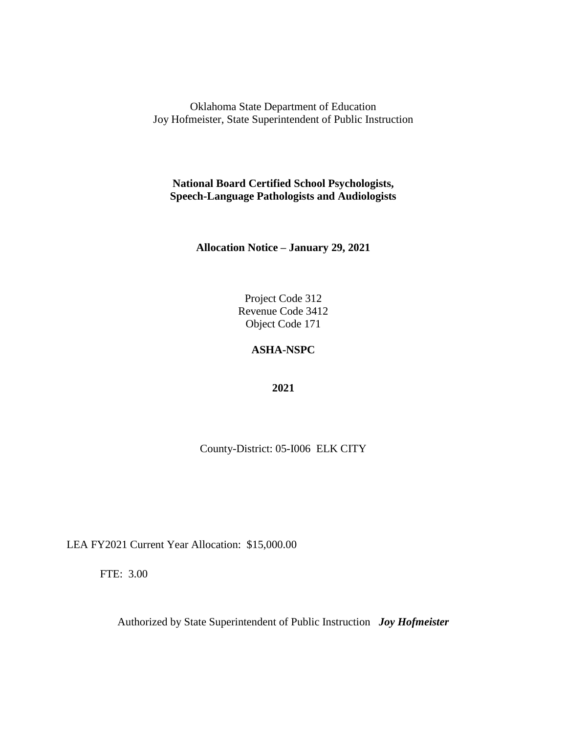**National Board Certified School Psychologists, Speech-Language Pathologists and Audiologists**

**Allocation Notice – January 29, 2021**

Project Code 312 Revenue Code 3412 Object Code 171

# **ASHA-NSPC**

**2021**

County-District: 05-I006 ELK CITY

LEA FY2021 Current Year Allocation: \$15,000.00

FTE: 3.00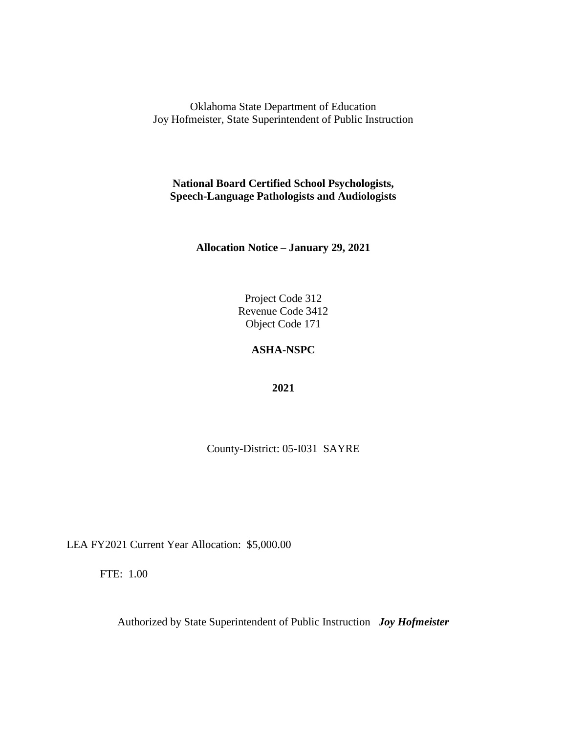**National Board Certified School Psychologists, Speech-Language Pathologists and Audiologists**

**Allocation Notice – January 29, 2021**

Project Code 312 Revenue Code 3412 Object Code 171

### **ASHA-NSPC**

**2021**

County-District: 05-I031 SAYRE

LEA FY2021 Current Year Allocation: \$5,000.00

FTE: 1.00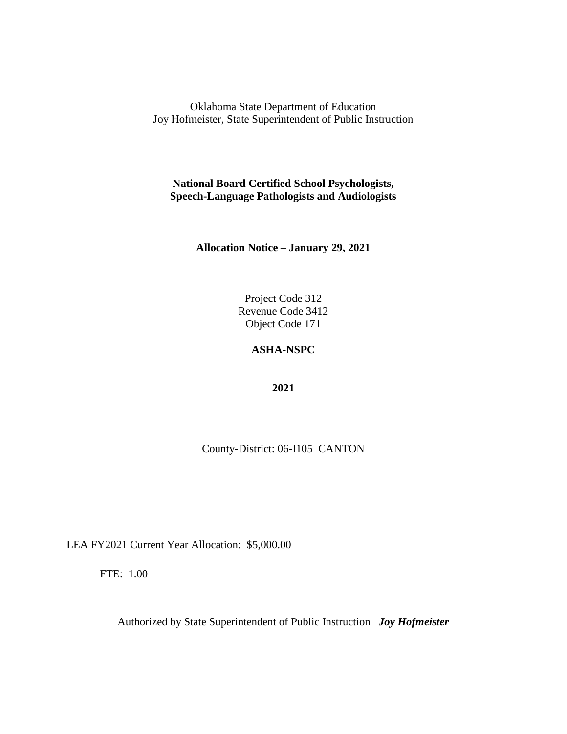**National Board Certified School Psychologists, Speech-Language Pathologists and Audiologists**

**Allocation Notice – January 29, 2021**

Project Code 312 Revenue Code 3412 Object Code 171

# **ASHA-NSPC**

**2021**

County-District: 06-I105 CANTON

LEA FY2021 Current Year Allocation: \$5,000.00

FTE: 1.00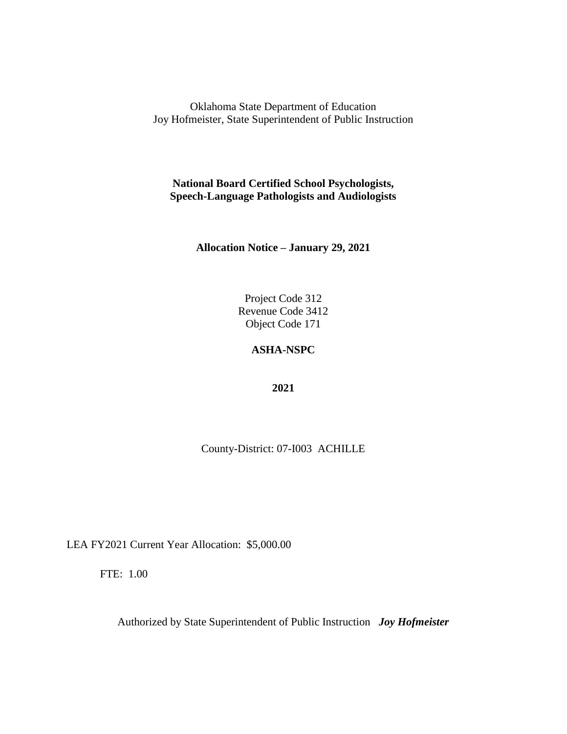**National Board Certified School Psychologists, Speech-Language Pathologists and Audiologists**

**Allocation Notice – January 29, 2021**

Project Code 312 Revenue Code 3412 Object Code 171

# **ASHA-NSPC**

**2021**

County-District: 07-I003 ACHILLE

LEA FY2021 Current Year Allocation: \$5,000.00

FTE: 1.00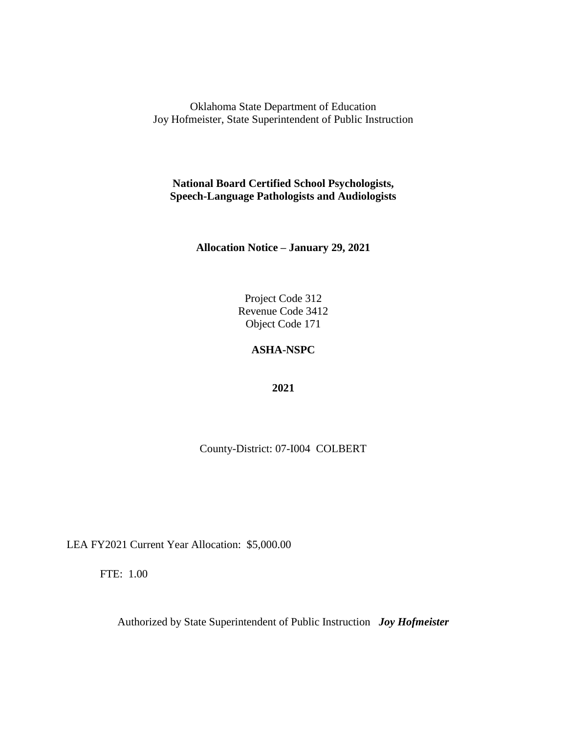**National Board Certified School Psychologists, Speech-Language Pathologists and Audiologists**

**Allocation Notice – January 29, 2021**

Project Code 312 Revenue Code 3412 Object Code 171

# **ASHA-NSPC**

**2021**

County-District: 07-I004 COLBERT

LEA FY2021 Current Year Allocation: \$5,000.00

FTE: 1.00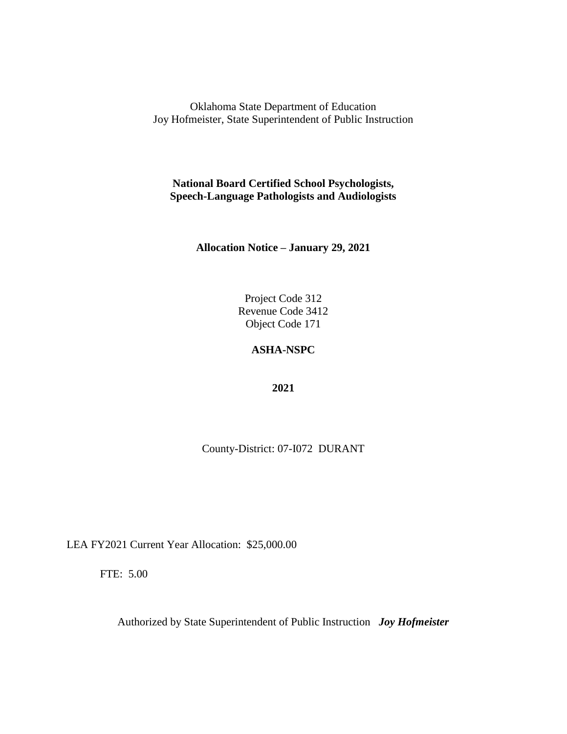**National Board Certified School Psychologists, Speech-Language Pathologists and Audiologists**

**Allocation Notice – January 29, 2021**

Project Code 312 Revenue Code 3412 Object Code 171

# **ASHA-NSPC**

**2021**

County-District: 07-I072 DURANT

LEA FY2021 Current Year Allocation: \$25,000.00

FTE: 5.00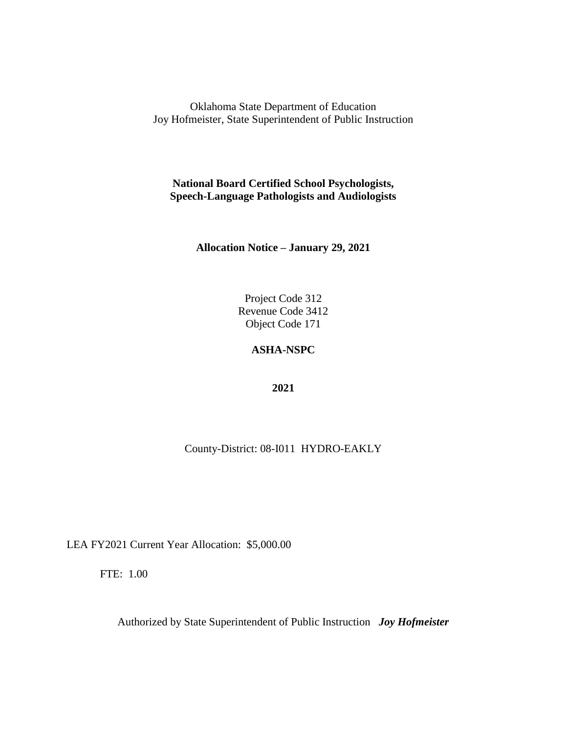**National Board Certified School Psychologists, Speech-Language Pathologists and Audiologists**

**Allocation Notice – January 29, 2021**

Project Code 312 Revenue Code 3412 Object Code 171

# **ASHA-NSPC**

**2021**

County-District: 08-I011 HYDRO-EAKLY

LEA FY2021 Current Year Allocation: \$5,000.00

FTE: 1.00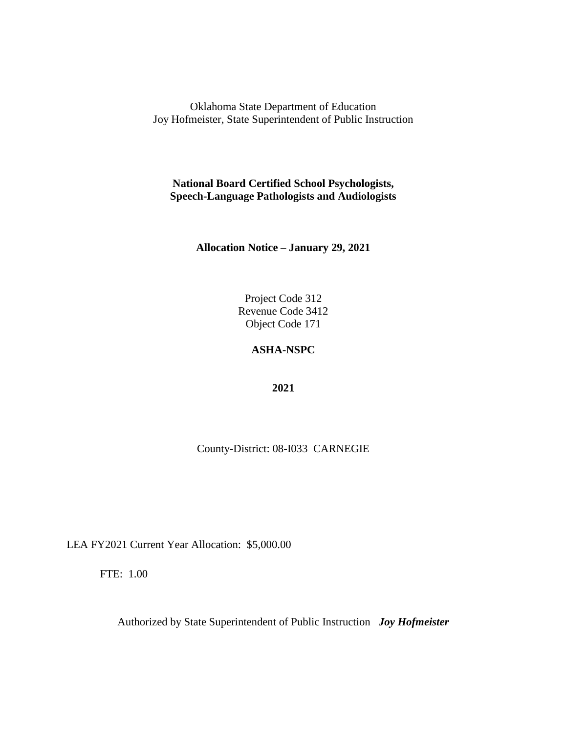**National Board Certified School Psychologists, Speech-Language Pathologists and Audiologists**

**Allocation Notice – January 29, 2021**

Project Code 312 Revenue Code 3412 Object Code 171

# **ASHA-NSPC**

**2021**

County-District: 08-I033 CARNEGIE

LEA FY2021 Current Year Allocation: \$5,000.00

FTE: 1.00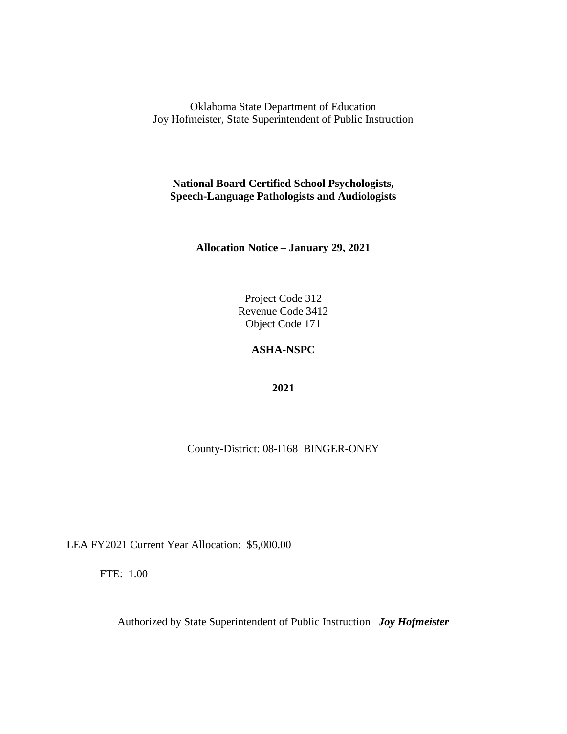**National Board Certified School Psychologists, Speech-Language Pathologists and Audiologists**

**Allocation Notice – January 29, 2021**

Project Code 312 Revenue Code 3412 Object Code 171

# **ASHA-NSPC**

**2021**

County-District: 08-I168 BINGER-ONEY

LEA FY2021 Current Year Allocation: \$5,000.00

FTE: 1.00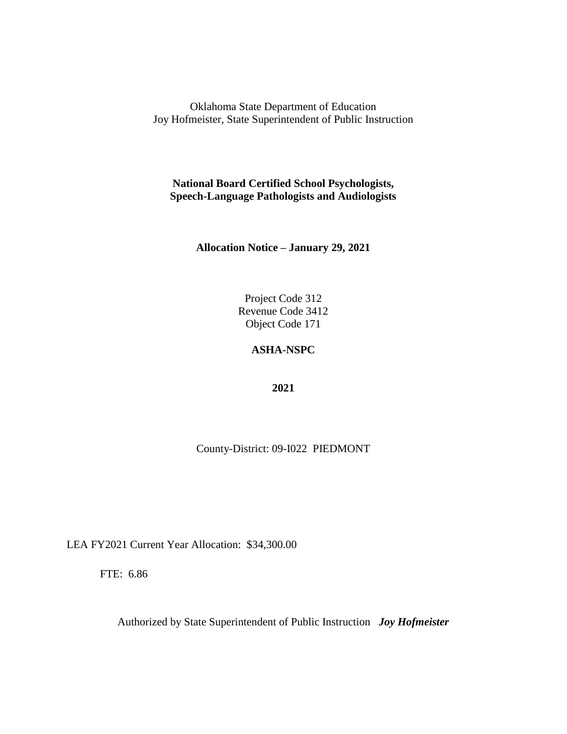**National Board Certified School Psychologists, Speech-Language Pathologists and Audiologists**

**Allocation Notice – January 29, 2021**

Project Code 312 Revenue Code 3412 Object Code 171

# **ASHA-NSPC**

**2021**

County-District: 09-I022 PIEDMONT

LEA FY2021 Current Year Allocation: \$34,300.00

FTE: 6.86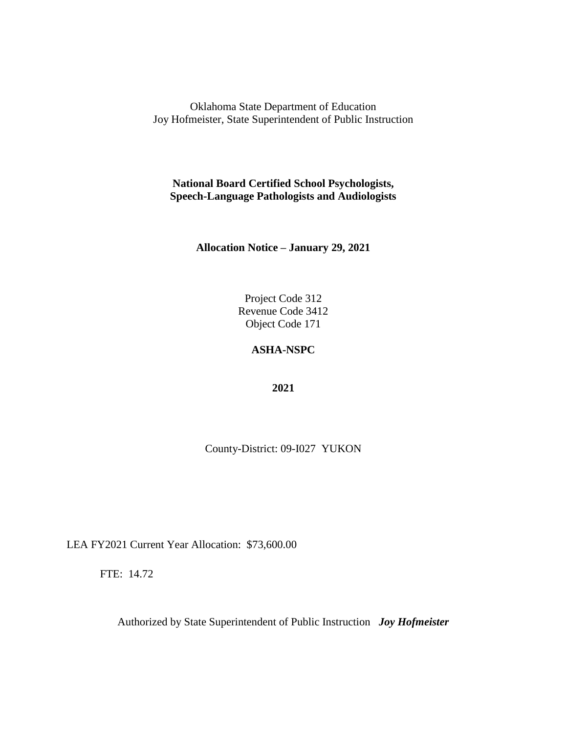**National Board Certified School Psychologists, Speech-Language Pathologists and Audiologists**

**Allocation Notice – January 29, 2021**

Project Code 312 Revenue Code 3412 Object Code 171

### **ASHA-NSPC**

**2021**

County-District: 09-I027 YUKON

LEA FY2021 Current Year Allocation: \$73,600.00

FTE: 14.72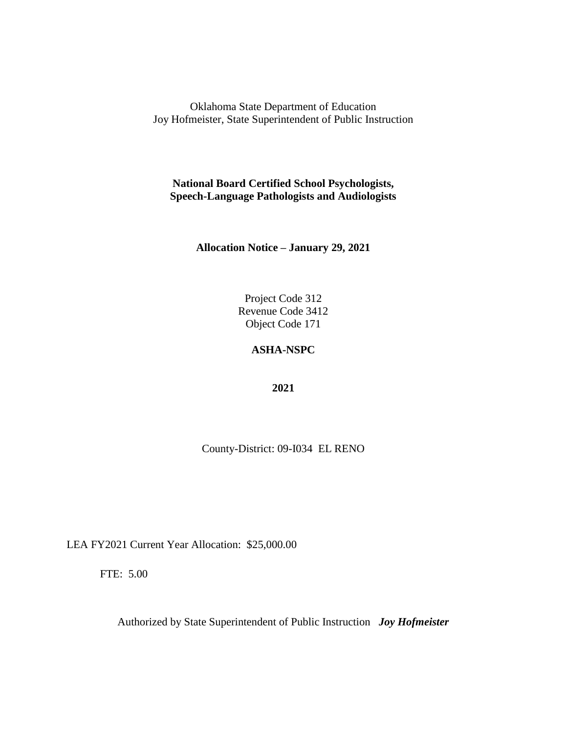**National Board Certified School Psychologists, Speech-Language Pathologists and Audiologists**

**Allocation Notice – January 29, 2021**

Project Code 312 Revenue Code 3412 Object Code 171

### **ASHA-NSPC**

**2021**

County-District: 09-I034 EL RENO

LEA FY2021 Current Year Allocation: \$25,000.00

FTE: 5.00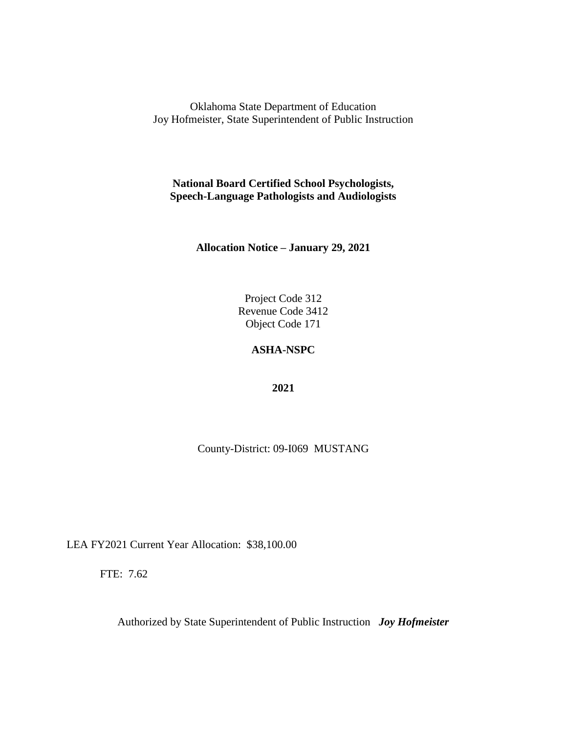**National Board Certified School Psychologists, Speech-Language Pathologists and Audiologists**

**Allocation Notice – January 29, 2021**

Project Code 312 Revenue Code 3412 Object Code 171

# **ASHA-NSPC**

**2021**

County-District: 09-I069 MUSTANG

LEA FY2021 Current Year Allocation: \$38,100.00

FTE: 7.62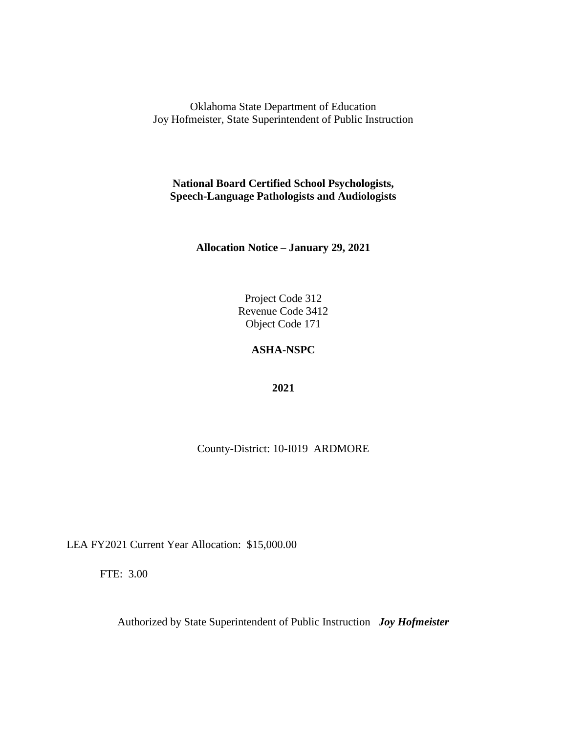**National Board Certified School Psychologists, Speech-Language Pathologists and Audiologists**

**Allocation Notice – January 29, 2021**

Project Code 312 Revenue Code 3412 Object Code 171

# **ASHA-NSPC**

**2021**

County-District: 10-I019 ARDMORE

LEA FY2021 Current Year Allocation: \$15,000.00

FTE: 3.00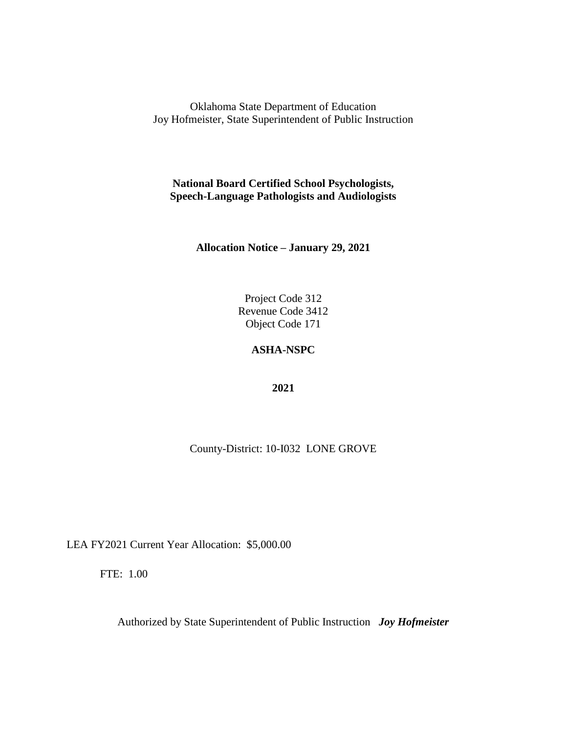**National Board Certified School Psychologists, Speech-Language Pathologists and Audiologists**

**Allocation Notice – January 29, 2021**

Project Code 312 Revenue Code 3412 Object Code 171

# **ASHA-NSPC**

**2021**

County-District: 10-I032 LONE GROVE

LEA FY2021 Current Year Allocation: \$5,000.00

FTE: 1.00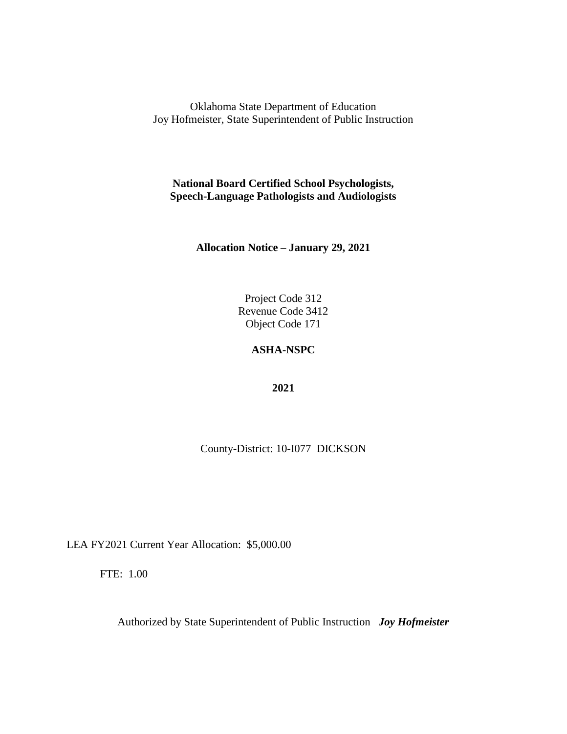**National Board Certified School Psychologists, Speech-Language Pathologists and Audiologists**

**Allocation Notice – January 29, 2021**

Project Code 312 Revenue Code 3412 Object Code 171

### **ASHA-NSPC**

**2021**

County-District: 10-I077 DICKSON

LEA FY2021 Current Year Allocation: \$5,000.00

FTE: 1.00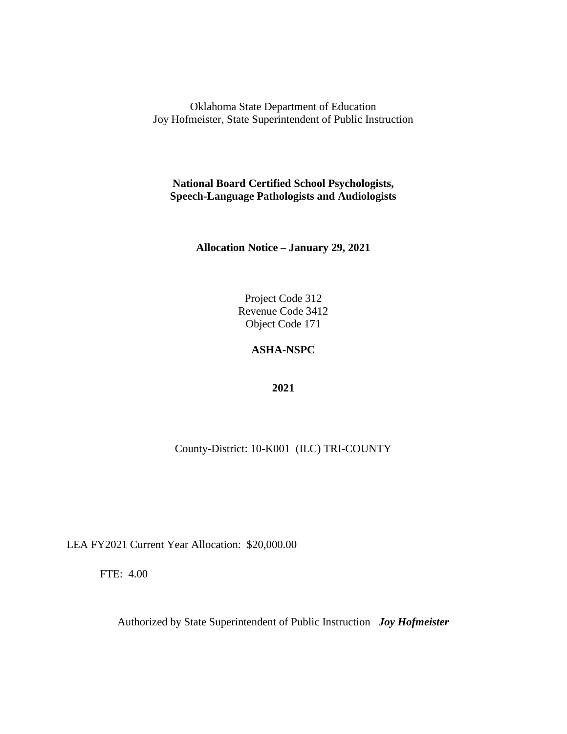**National Board Certified School Psychologists, Speech-Language Pathologists and Audiologists**

**Allocation Notice – January 29, 2021**

Project Code 312 Revenue Code 3412 Object Code 171

# **ASHA-NSPC**

**2021**

County-District: 10-K001 (ILC) TRI-COUNTY

LEA FY2021 Current Year Allocation: \$20,000.00

FTE: 4.00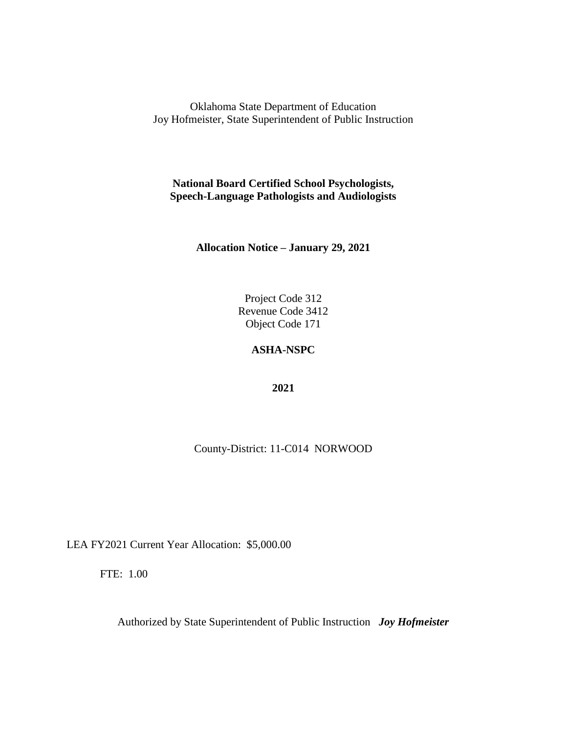**National Board Certified School Psychologists, Speech-Language Pathologists and Audiologists**

**Allocation Notice – January 29, 2021**

Project Code 312 Revenue Code 3412 Object Code 171

# **ASHA-NSPC**

**2021**

County-District: 11-C014 NORWOOD

LEA FY2021 Current Year Allocation: \$5,000.00

FTE: 1.00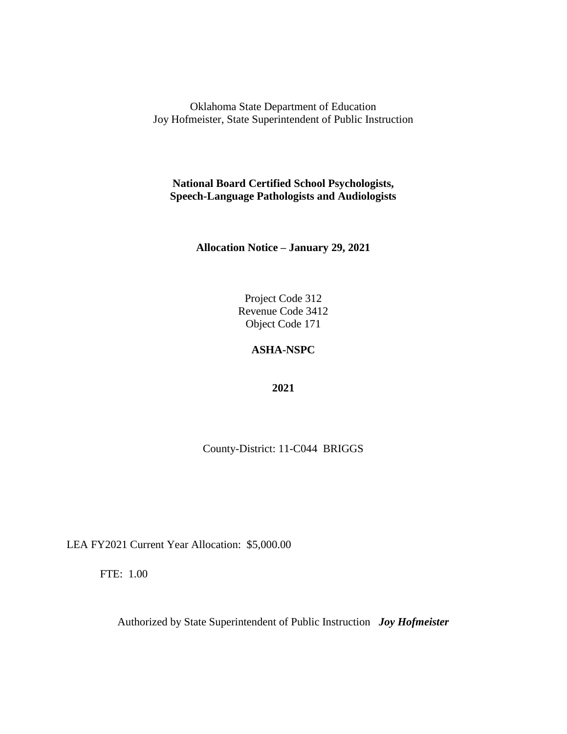**National Board Certified School Psychologists, Speech-Language Pathologists and Audiologists**

**Allocation Notice – January 29, 2021**

Project Code 312 Revenue Code 3412 Object Code 171

# **ASHA-NSPC**

**2021**

County-District: 11-C044 BRIGGS

LEA FY2021 Current Year Allocation: \$5,000.00

FTE: 1.00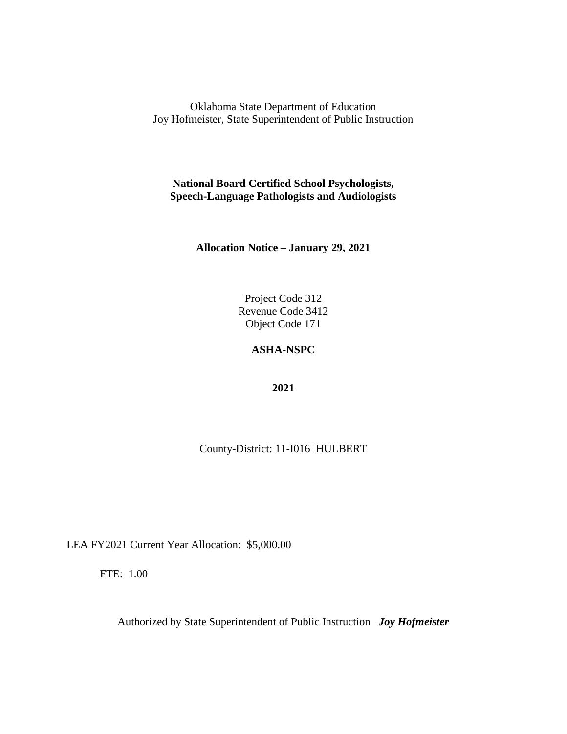**National Board Certified School Psychologists, Speech-Language Pathologists and Audiologists**

**Allocation Notice – January 29, 2021**

Project Code 312 Revenue Code 3412 Object Code 171

### **ASHA-NSPC**

**2021**

County-District: 11-I016 HULBERT

LEA FY2021 Current Year Allocation: \$5,000.00

FTE: 1.00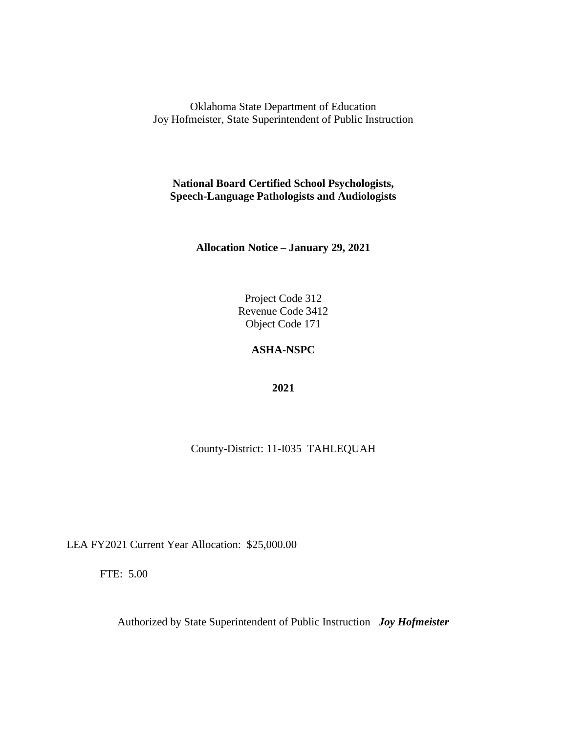**National Board Certified School Psychologists, Speech-Language Pathologists and Audiologists**

**Allocation Notice – January 29, 2021**

Project Code 312 Revenue Code 3412 Object Code 171

# **ASHA-NSPC**

**2021**

County-District: 11-I035 TAHLEQUAH

LEA FY2021 Current Year Allocation: \$25,000.00

FTE: 5.00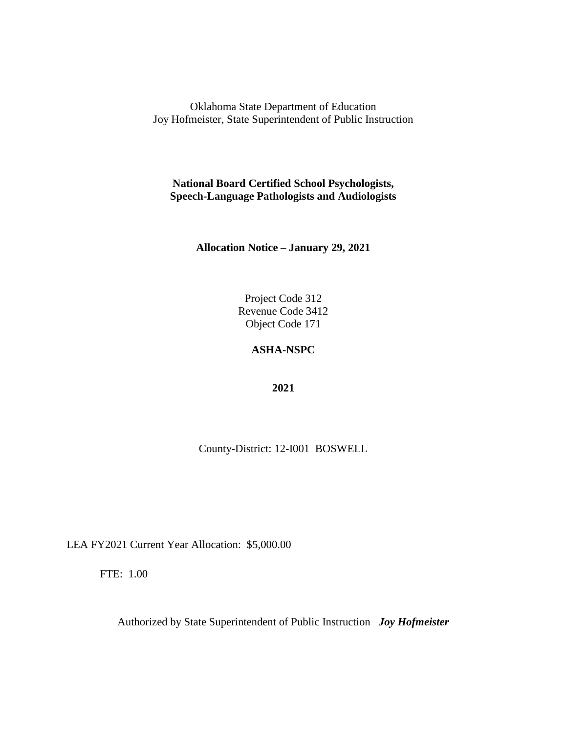**National Board Certified School Psychologists, Speech-Language Pathologists and Audiologists**

**Allocation Notice – January 29, 2021**

Project Code 312 Revenue Code 3412 Object Code 171

### **ASHA-NSPC**

**2021**

County-District: 12-I001 BOSWELL

LEA FY2021 Current Year Allocation: \$5,000.00

FTE: 1.00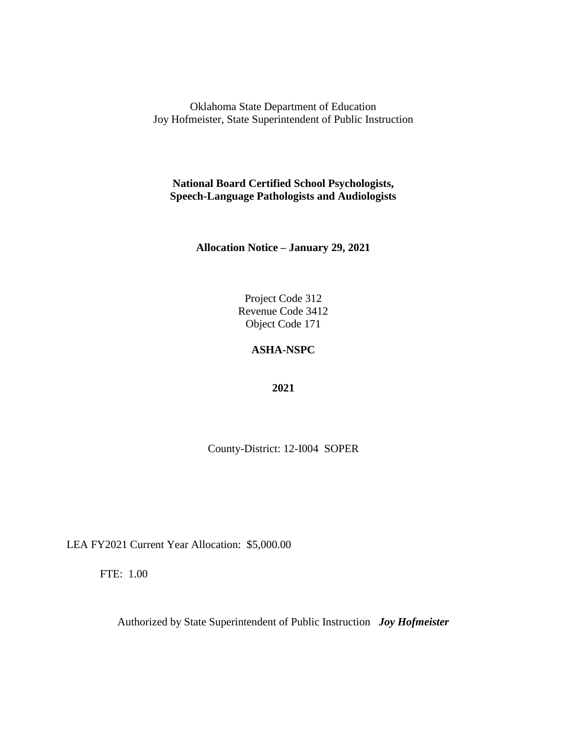**National Board Certified School Psychologists, Speech-Language Pathologists and Audiologists**

**Allocation Notice – January 29, 2021**

Project Code 312 Revenue Code 3412 Object Code 171

### **ASHA-NSPC**

**2021**

County-District: 12-I004 SOPER

LEA FY2021 Current Year Allocation: \$5,000.00

FTE: 1.00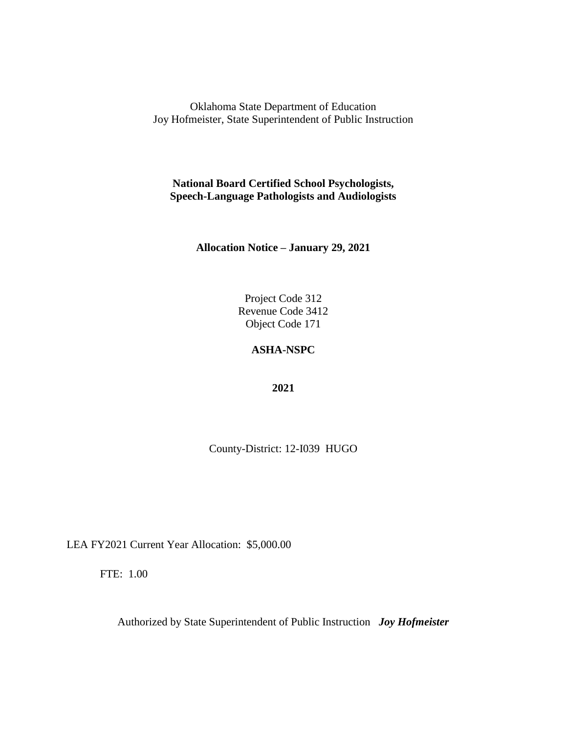**National Board Certified School Psychologists, Speech-Language Pathologists and Audiologists**

**Allocation Notice – January 29, 2021**

Project Code 312 Revenue Code 3412 Object Code 171

### **ASHA-NSPC**

**2021**

County-District: 12-I039 HUGO

LEA FY2021 Current Year Allocation: \$5,000.00

FTE: 1.00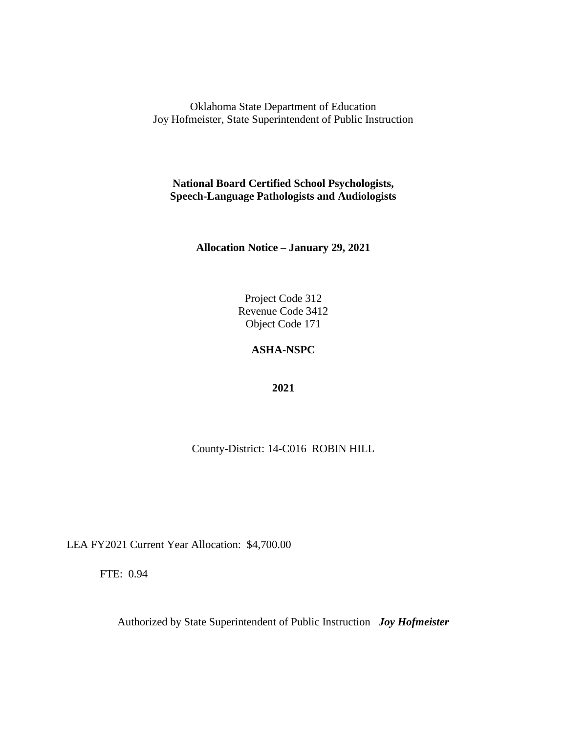**National Board Certified School Psychologists, Speech-Language Pathologists and Audiologists**

**Allocation Notice – January 29, 2021**

Project Code 312 Revenue Code 3412 Object Code 171

# **ASHA-NSPC**

**2021**

County-District: 14-C016 ROBIN HILL

LEA FY2021 Current Year Allocation: \$4,700.00

FTE: 0.94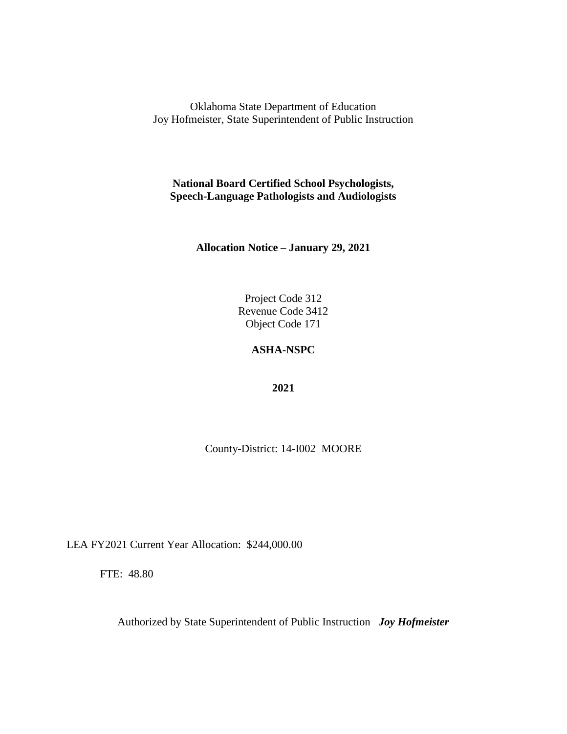**National Board Certified School Psychologists, Speech-Language Pathologists and Audiologists**

**Allocation Notice – January 29, 2021**

Project Code 312 Revenue Code 3412 Object Code 171

# **ASHA-NSPC**

**2021**

County-District: 14-I002 MOORE

LEA FY2021 Current Year Allocation: \$244,000.00

FTE: 48.80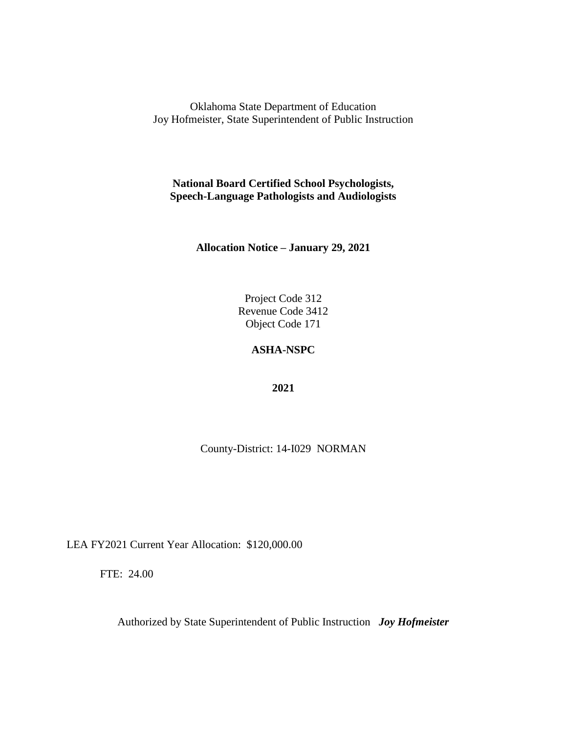**National Board Certified School Psychologists, Speech-Language Pathologists and Audiologists**

**Allocation Notice – January 29, 2021**

Project Code 312 Revenue Code 3412 Object Code 171

### **ASHA-NSPC**

**2021**

County-District: 14-I029 NORMAN

LEA FY2021 Current Year Allocation: \$120,000.00

FTE: 24.00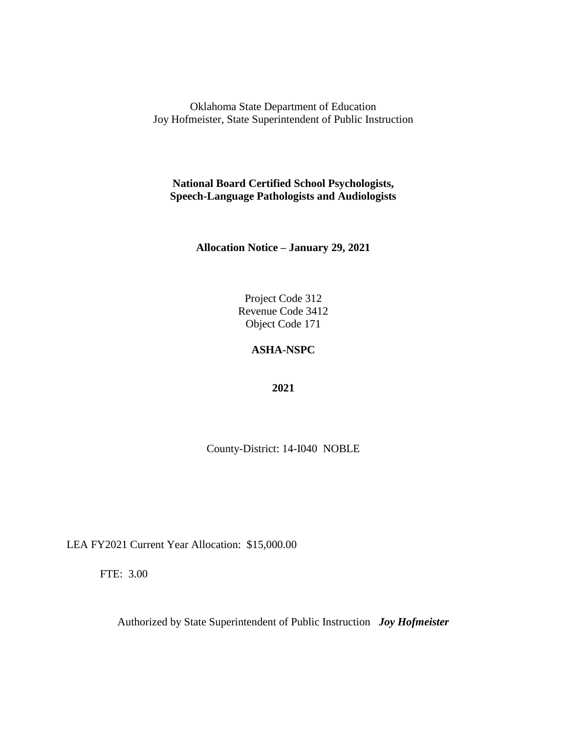**National Board Certified School Psychologists, Speech-Language Pathologists and Audiologists**

**Allocation Notice – January 29, 2021**

Project Code 312 Revenue Code 3412 Object Code 171

### **ASHA-NSPC**

**2021**

County-District: 14-I040 NOBLE

LEA FY2021 Current Year Allocation: \$15,000.00

FTE: 3.00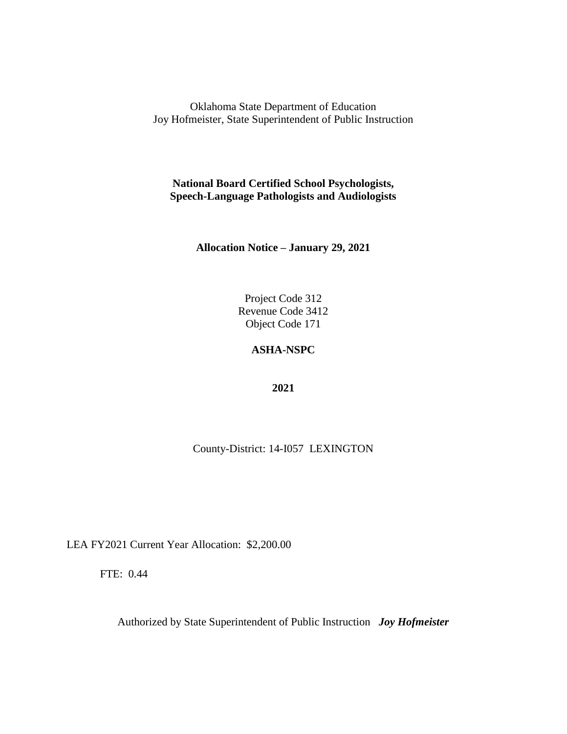**National Board Certified School Psychologists, Speech-Language Pathologists and Audiologists**

**Allocation Notice – January 29, 2021**

Project Code 312 Revenue Code 3412 Object Code 171

# **ASHA-NSPC**

**2021**

County-District: 14-I057 LEXINGTON

LEA FY2021 Current Year Allocation: \$2,200.00

FTE: 0.44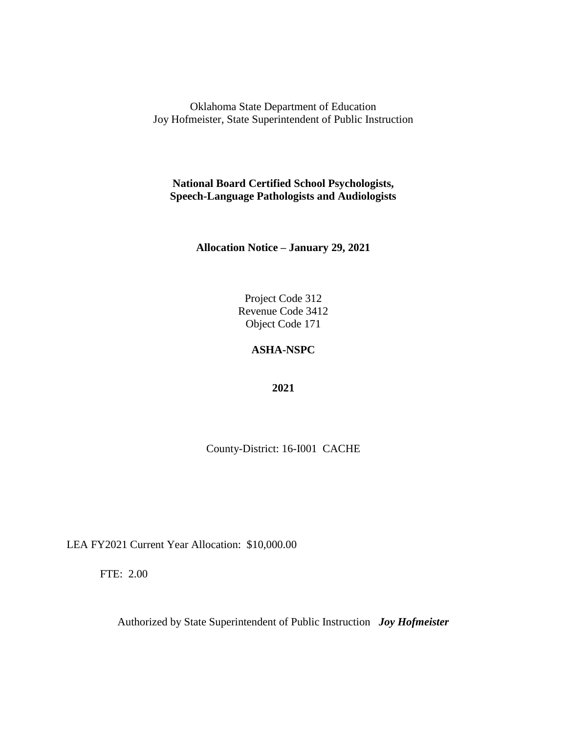**National Board Certified School Psychologists, Speech-Language Pathologists and Audiologists**

**Allocation Notice – January 29, 2021**

Project Code 312 Revenue Code 3412 Object Code 171

# **ASHA-NSPC**

**2021**

County-District: 16-I001 CACHE

LEA FY2021 Current Year Allocation: \$10,000.00

FTE: 2.00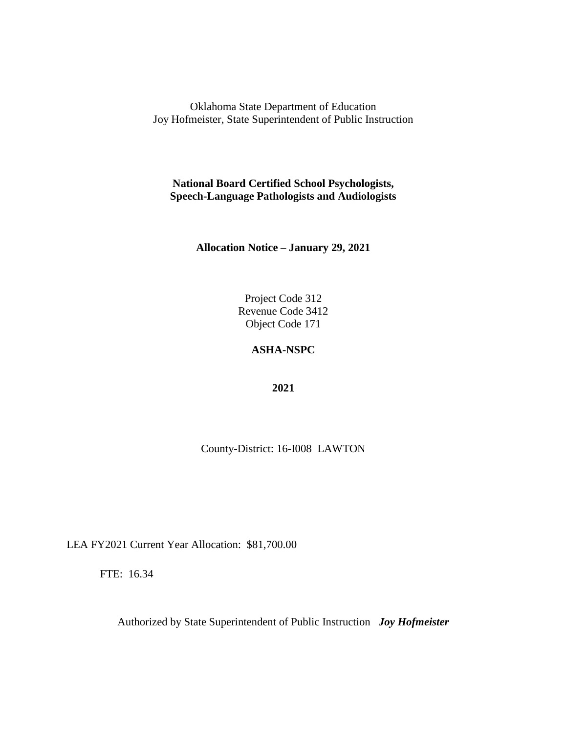**National Board Certified School Psychologists, Speech-Language Pathologists and Audiologists**

**Allocation Notice – January 29, 2021**

Project Code 312 Revenue Code 3412 Object Code 171

## **ASHA-NSPC**

**2021**

County-District: 16-I008 LAWTON

LEA FY2021 Current Year Allocation: \$81,700.00

FTE: 16.34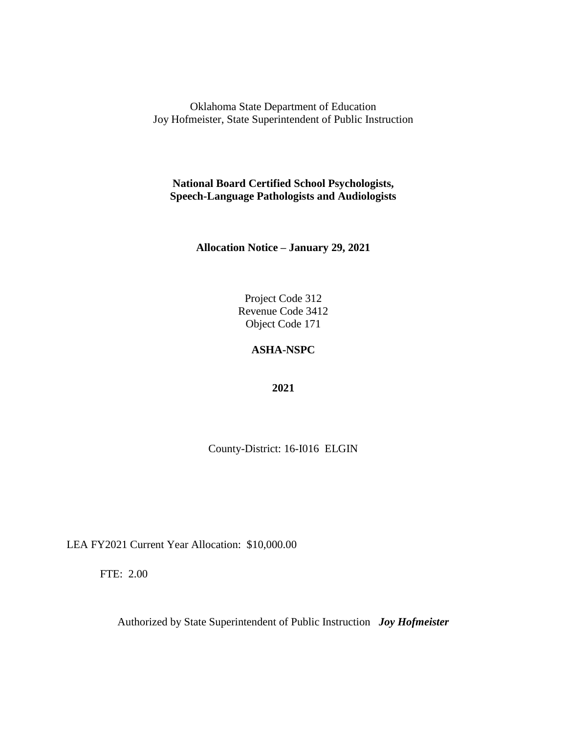**National Board Certified School Psychologists, Speech-Language Pathologists and Audiologists**

**Allocation Notice – January 29, 2021**

Project Code 312 Revenue Code 3412 Object Code 171

## **ASHA-NSPC**

**2021**

County-District: 16-I016 ELGIN

LEA FY2021 Current Year Allocation: \$10,000.00

FTE: 2.00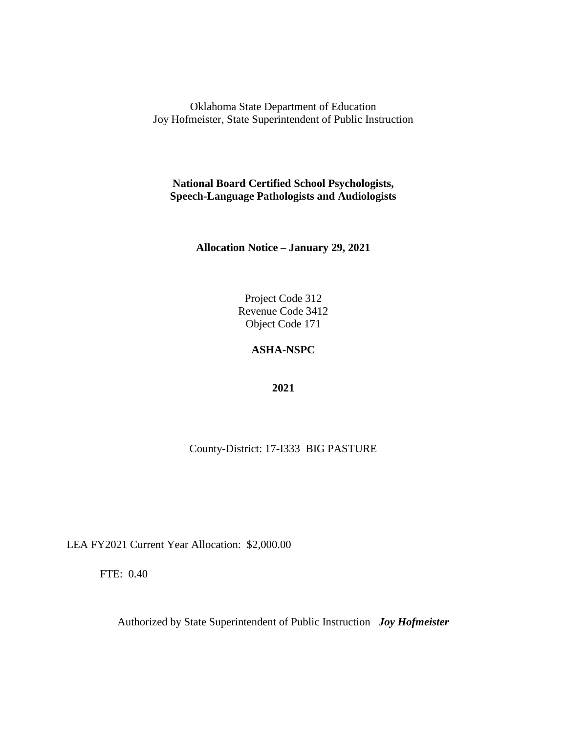**National Board Certified School Psychologists, Speech-Language Pathologists and Audiologists**

**Allocation Notice – January 29, 2021**

Project Code 312 Revenue Code 3412 Object Code 171

# **ASHA-NSPC**

**2021**

County-District: 17-I333 BIG PASTURE

LEA FY2021 Current Year Allocation: \$2,000.00

FTE: 0.40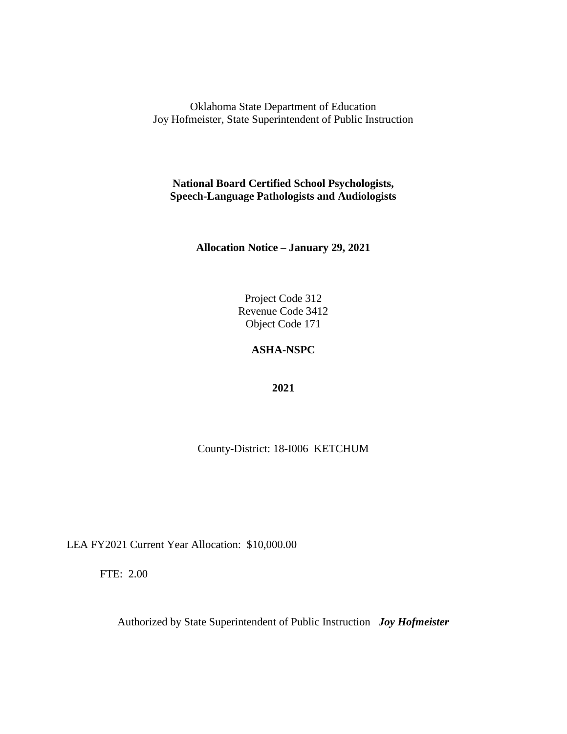**National Board Certified School Psychologists, Speech-Language Pathologists and Audiologists**

**Allocation Notice – January 29, 2021**

Project Code 312 Revenue Code 3412 Object Code 171

# **ASHA-NSPC**

**2021**

County-District: 18-I006 KETCHUM

LEA FY2021 Current Year Allocation: \$10,000.00

FTE: 2.00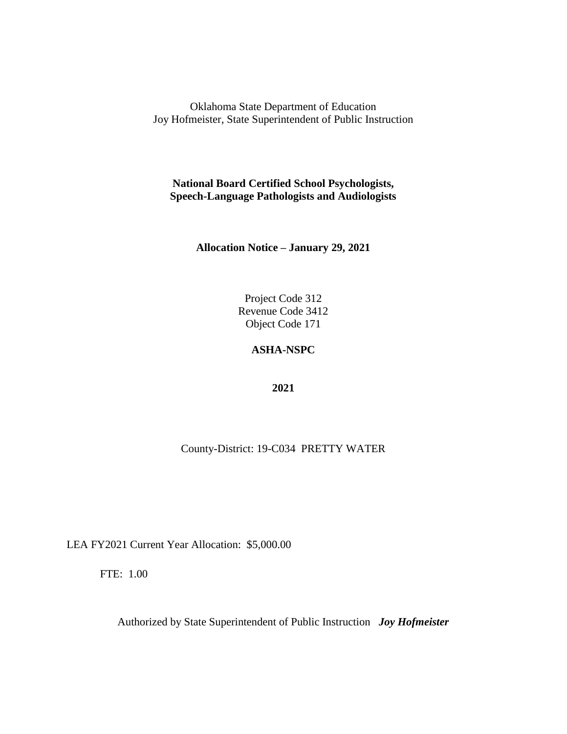**National Board Certified School Psychologists, Speech-Language Pathologists and Audiologists**

**Allocation Notice – January 29, 2021**

Project Code 312 Revenue Code 3412 Object Code 171

# **ASHA-NSPC**

**2021**

County-District: 19-C034 PRETTY WATER

LEA FY2021 Current Year Allocation: \$5,000.00

FTE: 1.00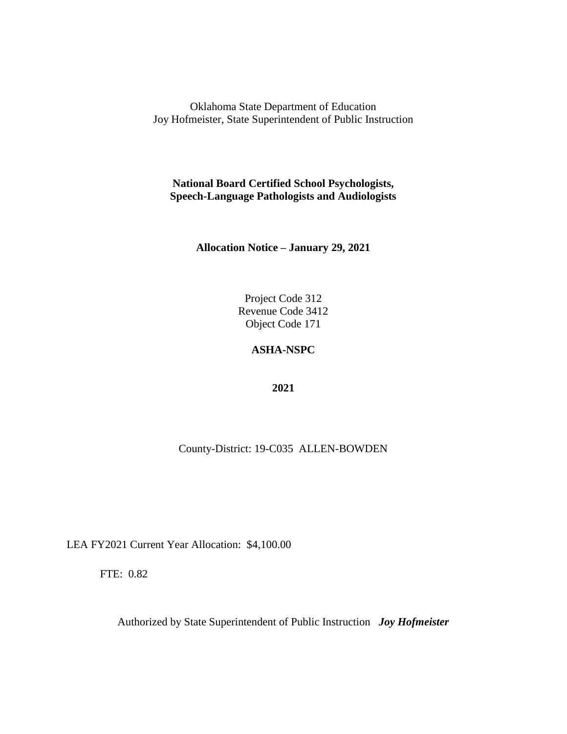**National Board Certified School Psychologists, Speech-Language Pathologists and Audiologists**

**Allocation Notice – January 29, 2021**

Project Code 312 Revenue Code 3412 Object Code 171

# **ASHA-NSPC**

**2021**

County-District: 19-C035 ALLEN-BOWDEN

LEA FY2021 Current Year Allocation: \$4,100.00

FTE: 0.82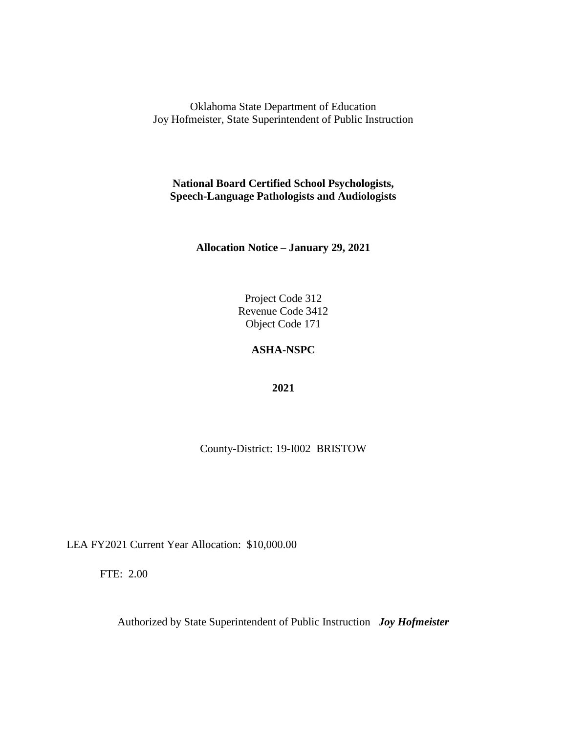**National Board Certified School Psychologists, Speech-Language Pathologists and Audiologists**

**Allocation Notice – January 29, 2021**

Project Code 312 Revenue Code 3412 Object Code 171

## **ASHA-NSPC**

**2021**

County-District: 19-I002 BRISTOW

LEA FY2021 Current Year Allocation: \$10,000.00

FTE: 2.00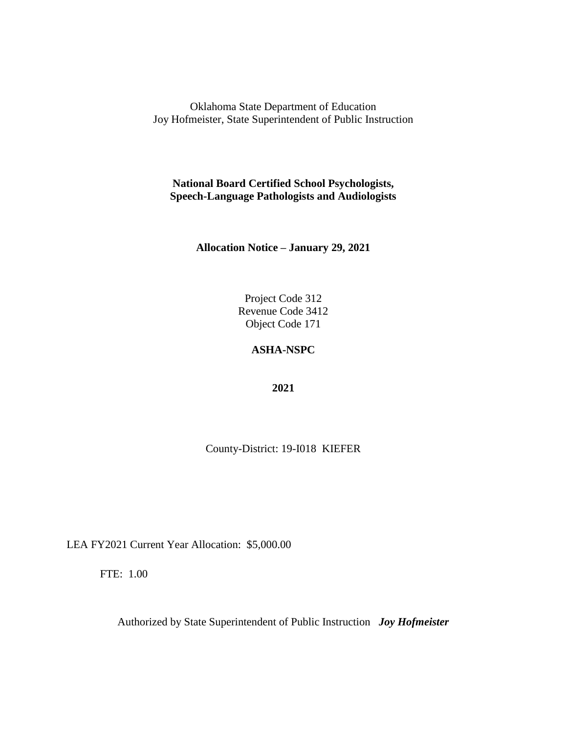**National Board Certified School Psychologists, Speech-Language Pathologists and Audiologists**

**Allocation Notice – January 29, 2021**

Project Code 312 Revenue Code 3412 Object Code 171

## **ASHA-NSPC**

**2021**

County-District: 19-I018 KIEFER

LEA FY2021 Current Year Allocation: \$5,000.00

FTE: 1.00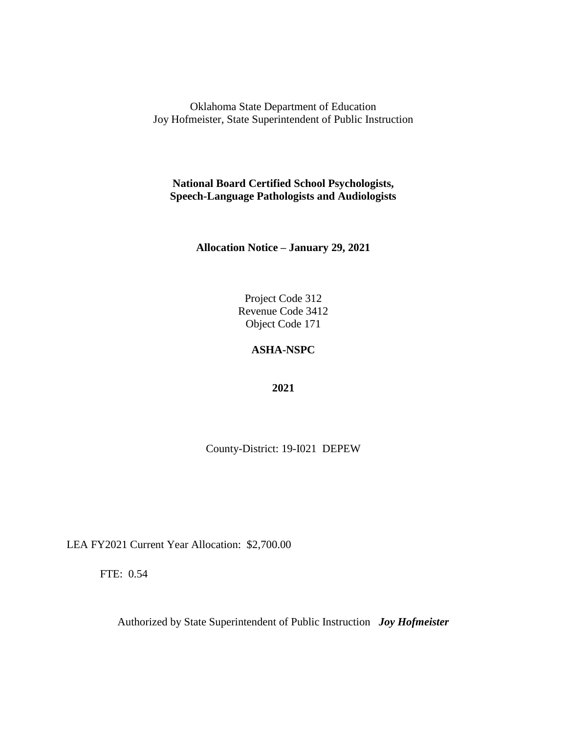**National Board Certified School Psychologists, Speech-Language Pathologists and Audiologists**

**Allocation Notice – January 29, 2021**

Project Code 312 Revenue Code 3412 Object Code 171

# **ASHA-NSPC**

**2021**

County-District: 19-I021 DEPEW

LEA FY2021 Current Year Allocation: \$2,700.00

FTE: 0.54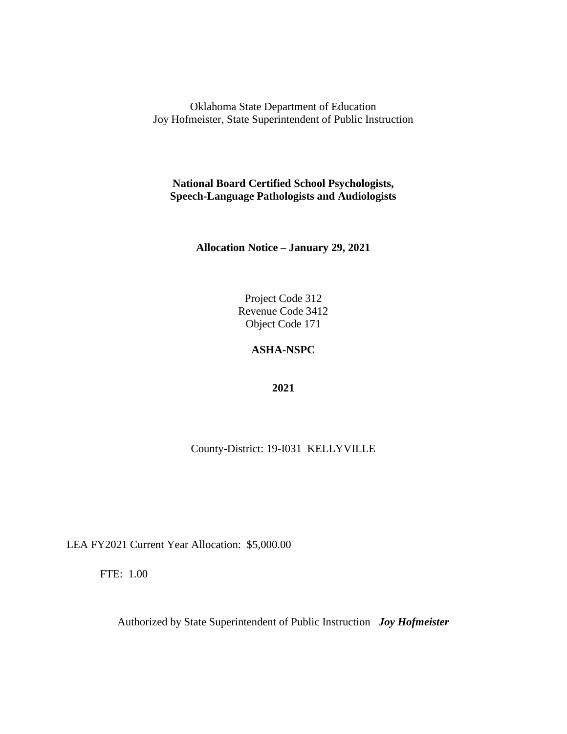**National Board Certified School Psychologists, Speech-Language Pathologists and Audiologists**

**Allocation Notice – January 29, 2021**

Project Code 312 Revenue Code 3412 Object Code 171

# **ASHA-NSPC**

**2021**

County-District: 19-I031 KELLYVILLE

LEA FY2021 Current Year Allocation: \$5,000.00

FTE: 1.00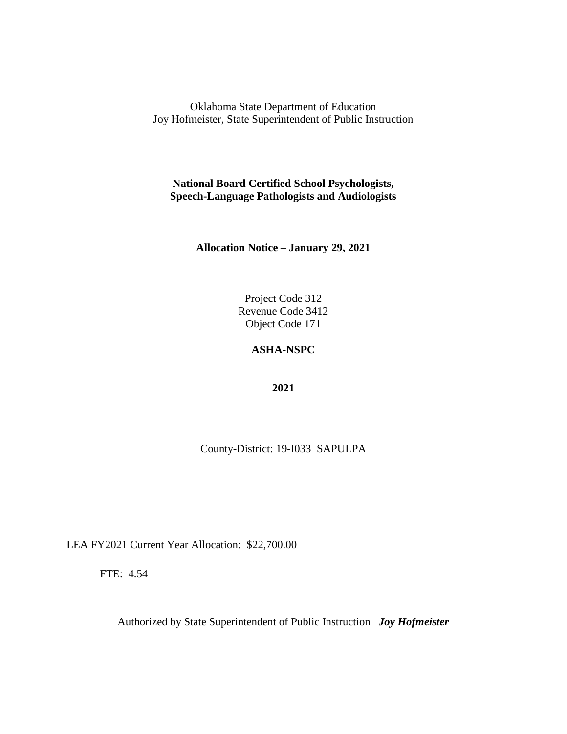**National Board Certified School Psychologists, Speech-Language Pathologists and Audiologists**

**Allocation Notice – January 29, 2021**

Project Code 312 Revenue Code 3412 Object Code 171

## **ASHA-NSPC**

**2021**

County-District: 19-I033 SAPULPA

LEA FY2021 Current Year Allocation: \$22,700.00

FTE: 4.54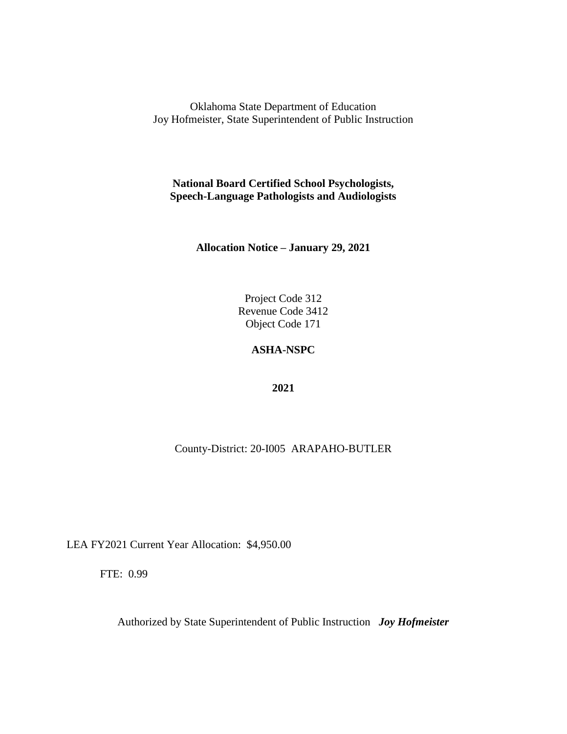**National Board Certified School Psychologists, Speech-Language Pathologists and Audiologists**

**Allocation Notice – January 29, 2021**

Project Code 312 Revenue Code 3412 Object Code 171

# **ASHA-NSPC**

**2021**

County-District: 20-I005 ARAPAHO-BUTLER

LEA FY2021 Current Year Allocation: \$4,950.00

FTE: 0.99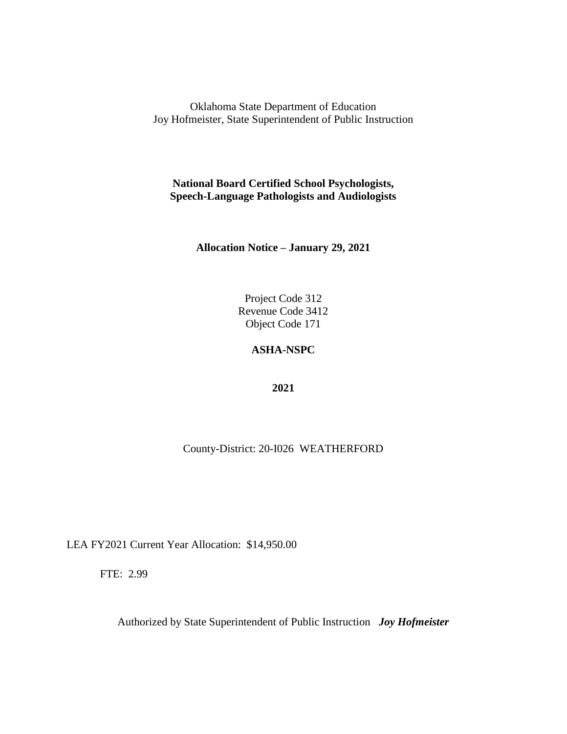**National Board Certified School Psychologists, Speech-Language Pathologists and Audiologists**

**Allocation Notice – January 29, 2021**

Project Code 312 Revenue Code 3412 Object Code 171

# **ASHA-NSPC**

**2021**

County-District: 20-I026 WEATHERFORD

LEA FY2021 Current Year Allocation: \$14,950.00

FTE: 2.99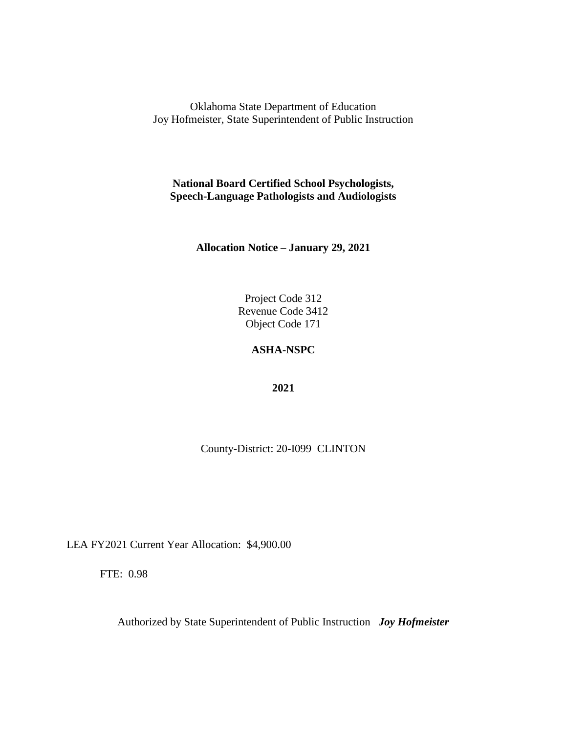**National Board Certified School Psychologists, Speech-Language Pathologists and Audiologists**

**Allocation Notice – January 29, 2021**

Project Code 312 Revenue Code 3412 Object Code 171

# **ASHA-NSPC**

**2021**

County-District: 20-I099 CLINTON

LEA FY2021 Current Year Allocation: \$4,900.00

FTE: 0.98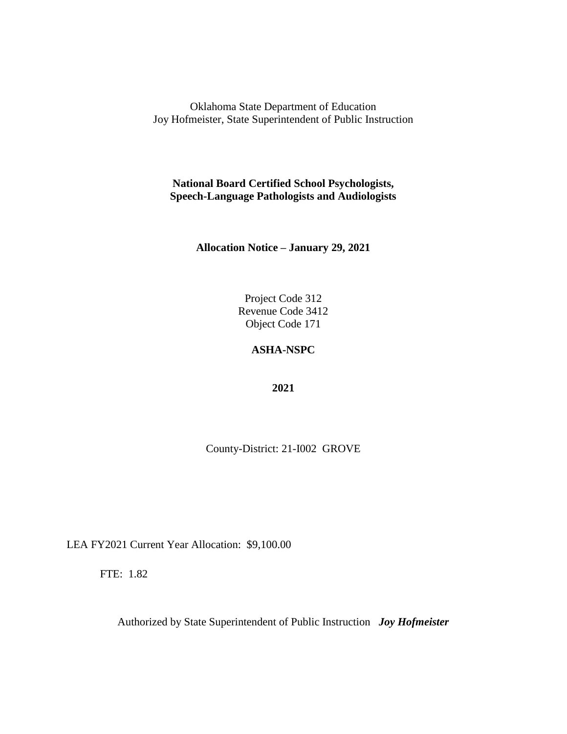**National Board Certified School Psychologists, Speech-Language Pathologists and Audiologists**

**Allocation Notice – January 29, 2021**

Project Code 312 Revenue Code 3412 Object Code 171

## **ASHA-NSPC**

**2021**

County-District: 21-I002 GROVE

LEA FY2021 Current Year Allocation: \$9,100.00

FTE: 1.82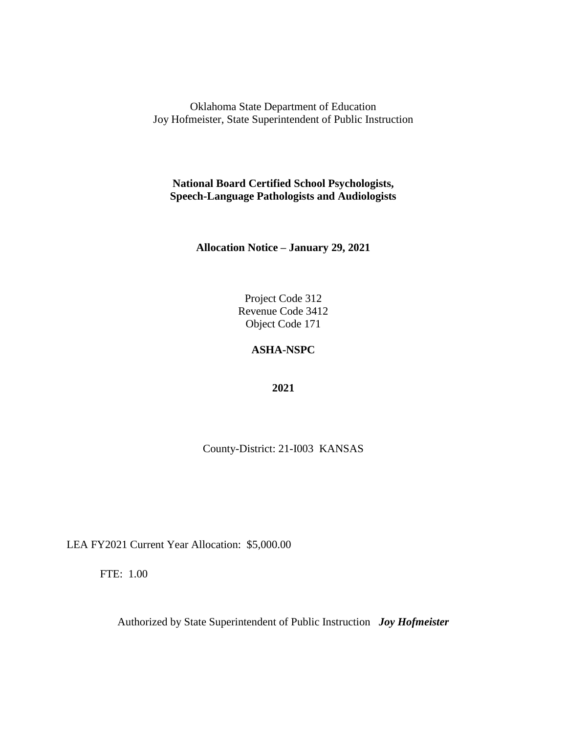**National Board Certified School Psychologists, Speech-Language Pathologists and Audiologists**

**Allocation Notice – January 29, 2021**

Project Code 312 Revenue Code 3412 Object Code 171

## **ASHA-NSPC**

**2021**

County-District: 21-I003 KANSAS

LEA FY2021 Current Year Allocation: \$5,000.00

FTE: 1.00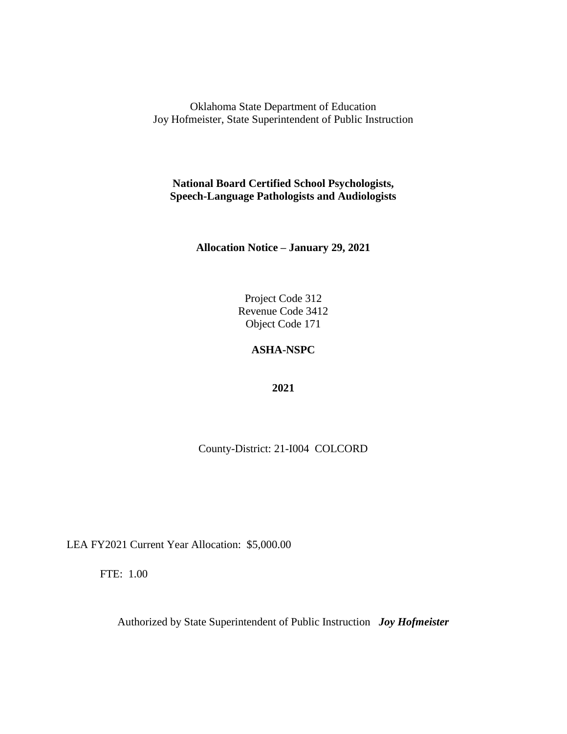**National Board Certified School Psychologists, Speech-Language Pathologists and Audiologists**

**Allocation Notice – January 29, 2021**

Project Code 312 Revenue Code 3412 Object Code 171

## **ASHA-NSPC**

**2021**

County-District: 21-I004 COLCORD

LEA FY2021 Current Year Allocation: \$5,000.00

FTE: 1.00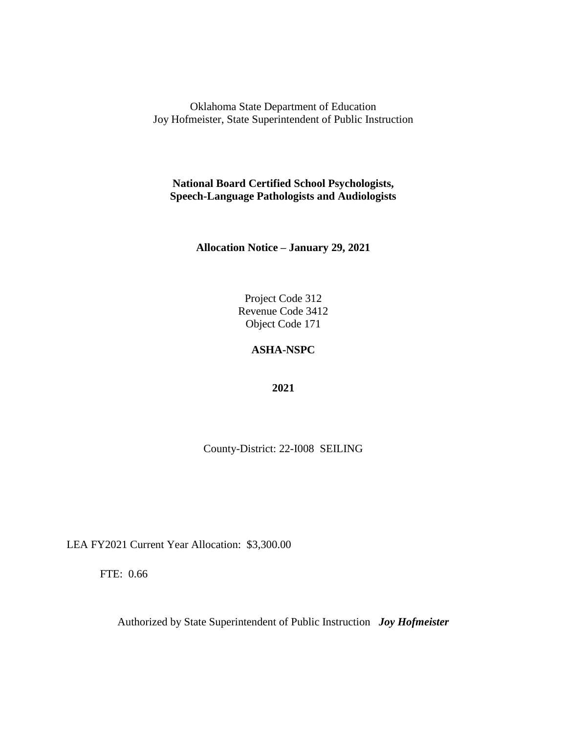**National Board Certified School Psychologists, Speech-Language Pathologists and Audiologists**

**Allocation Notice – January 29, 2021**

Project Code 312 Revenue Code 3412 Object Code 171

## **ASHA-NSPC**

**2021**

County-District: 22-I008 SEILING

LEA FY2021 Current Year Allocation: \$3,300.00

FTE: 0.66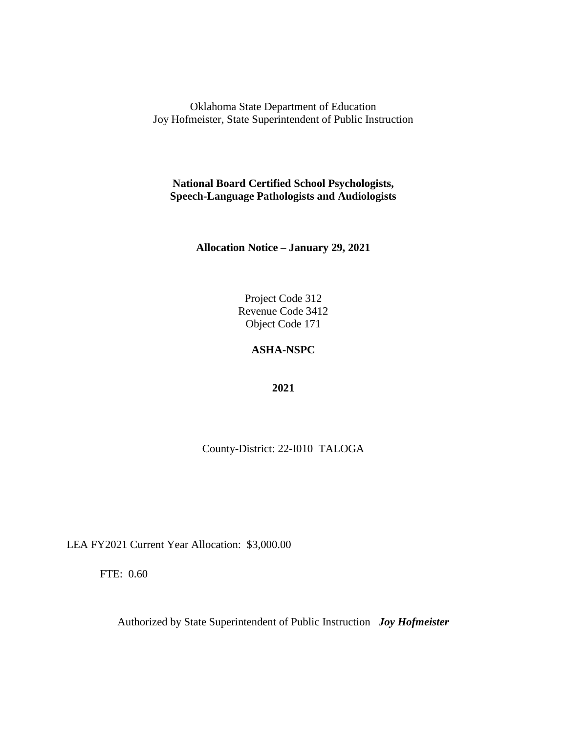**National Board Certified School Psychologists, Speech-Language Pathologists and Audiologists**

**Allocation Notice – January 29, 2021**

Project Code 312 Revenue Code 3412 Object Code 171

# **ASHA-NSPC**

**2021**

County-District: 22-I010 TALOGA

LEA FY2021 Current Year Allocation: \$3,000.00

FTE: 0.60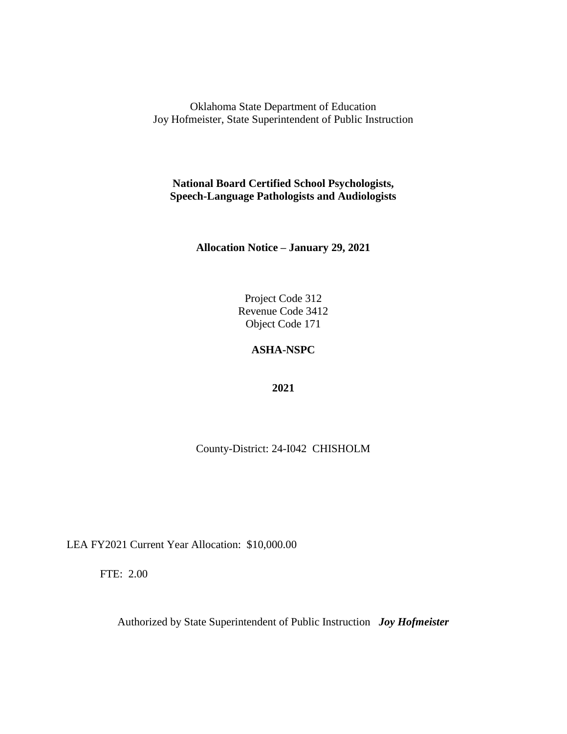**National Board Certified School Psychologists, Speech-Language Pathologists and Audiologists**

**Allocation Notice – January 29, 2021**

Project Code 312 Revenue Code 3412 Object Code 171

# **ASHA-NSPC**

**2021**

County-District: 24-I042 CHISHOLM

LEA FY2021 Current Year Allocation: \$10,000.00

FTE: 2.00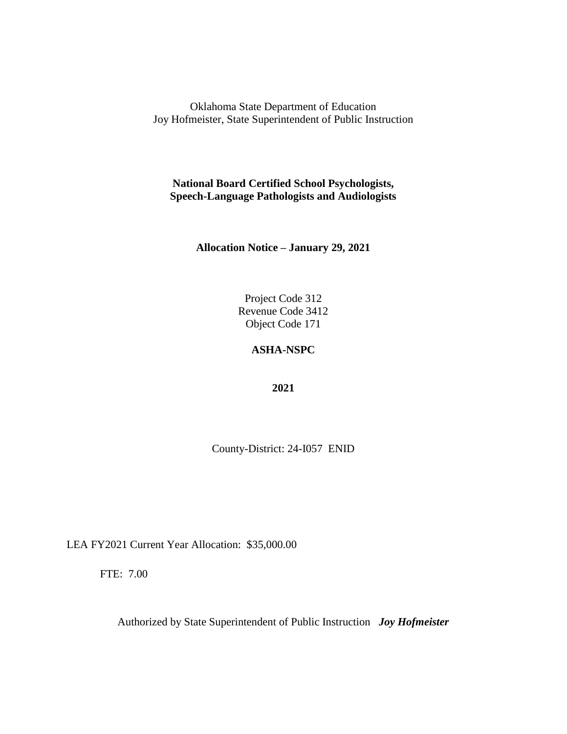**National Board Certified School Psychologists, Speech-Language Pathologists and Audiologists**

**Allocation Notice – January 29, 2021**

Project Code 312 Revenue Code 3412 Object Code 171

## **ASHA-NSPC**

**2021**

County-District: 24-I057 ENID

LEA FY2021 Current Year Allocation: \$35,000.00

FTE: 7.00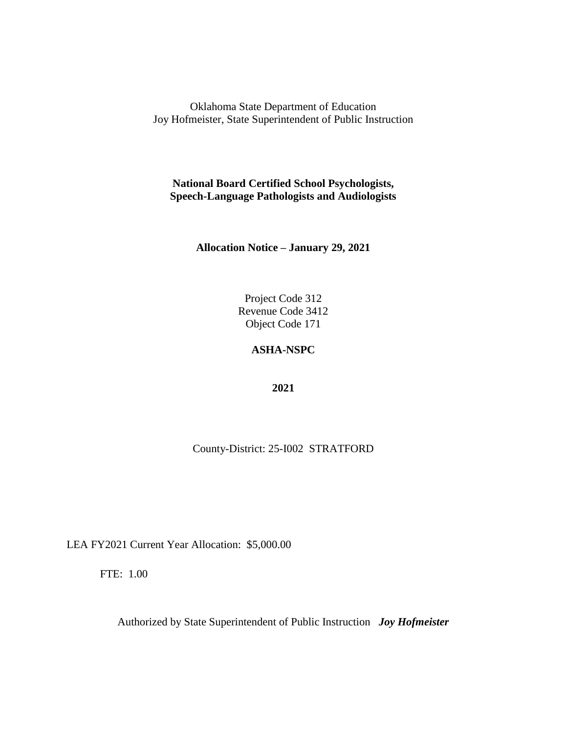**National Board Certified School Psychologists, Speech-Language Pathologists and Audiologists**

**Allocation Notice – January 29, 2021**

Project Code 312 Revenue Code 3412 Object Code 171

# **ASHA-NSPC**

**2021**

County-District: 25-I002 STRATFORD

LEA FY2021 Current Year Allocation: \$5,000.00

FTE: 1.00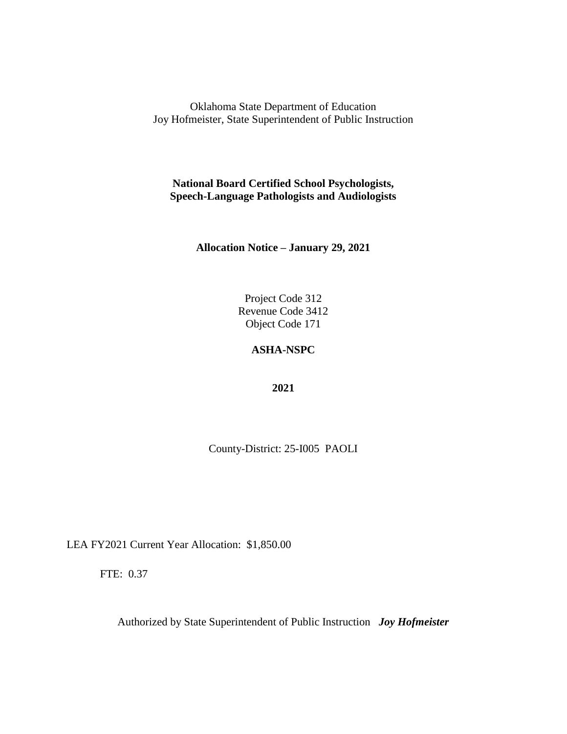**National Board Certified School Psychologists, Speech-Language Pathologists and Audiologists**

**Allocation Notice – January 29, 2021**

Project Code 312 Revenue Code 3412 Object Code 171

# **ASHA-NSPC**

**2021**

County-District: 25-I005 PAOLI

LEA FY2021 Current Year Allocation: \$1,850.00

FTE: 0.37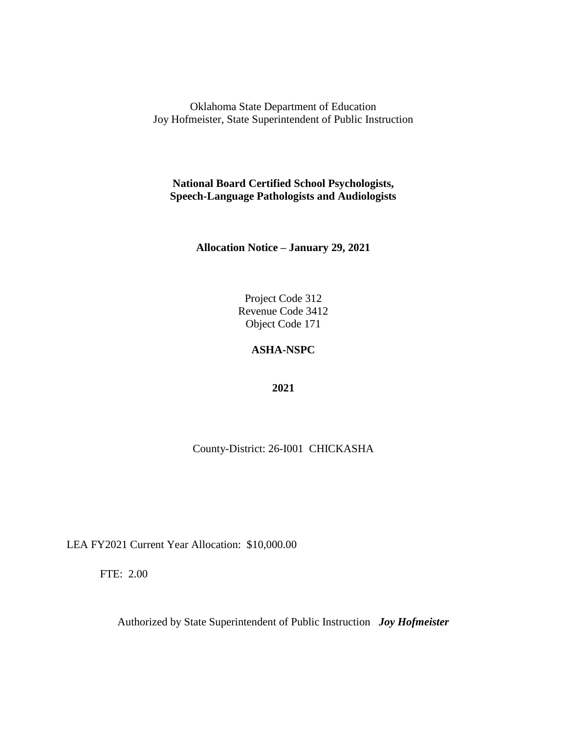**National Board Certified School Psychologists, Speech-Language Pathologists and Audiologists**

**Allocation Notice – January 29, 2021**

Project Code 312 Revenue Code 3412 Object Code 171

# **ASHA-NSPC**

**2021**

County-District: 26-I001 CHICKASHA

LEA FY2021 Current Year Allocation: \$10,000.00

FTE: 2.00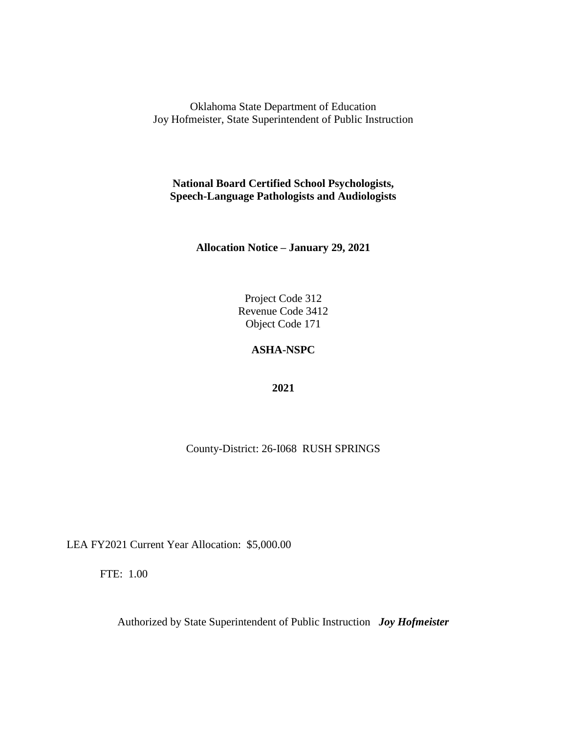**National Board Certified School Psychologists, Speech-Language Pathologists and Audiologists**

**Allocation Notice – January 29, 2021**

Project Code 312 Revenue Code 3412 Object Code 171

# **ASHA-NSPC**

**2021**

County-District: 26-I068 RUSH SPRINGS

LEA FY2021 Current Year Allocation: \$5,000.00

FTE: 1.00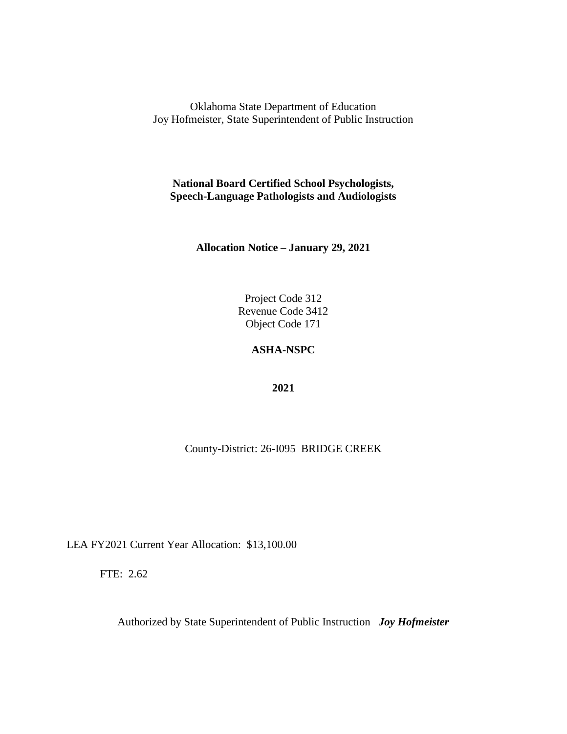**National Board Certified School Psychologists, Speech-Language Pathologists and Audiologists**

**Allocation Notice – January 29, 2021**

Project Code 312 Revenue Code 3412 Object Code 171

# **ASHA-NSPC**

**2021**

County-District: 26-I095 BRIDGE CREEK

LEA FY2021 Current Year Allocation: \$13,100.00

FTE: 2.62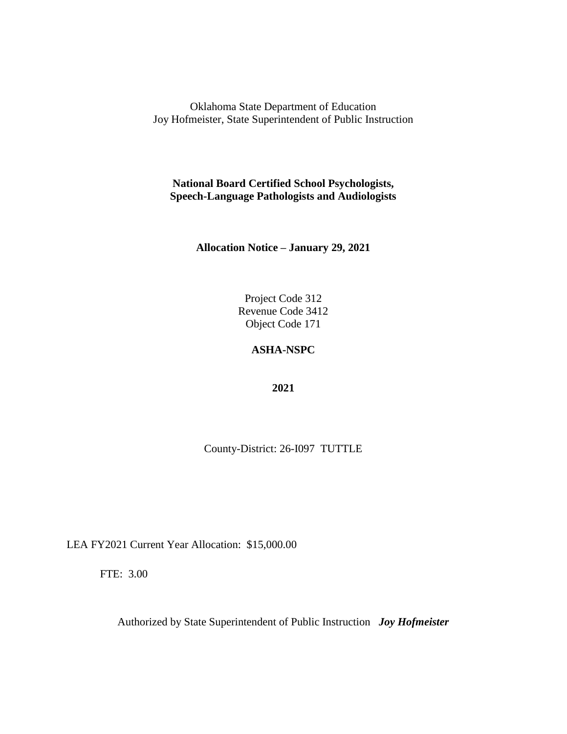**National Board Certified School Psychologists, Speech-Language Pathologists and Audiologists**

**Allocation Notice – January 29, 2021**

Project Code 312 Revenue Code 3412 Object Code 171

# **ASHA-NSPC**

**2021**

County-District: 26-I097 TUTTLE

LEA FY2021 Current Year Allocation: \$15,000.00

FTE: 3.00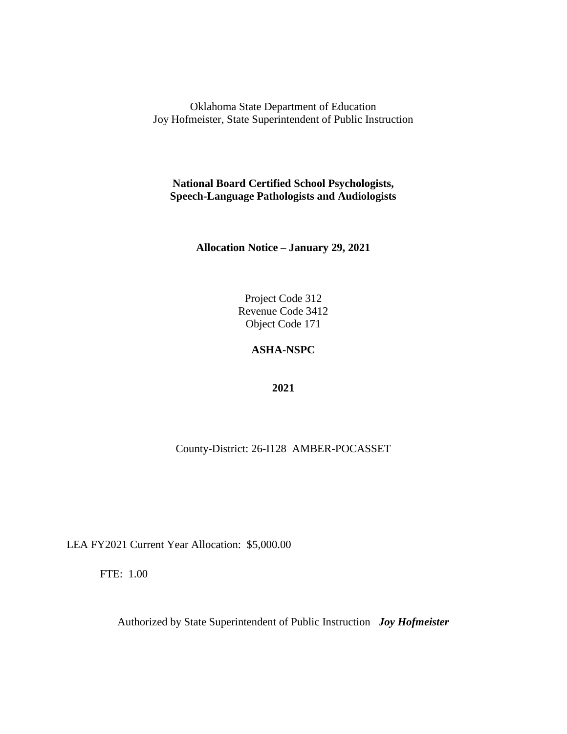**National Board Certified School Psychologists, Speech-Language Pathologists and Audiologists**

**Allocation Notice – January 29, 2021**

Project Code 312 Revenue Code 3412 Object Code 171

# **ASHA-NSPC**

**2021**

County-District: 26-I128 AMBER-POCASSET

LEA FY2021 Current Year Allocation: \$5,000.00

FTE: 1.00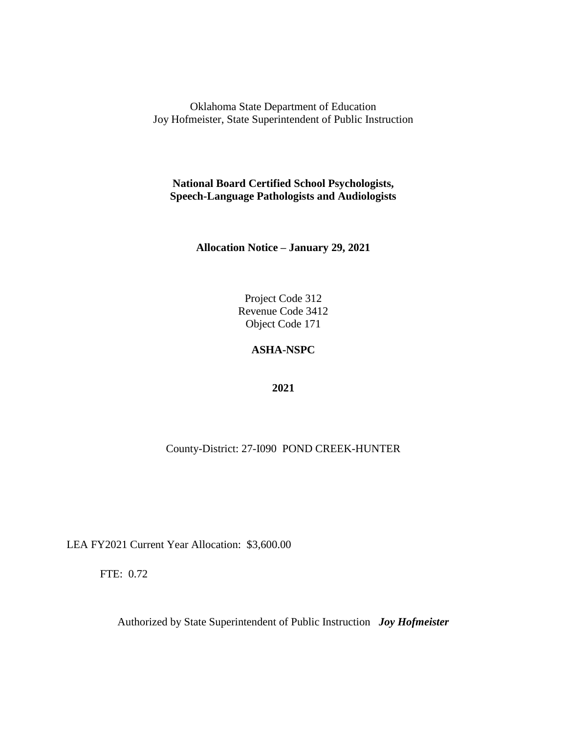**National Board Certified School Psychologists, Speech-Language Pathologists and Audiologists**

**Allocation Notice – January 29, 2021**

Project Code 312 Revenue Code 3412 Object Code 171

# **ASHA-NSPC**

**2021**

County-District: 27-I090 POND CREEK-HUNTER

LEA FY2021 Current Year Allocation: \$3,600.00

FTE: 0.72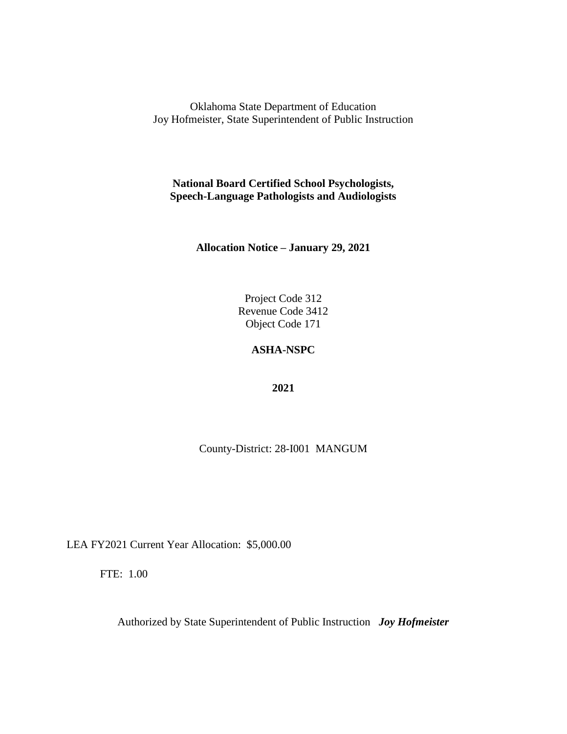**National Board Certified School Psychologists, Speech-Language Pathologists and Audiologists**

**Allocation Notice – January 29, 2021**

Project Code 312 Revenue Code 3412 Object Code 171

## **ASHA-NSPC**

**2021**

County-District: 28-I001 MANGUM

LEA FY2021 Current Year Allocation: \$5,000.00

FTE: 1.00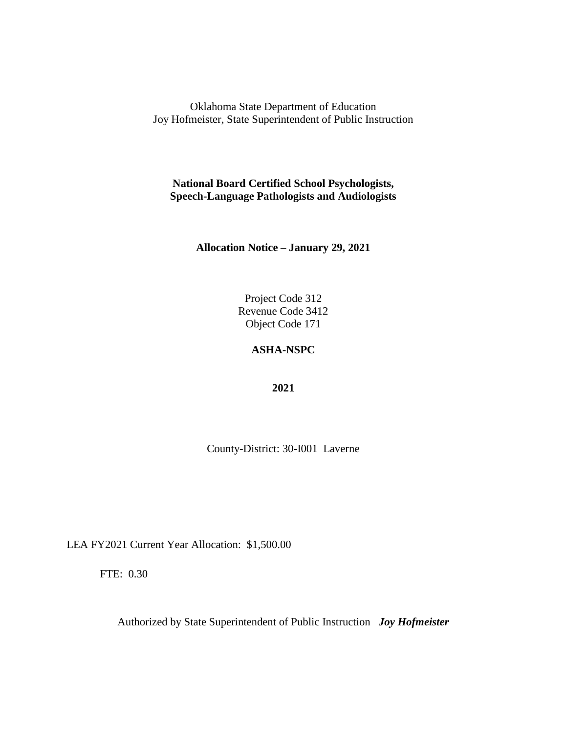**National Board Certified School Psychologists, Speech-Language Pathologists and Audiologists**

**Allocation Notice – January 29, 2021**

Project Code 312 Revenue Code 3412 Object Code 171

## **ASHA-NSPC**

**2021**

County-District: 30-I001 Laverne

LEA FY2021 Current Year Allocation: \$1,500.00

FTE: 0.30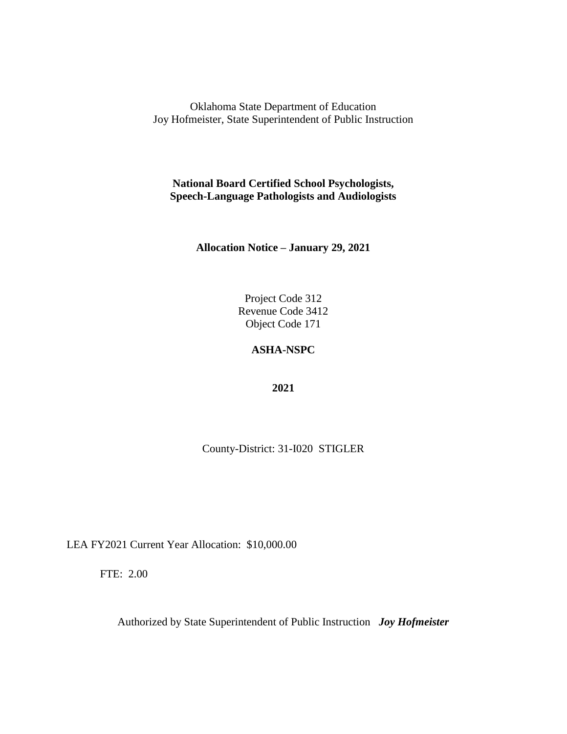**National Board Certified School Psychologists, Speech-Language Pathologists and Audiologists**

**Allocation Notice – January 29, 2021**

Project Code 312 Revenue Code 3412 Object Code 171

# **ASHA-NSPC**

**2021**

County-District: 31-I020 STIGLER

LEA FY2021 Current Year Allocation: \$10,000.00

FTE: 2.00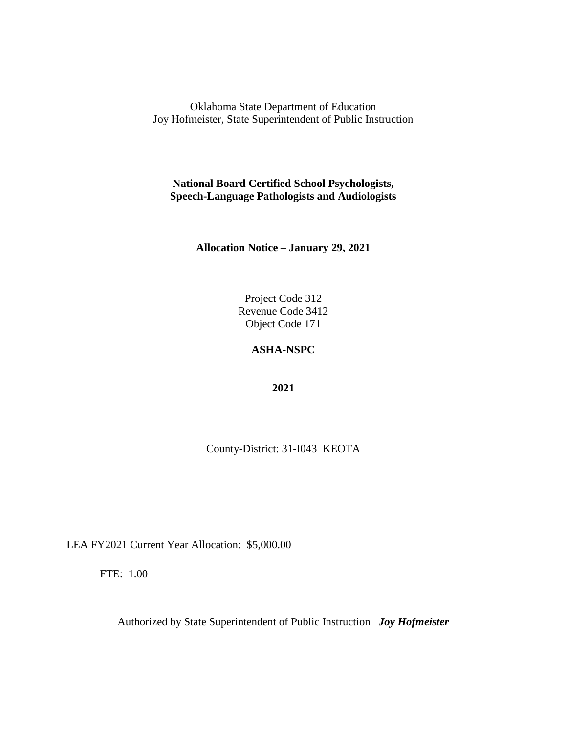**National Board Certified School Psychologists, Speech-Language Pathologists and Audiologists**

**Allocation Notice – January 29, 2021**

Project Code 312 Revenue Code 3412 Object Code 171

## **ASHA-NSPC**

**2021**

County-District: 31-I043 KEOTA

LEA FY2021 Current Year Allocation: \$5,000.00

FTE: 1.00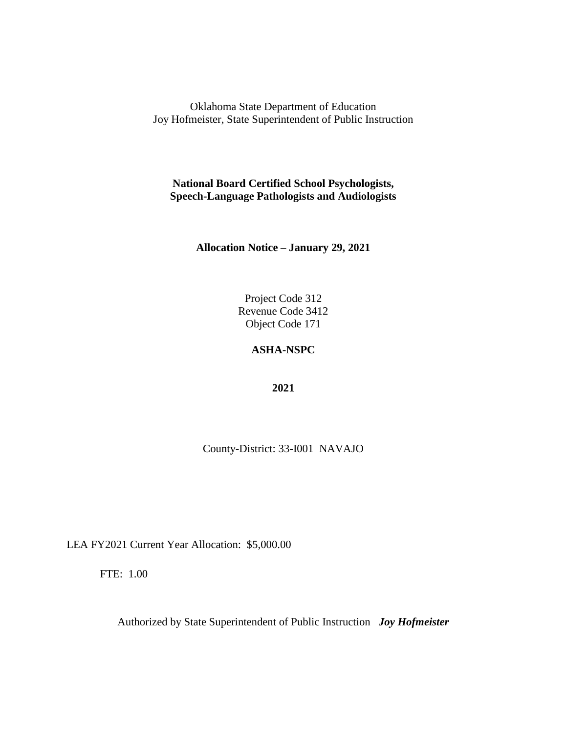**National Board Certified School Psychologists, Speech-Language Pathologists and Audiologists**

**Allocation Notice – January 29, 2021**

Project Code 312 Revenue Code 3412 Object Code 171

## **ASHA-NSPC**

**2021**

County-District: 33-I001 NAVAJO

LEA FY2021 Current Year Allocation: \$5,000.00

FTE: 1.00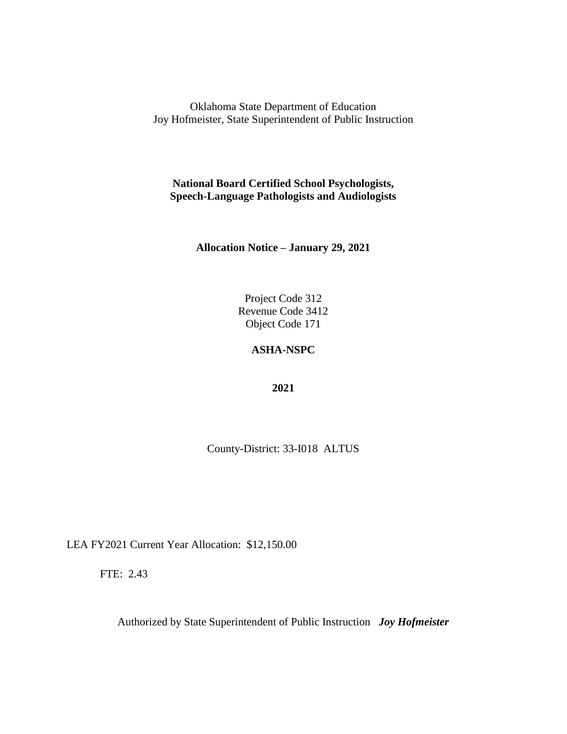**National Board Certified School Psychologists, Speech-Language Pathologists and Audiologists**

**Allocation Notice – January 29, 2021**

Project Code 312 Revenue Code 3412 Object Code 171

## **ASHA-NSPC**

**2021**

County-District: 33-I018 ALTUS

LEA FY2021 Current Year Allocation: \$12,150.00

FTE: 2.43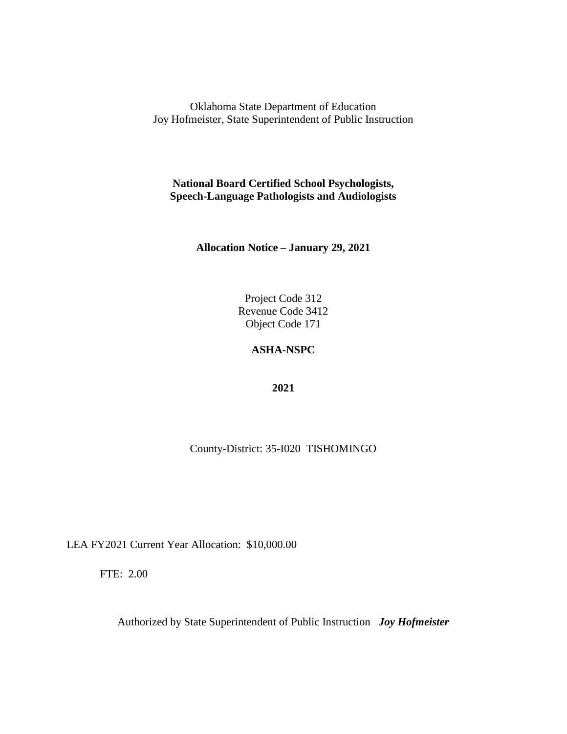**National Board Certified School Psychologists, Speech-Language Pathologists and Audiologists**

**Allocation Notice – January 29, 2021**

Project Code 312 Revenue Code 3412 Object Code 171

# **ASHA-NSPC**

**2021**

County-District: 35-I020 TISHOMINGO

LEA FY2021 Current Year Allocation: \$10,000.00

FTE: 2.00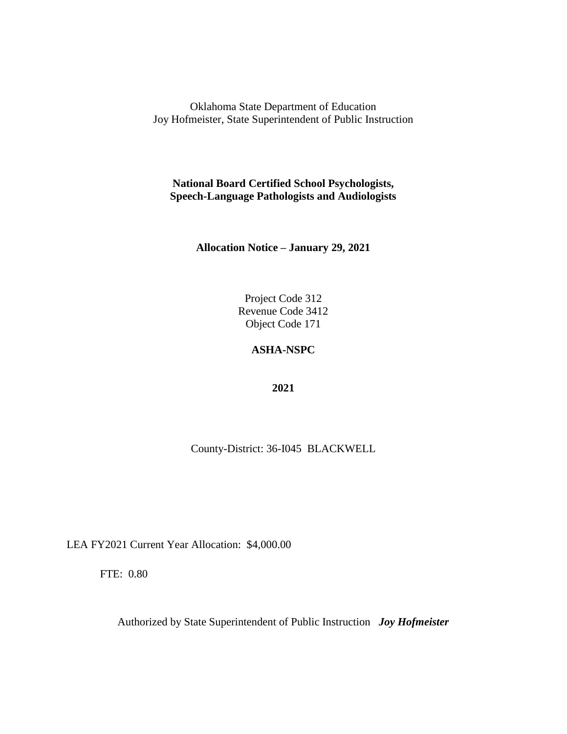**National Board Certified School Psychologists, Speech-Language Pathologists and Audiologists**

**Allocation Notice – January 29, 2021**

Project Code 312 Revenue Code 3412 Object Code 171

# **ASHA-NSPC**

**2021**

County-District: 36-I045 BLACKWELL

LEA FY2021 Current Year Allocation: \$4,000.00

FTE: 0.80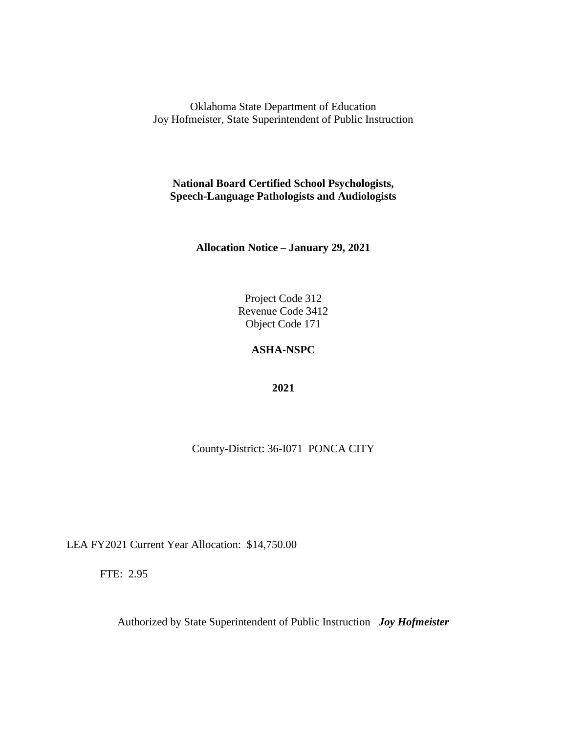**National Board Certified School Psychologists, Speech-Language Pathologists and Audiologists**

**Allocation Notice – January 29, 2021**

Project Code 312 Revenue Code 3412 Object Code 171

# **ASHA-NSPC**

**2021**

County-District: 36-I071 PONCA CITY

LEA FY2021 Current Year Allocation: \$14,750.00

FTE: 2.95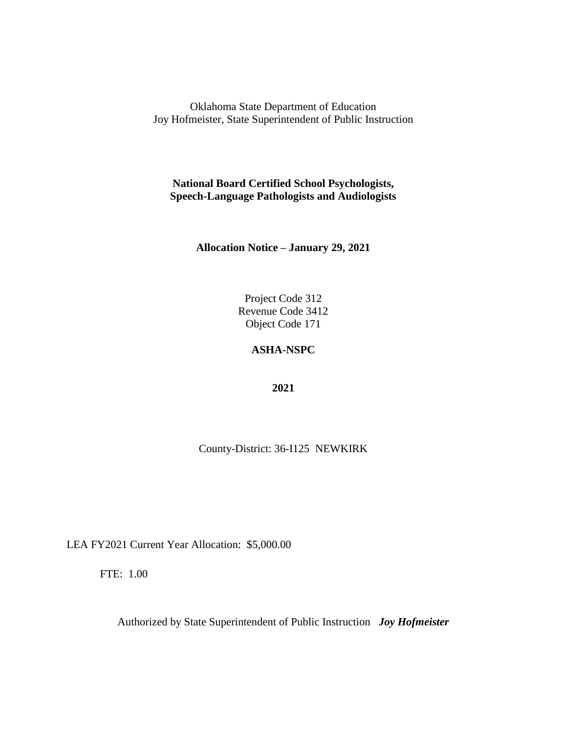**National Board Certified School Psychologists, Speech-Language Pathologists and Audiologists**

**Allocation Notice – January 29, 2021**

Project Code 312 Revenue Code 3412 Object Code 171

## **ASHA-NSPC**

**2021**

County-District: 36-I125 NEWKIRK

LEA FY2021 Current Year Allocation: \$5,000.00

FTE: 1.00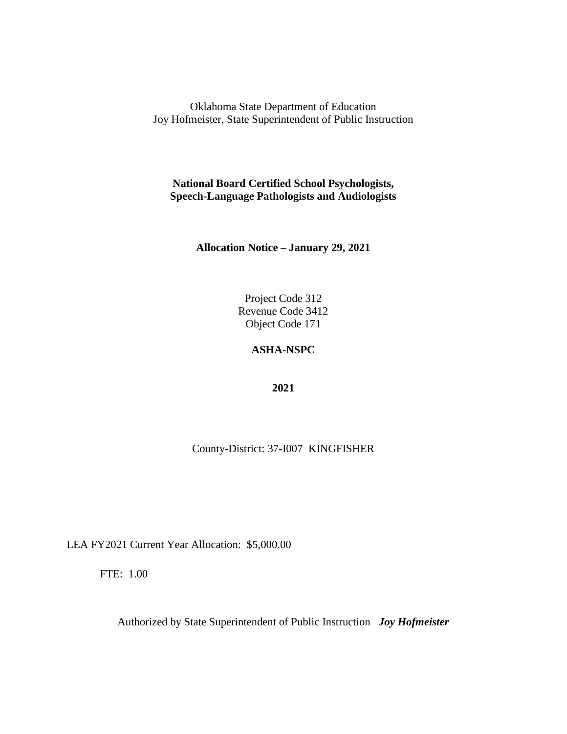**National Board Certified School Psychologists, Speech-Language Pathologists and Audiologists**

**Allocation Notice – January 29, 2021**

Project Code 312 Revenue Code 3412 Object Code 171

# **ASHA-NSPC**

**2021**

County-District: 37-I007 KINGFISHER

LEA FY2021 Current Year Allocation: \$5,000.00

FTE: 1.00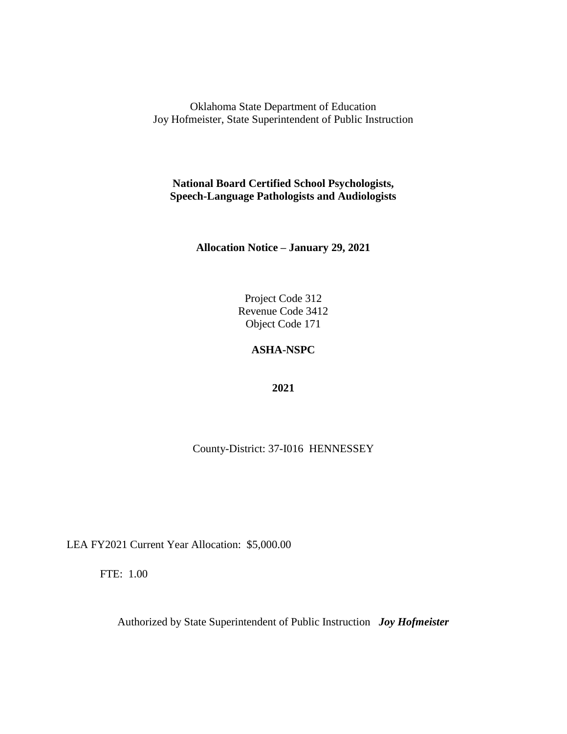**National Board Certified School Psychologists, Speech-Language Pathologists and Audiologists**

**Allocation Notice – January 29, 2021**

Project Code 312 Revenue Code 3412 Object Code 171

# **ASHA-NSPC**

**2021**

County-District: 37-I016 HENNESSEY

LEA FY2021 Current Year Allocation: \$5,000.00

FTE: 1.00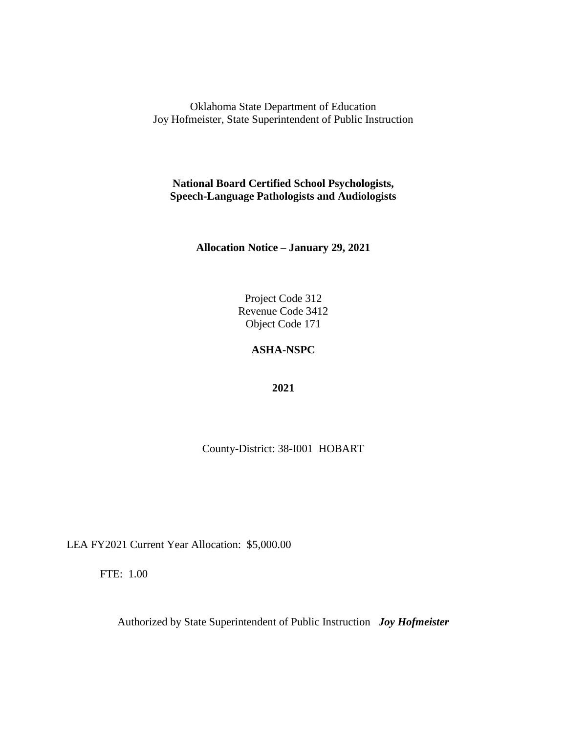**National Board Certified School Psychologists, Speech-Language Pathologists and Audiologists**

**Allocation Notice – January 29, 2021**

Project Code 312 Revenue Code 3412 Object Code 171

## **ASHA-NSPC**

**2021**

County-District: 38-I001 HOBART

LEA FY2021 Current Year Allocation: \$5,000.00

FTE: 1.00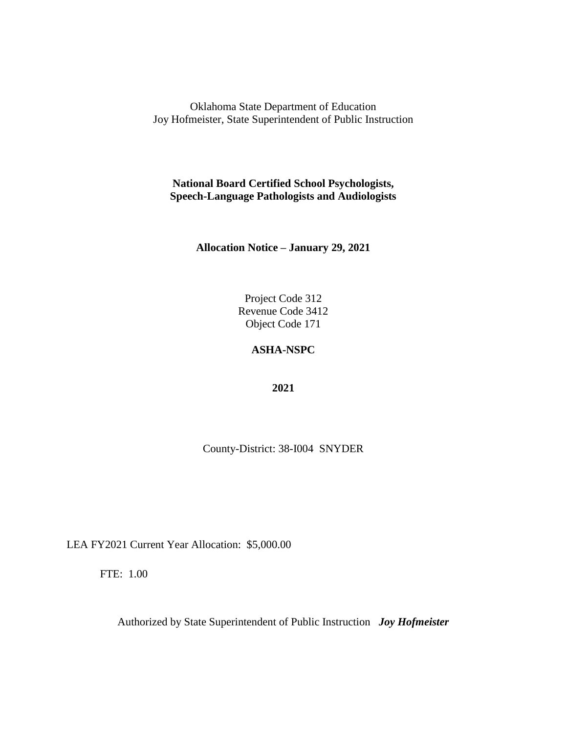**National Board Certified School Psychologists, Speech-Language Pathologists and Audiologists**

**Allocation Notice – January 29, 2021**

Project Code 312 Revenue Code 3412 Object Code 171

## **ASHA-NSPC**

**2021**

County-District: 38-I004 SNYDER

LEA FY2021 Current Year Allocation: \$5,000.00

FTE: 1.00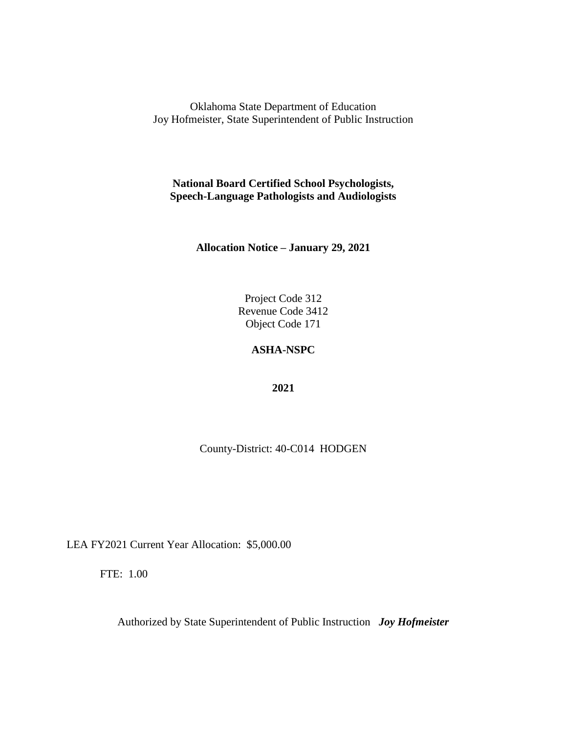**National Board Certified School Psychologists, Speech-Language Pathologists and Audiologists**

**Allocation Notice – January 29, 2021**

Project Code 312 Revenue Code 3412 Object Code 171

# **ASHA-NSPC**

**2021**

County-District: 40-C014 HODGEN

LEA FY2021 Current Year Allocation: \$5,000.00

FTE: 1.00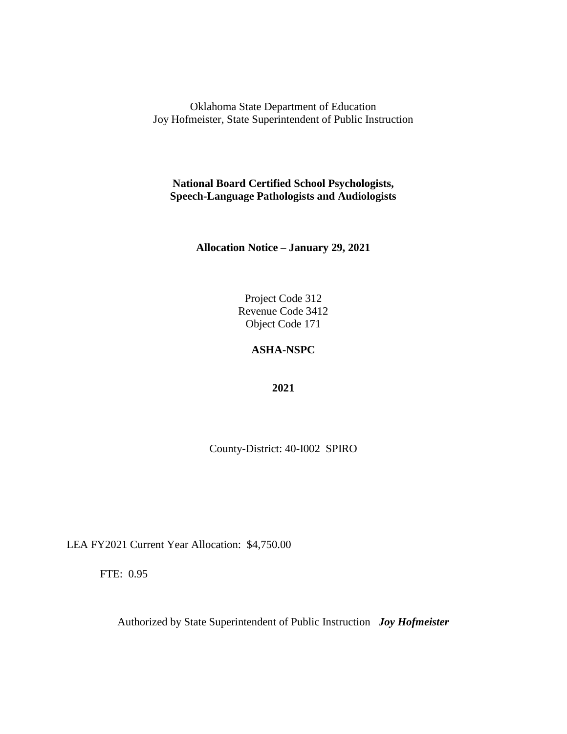**National Board Certified School Psychologists, Speech-Language Pathologists and Audiologists**

**Allocation Notice – January 29, 2021**

Project Code 312 Revenue Code 3412 Object Code 171

# **ASHA-NSPC**

**2021**

County-District: 40-I002 SPIRO

LEA FY2021 Current Year Allocation: \$4,750.00

FTE: 0.95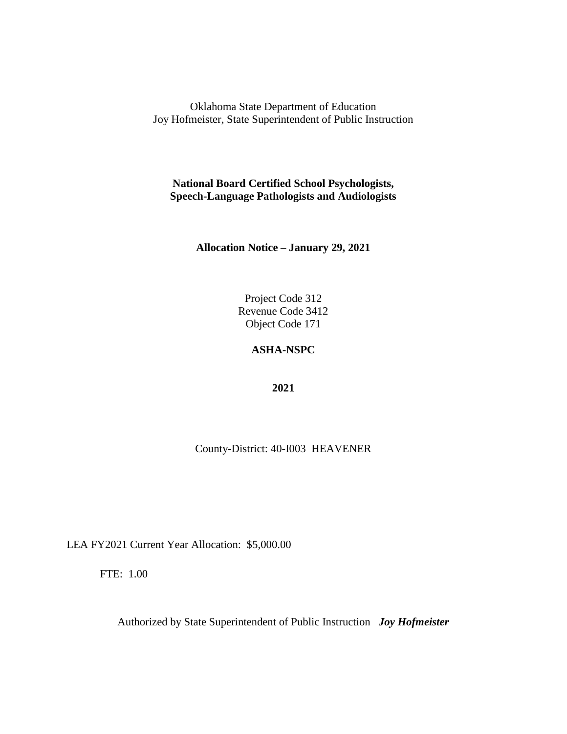**National Board Certified School Psychologists, Speech-Language Pathologists and Audiologists**

**Allocation Notice – January 29, 2021**

Project Code 312 Revenue Code 3412 Object Code 171

## **ASHA-NSPC**

**2021**

County-District: 40-I003 HEAVENER

LEA FY2021 Current Year Allocation: \$5,000.00

FTE: 1.00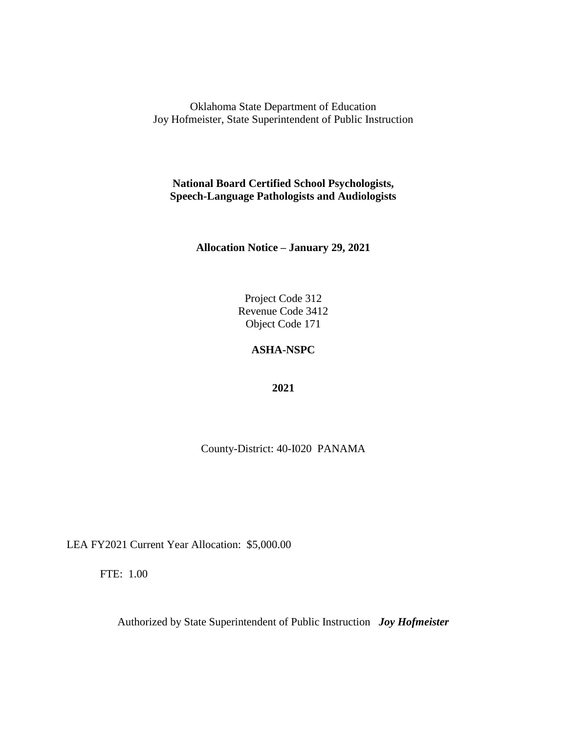**National Board Certified School Psychologists, Speech-Language Pathologists and Audiologists**

**Allocation Notice – January 29, 2021**

Project Code 312 Revenue Code 3412 Object Code 171

## **ASHA-NSPC**

**2021**

County-District: 40-I020 PANAMA

LEA FY2021 Current Year Allocation: \$5,000.00

FTE: 1.00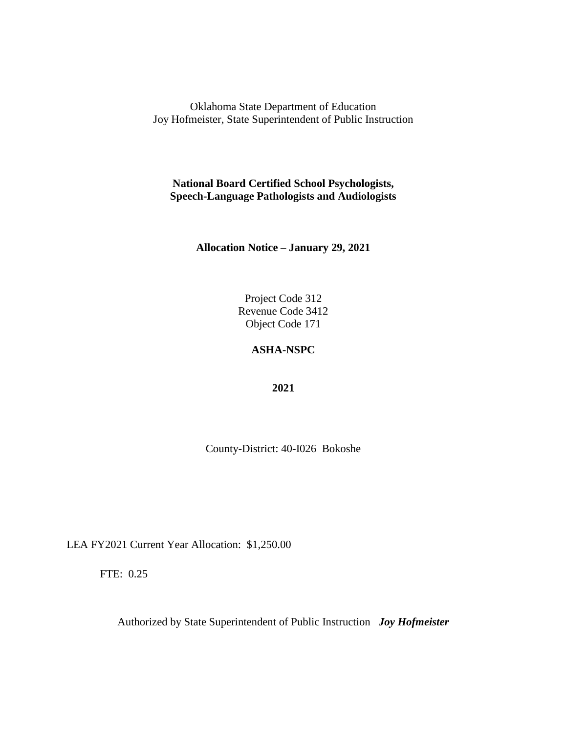**National Board Certified School Psychologists, Speech-Language Pathologists and Audiologists**

**Allocation Notice – January 29, 2021**

Project Code 312 Revenue Code 3412 Object Code 171

## **ASHA-NSPC**

**2021**

County-District: 40-I026 Bokoshe

LEA FY2021 Current Year Allocation: \$1,250.00

FTE: 0.25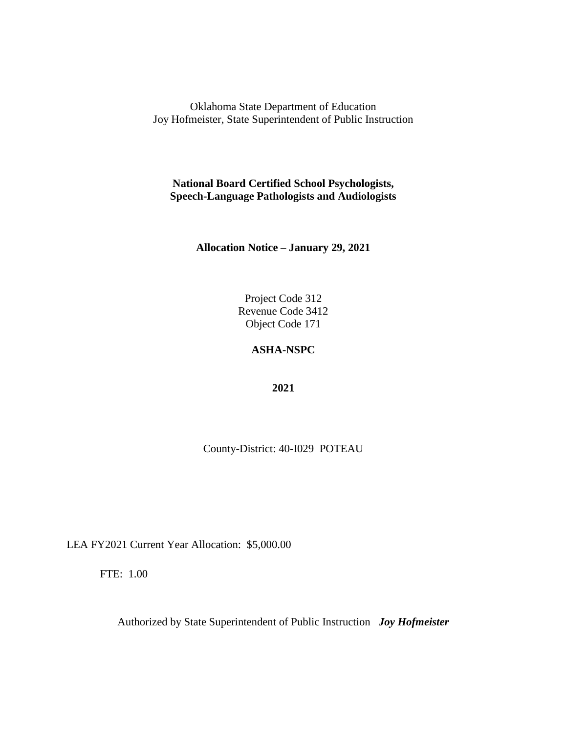**National Board Certified School Psychologists, Speech-Language Pathologists and Audiologists**

**Allocation Notice – January 29, 2021**

Project Code 312 Revenue Code 3412 Object Code 171

# **ASHA-NSPC**

**2021**

County-District: 40-I029 POTEAU

LEA FY2021 Current Year Allocation: \$5,000.00

FTE: 1.00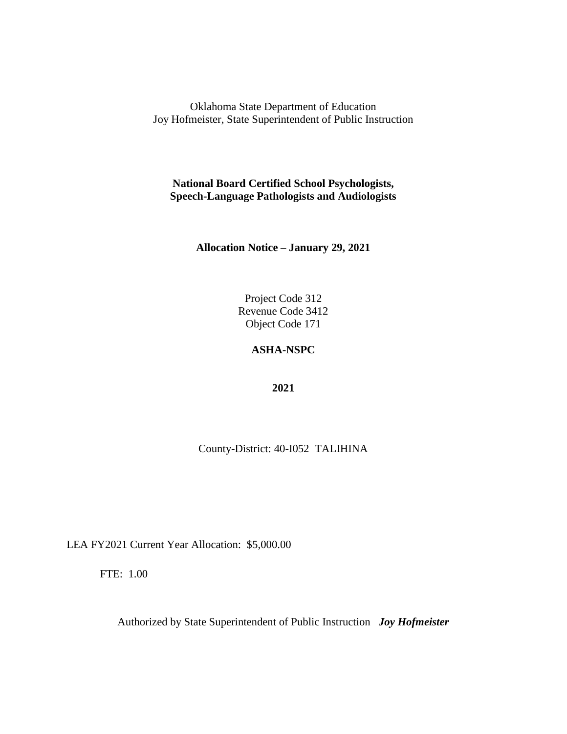**National Board Certified School Psychologists, Speech-Language Pathologists and Audiologists**

**Allocation Notice – January 29, 2021**

Project Code 312 Revenue Code 3412 Object Code 171

## **ASHA-NSPC**

**2021**

County-District: 40-I052 TALIHINA

LEA FY2021 Current Year Allocation: \$5,000.00

FTE: 1.00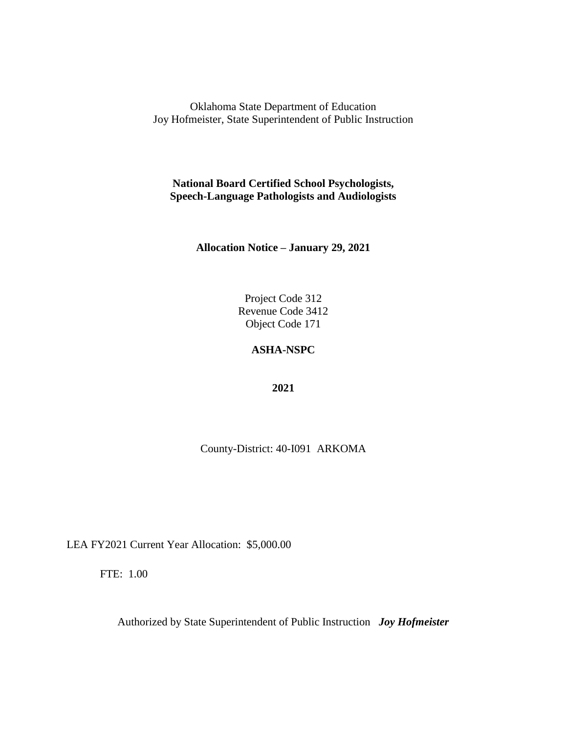**National Board Certified School Psychologists, Speech-Language Pathologists and Audiologists**

**Allocation Notice – January 29, 2021**

Project Code 312 Revenue Code 3412 Object Code 171

## **ASHA-NSPC**

**2021**

County-District: 40-I091 ARKOMA

LEA FY2021 Current Year Allocation: \$5,000.00

FTE: 1.00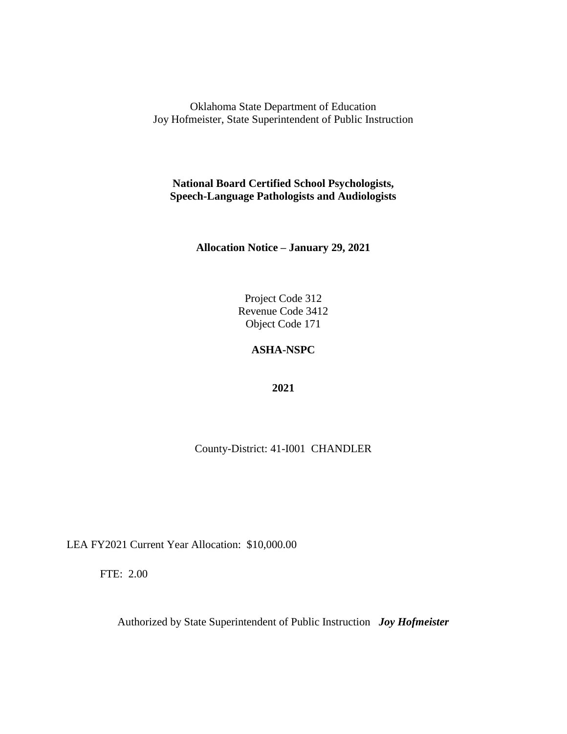**National Board Certified School Psychologists, Speech-Language Pathologists and Audiologists**

**Allocation Notice – January 29, 2021**

Project Code 312 Revenue Code 3412 Object Code 171

# **ASHA-NSPC**

**2021**

County-District: 41-I001 CHANDLER

LEA FY2021 Current Year Allocation: \$10,000.00

FTE: 2.00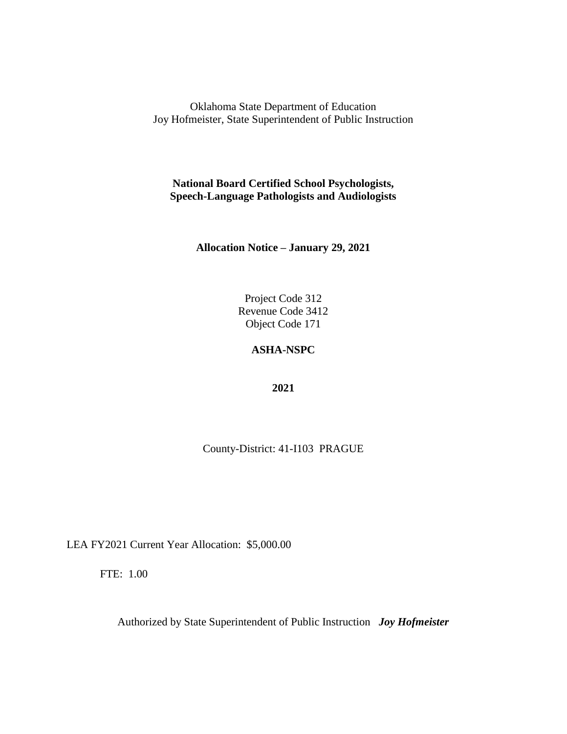**National Board Certified School Psychologists, Speech-Language Pathologists and Audiologists**

**Allocation Notice – January 29, 2021**

Project Code 312 Revenue Code 3412 Object Code 171

# **ASHA-NSPC**

**2021**

County-District: 41-I103 PRAGUE

LEA FY2021 Current Year Allocation: \$5,000.00

FTE: 1.00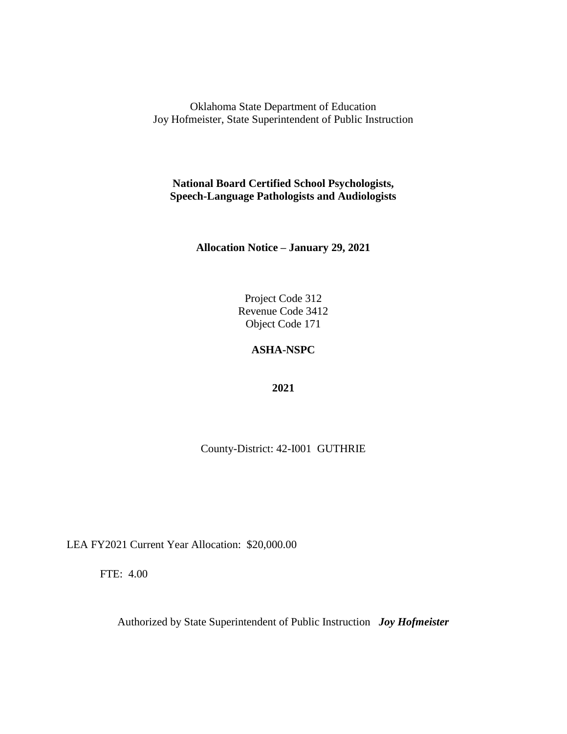**National Board Certified School Psychologists, Speech-Language Pathologists and Audiologists**

**Allocation Notice – January 29, 2021**

Project Code 312 Revenue Code 3412 Object Code 171

## **ASHA-NSPC**

**2021**

County-District: 42-I001 GUTHRIE

LEA FY2021 Current Year Allocation: \$20,000.00

FTE: 4.00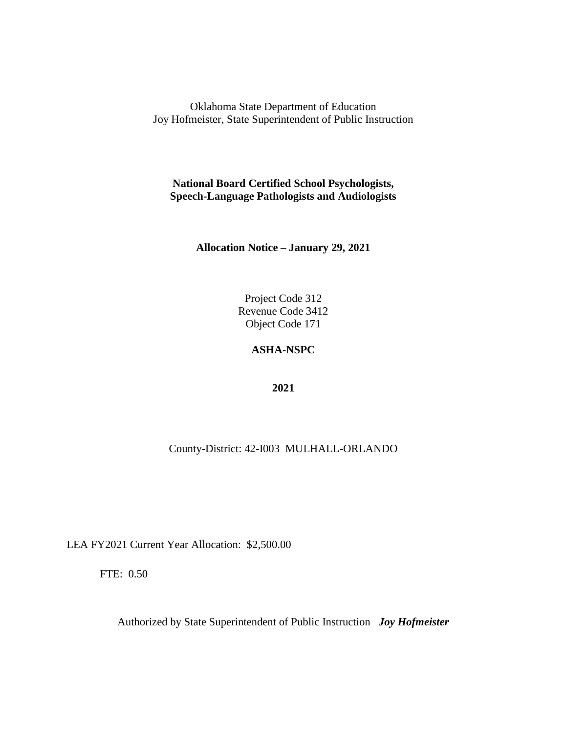**National Board Certified School Psychologists, Speech-Language Pathologists and Audiologists**

**Allocation Notice – January 29, 2021**

Project Code 312 Revenue Code 3412 Object Code 171

# **ASHA-NSPC**

**2021**

County-District: 42-I003 MULHALL-ORLANDO

LEA FY2021 Current Year Allocation: \$2,500.00

FTE: 0.50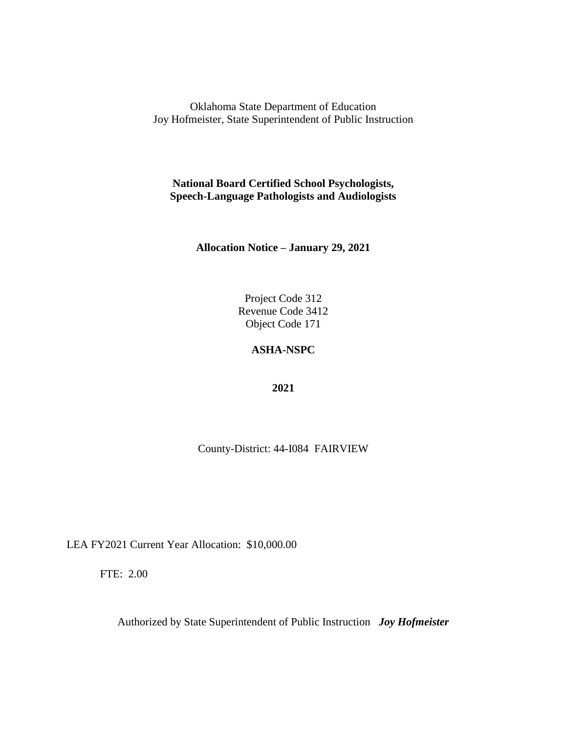**National Board Certified School Psychologists, Speech-Language Pathologists and Audiologists**

**Allocation Notice – January 29, 2021**

Project Code 312 Revenue Code 3412 Object Code 171

## **ASHA-NSPC**

**2021**

County-District: 44-I084 FAIRVIEW

LEA FY2021 Current Year Allocation: \$10,000.00

FTE: 2.00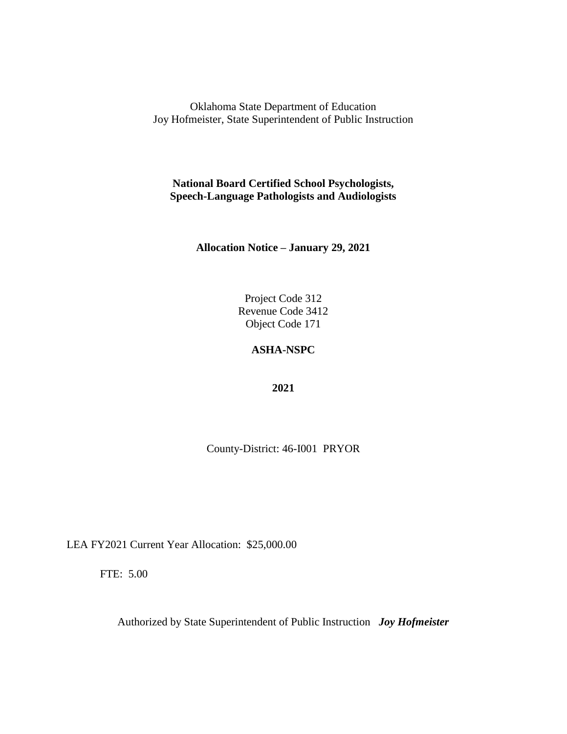**National Board Certified School Psychologists, Speech-Language Pathologists and Audiologists**

**Allocation Notice – January 29, 2021**

Project Code 312 Revenue Code 3412 Object Code 171

## **ASHA-NSPC**

**2021**

County-District: 46-I001 PRYOR

LEA FY2021 Current Year Allocation: \$25,000.00

FTE: 5.00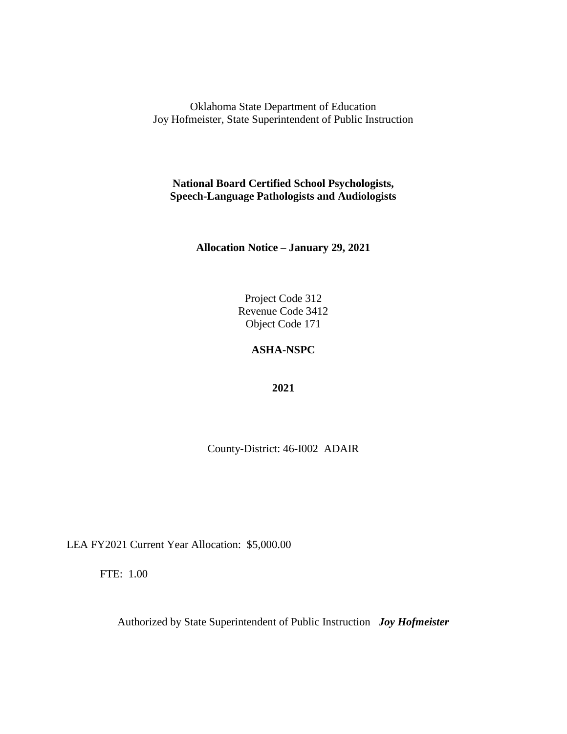**National Board Certified School Psychologists, Speech-Language Pathologists and Audiologists**

**Allocation Notice – January 29, 2021**

Project Code 312 Revenue Code 3412 Object Code 171

## **ASHA-NSPC**

**2021**

County-District: 46-I002 ADAIR

LEA FY2021 Current Year Allocation: \$5,000.00

FTE: 1.00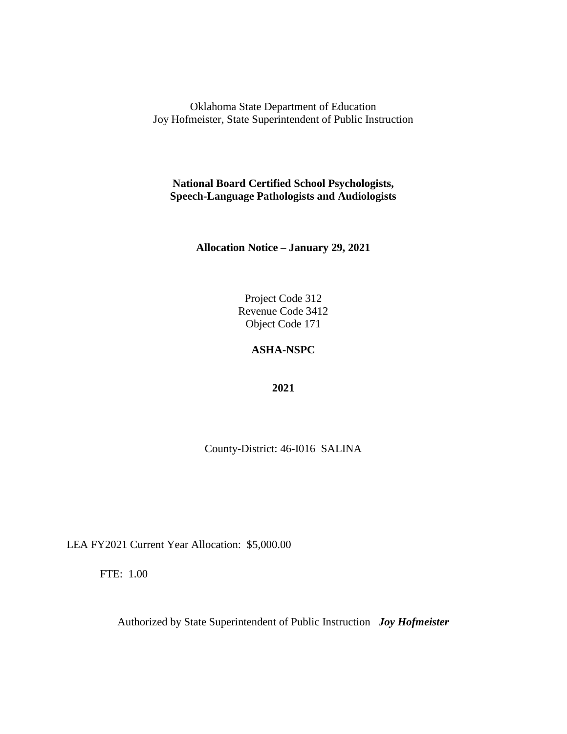**National Board Certified School Psychologists, Speech-Language Pathologists and Audiologists**

**Allocation Notice – January 29, 2021**

Project Code 312 Revenue Code 3412 Object Code 171

# **ASHA-NSPC**

**2021**

County-District: 46-I016 SALINA

LEA FY2021 Current Year Allocation: \$5,000.00

FTE: 1.00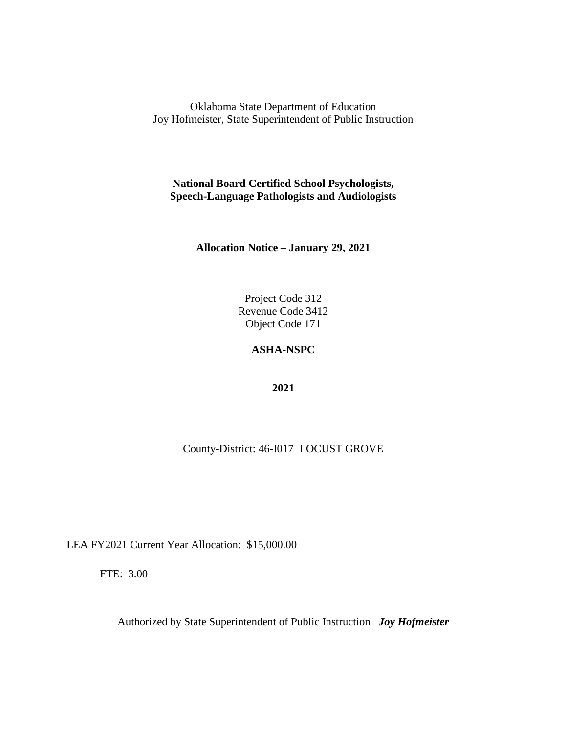**National Board Certified School Psychologists, Speech-Language Pathologists and Audiologists**

**Allocation Notice – January 29, 2021**

Project Code 312 Revenue Code 3412 Object Code 171

# **ASHA-NSPC**

**2021**

County-District: 46-I017 LOCUST GROVE

LEA FY2021 Current Year Allocation: \$15,000.00

FTE: 3.00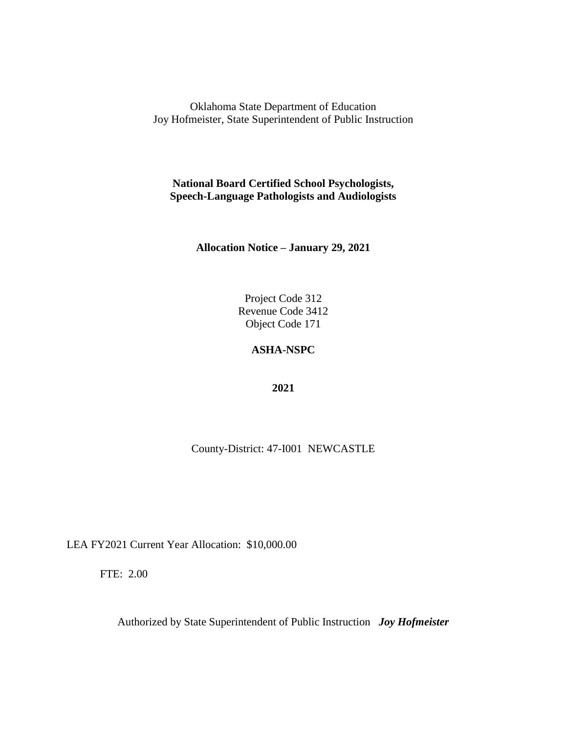**National Board Certified School Psychologists, Speech-Language Pathologists and Audiologists**

**Allocation Notice – January 29, 2021**

Project Code 312 Revenue Code 3412 Object Code 171

# **ASHA-NSPC**

**2021**

County-District: 47-I001 NEWCASTLE

LEA FY2021 Current Year Allocation: \$10,000.00

FTE: 2.00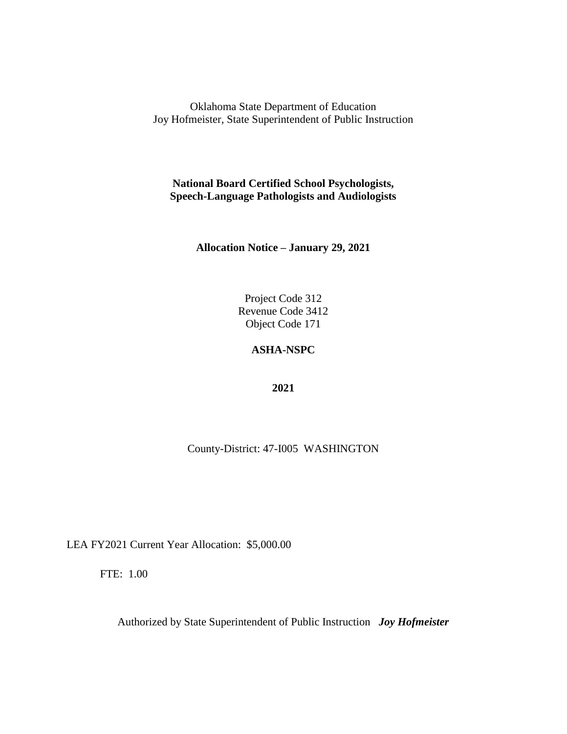**National Board Certified School Psychologists, Speech-Language Pathologists and Audiologists**

**Allocation Notice – January 29, 2021**

Project Code 312 Revenue Code 3412 Object Code 171

# **ASHA-NSPC**

**2021**

County-District: 47-I005 WASHINGTON

LEA FY2021 Current Year Allocation: \$5,000.00

FTE: 1.00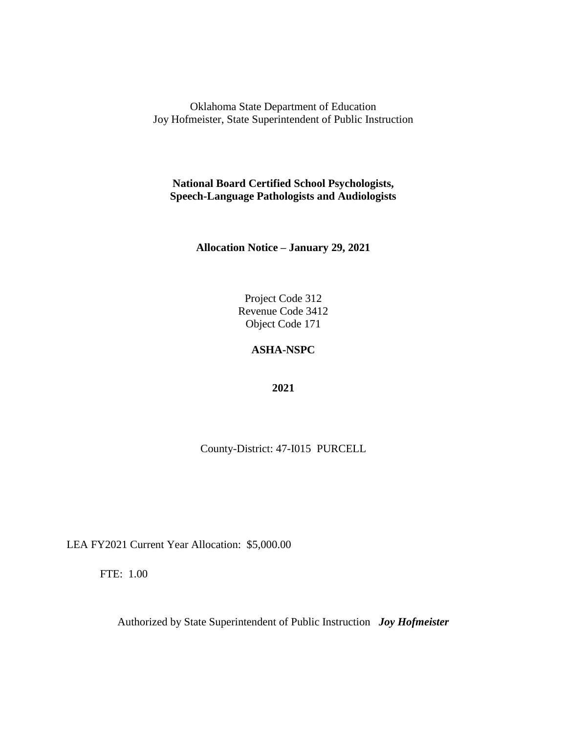**National Board Certified School Psychologists, Speech-Language Pathologists and Audiologists**

**Allocation Notice – January 29, 2021**

Project Code 312 Revenue Code 3412 Object Code 171

## **ASHA-NSPC**

**2021**

County-District: 47-I015 PURCELL

LEA FY2021 Current Year Allocation: \$5,000.00

FTE: 1.00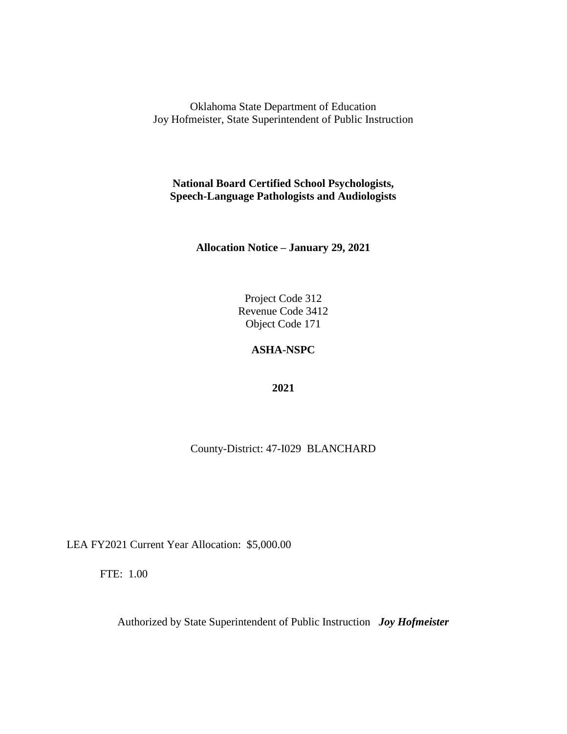**National Board Certified School Psychologists, Speech-Language Pathologists and Audiologists**

**Allocation Notice – January 29, 2021**

Project Code 312 Revenue Code 3412 Object Code 171

# **ASHA-NSPC**

**2021**

County-District: 47-I029 BLANCHARD

LEA FY2021 Current Year Allocation: \$5,000.00

FTE: 1.00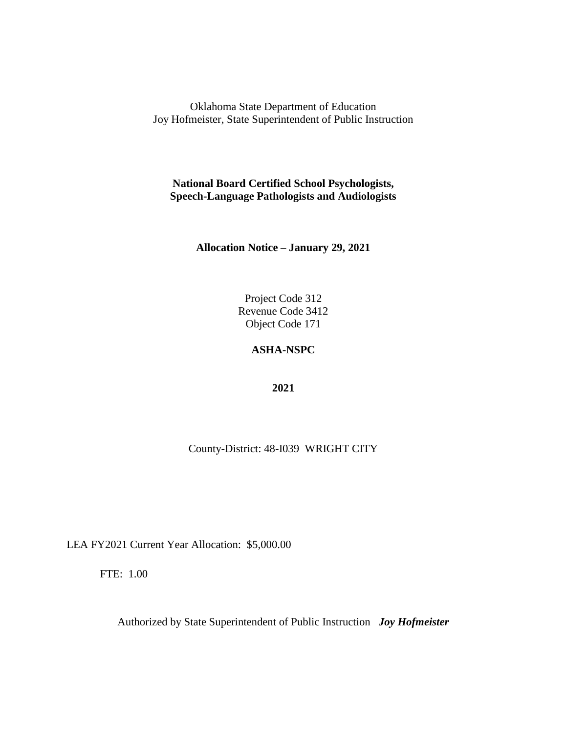**National Board Certified School Psychologists, Speech-Language Pathologists and Audiologists**

**Allocation Notice – January 29, 2021**

Project Code 312 Revenue Code 3412 Object Code 171

# **ASHA-NSPC**

**2021**

County-District: 48-I039 WRIGHT CITY

LEA FY2021 Current Year Allocation: \$5,000.00

FTE: 1.00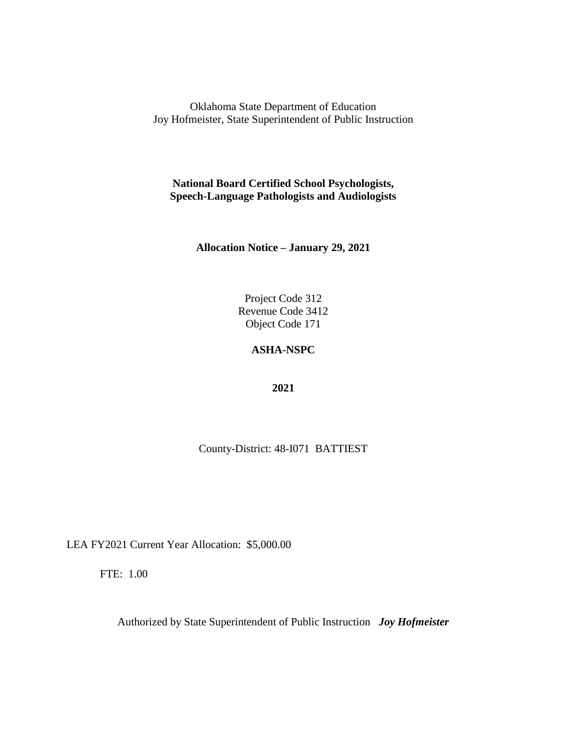**National Board Certified School Psychologists, Speech-Language Pathologists and Audiologists**

**Allocation Notice – January 29, 2021**

Project Code 312 Revenue Code 3412 Object Code 171

## **ASHA-NSPC**

**2021**

County-District: 48-I071 BATTIEST

LEA FY2021 Current Year Allocation: \$5,000.00

FTE: 1.00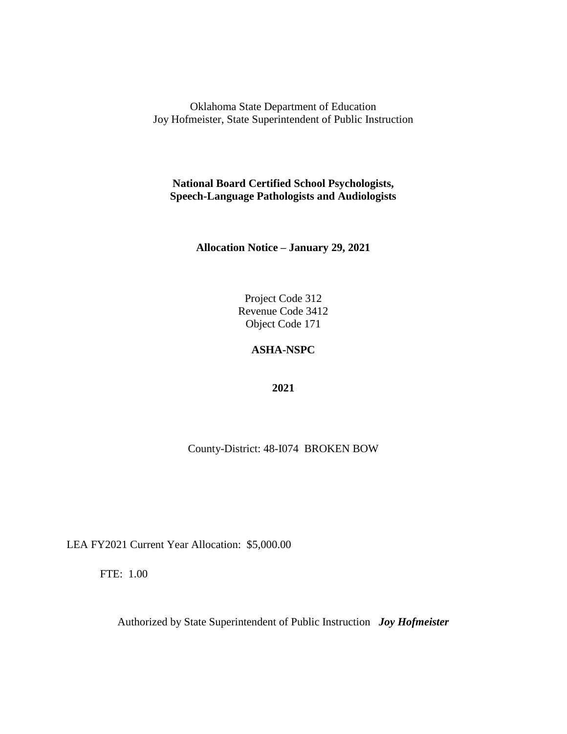**National Board Certified School Psychologists, Speech-Language Pathologists and Audiologists**

**Allocation Notice – January 29, 2021**

Project Code 312 Revenue Code 3412 Object Code 171

# **ASHA-NSPC**

**2021**

County-District: 48-I074 BROKEN BOW

LEA FY2021 Current Year Allocation: \$5,000.00

FTE: 1.00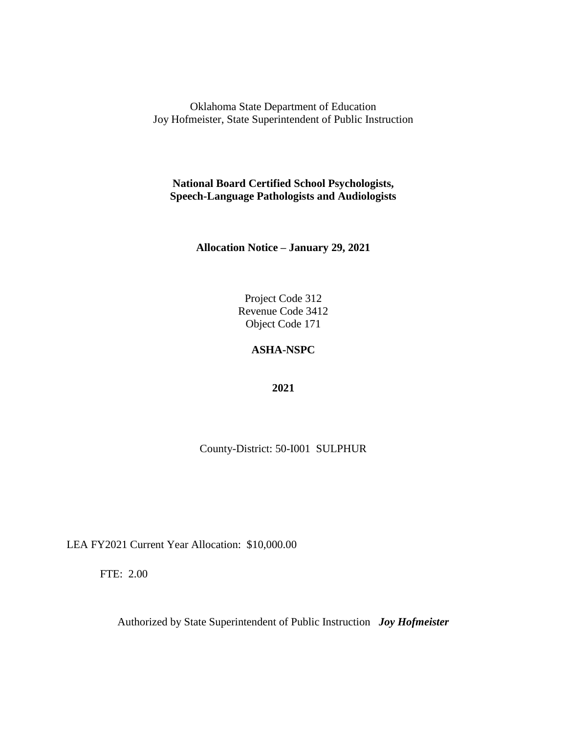**National Board Certified School Psychologists, Speech-Language Pathologists and Audiologists**

**Allocation Notice – January 29, 2021**

Project Code 312 Revenue Code 3412 Object Code 171

# **ASHA-NSPC**

**2021**

County-District: 50-I001 SULPHUR

LEA FY2021 Current Year Allocation: \$10,000.00

FTE: 2.00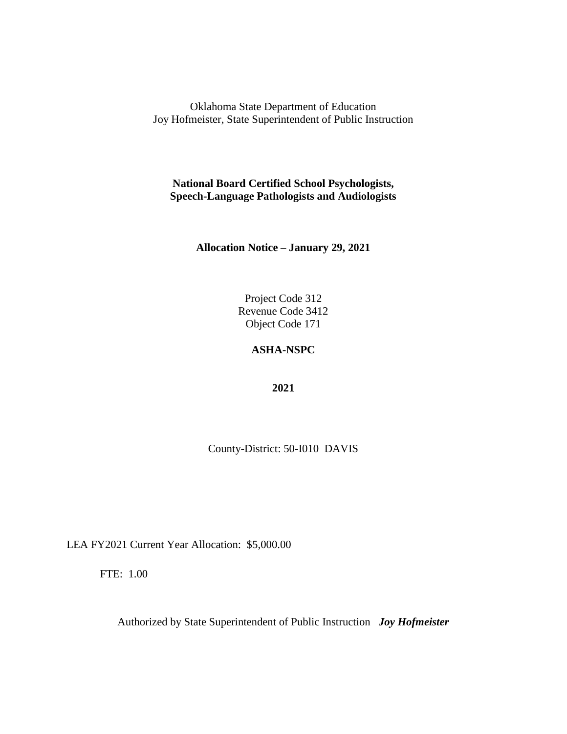**National Board Certified School Psychologists, Speech-Language Pathologists and Audiologists**

**Allocation Notice – January 29, 2021**

Project Code 312 Revenue Code 3412 Object Code 171

## **ASHA-NSPC**

**2021**

County-District: 50-I010 DAVIS

LEA FY2021 Current Year Allocation: \$5,000.00

FTE: 1.00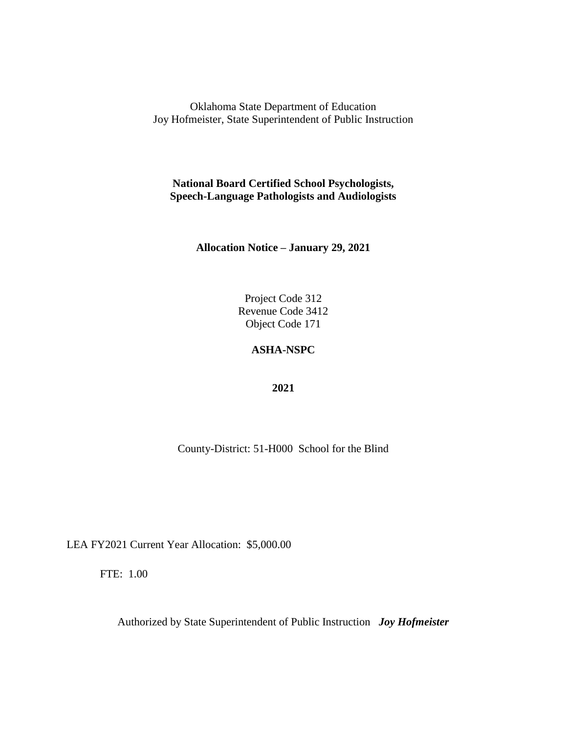**National Board Certified School Psychologists, Speech-Language Pathologists and Audiologists**

**Allocation Notice – January 29, 2021**

Project Code 312 Revenue Code 3412 Object Code 171

## **ASHA-NSPC**

**2021**

County-District: 51-H000 School for the Blind

LEA FY2021 Current Year Allocation: \$5,000.00

FTE: 1.00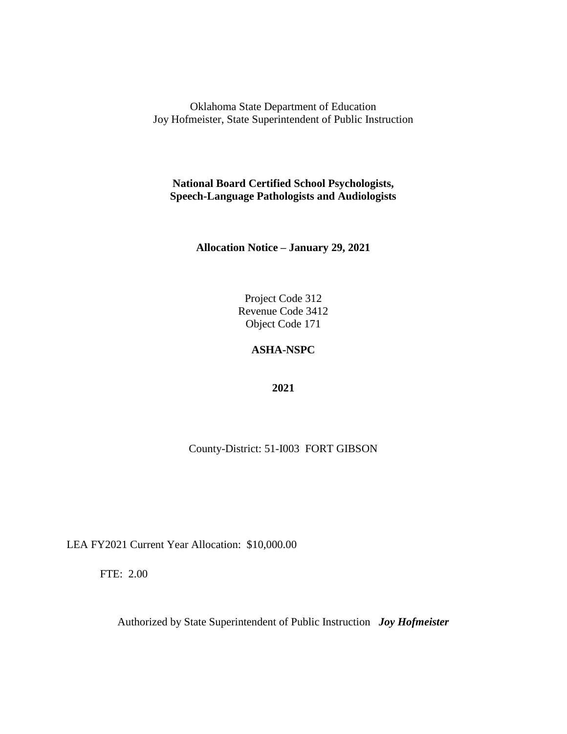**National Board Certified School Psychologists, Speech-Language Pathologists and Audiologists**

**Allocation Notice – January 29, 2021**

Project Code 312 Revenue Code 3412 Object Code 171

### **ASHA-NSPC**

**2021**

County-District: 51-I003 FORT GIBSON

LEA FY2021 Current Year Allocation: \$10,000.00

FTE: 2.00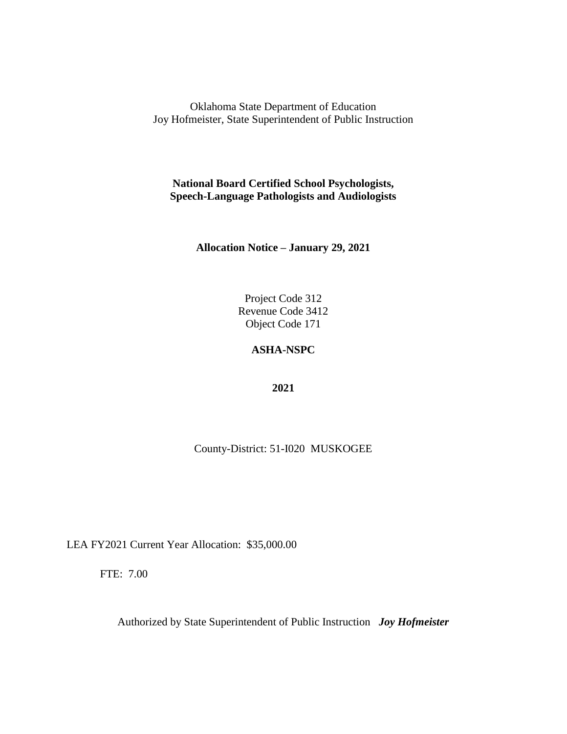**National Board Certified School Psychologists, Speech-Language Pathologists and Audiologists**

**Allocation Notice – January 29, 2021**

Project Code 312 Revenue Code 3412 Object Code 171

### **ASHA-NSPC**

**2021**

County-District: 51-I020 MUSKOGEE

LEA FY2021 Current Year Allocation: \$35,000.00

FTE: 7.00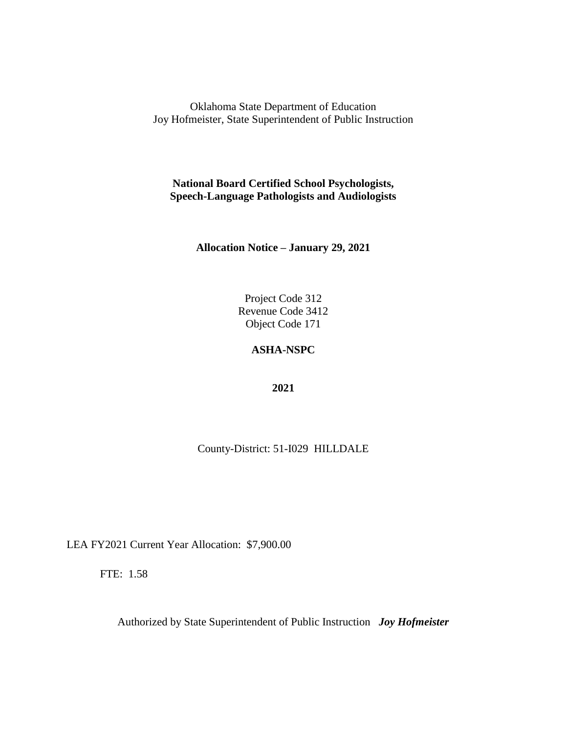**National Board Certified School Psychologists, Speech-Language Pathologists and Audiologists**

**Allocation Notice – January 29, 2021**

Project Code 312 Revenue Code 3412 Object Code 171

#### **ASHA-NSPC**

**2021**

County-District: 51-I029 HILLDALE

LEA FY2021 Current Year Allocation: \$7,900.00

FTE: 1.58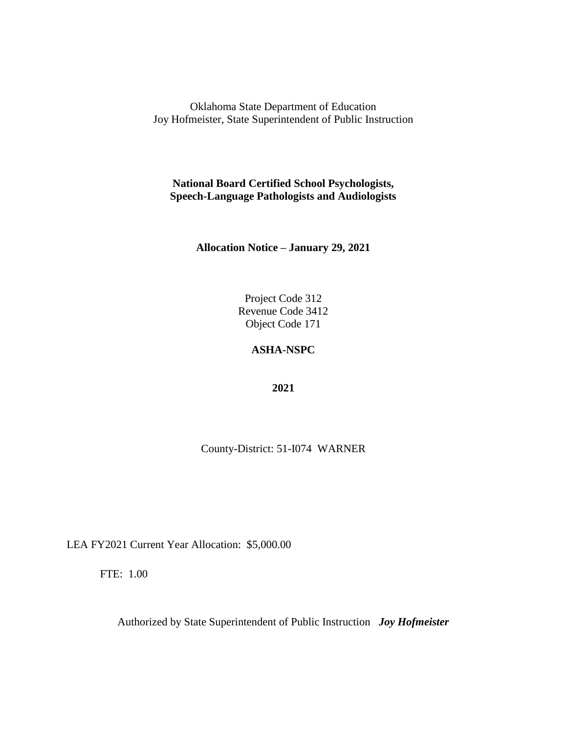**National Board Certified School Psychologists, Speech-Language Pathologists and Audiologists**

**Allocation Notice – January 29, 2021**

Project Code 312 Revenue Code 3412 Object Code 171

#### **ASHA-NSPC**

**2021**

County-District: 51-I074 WARNER

LEA FY2021 Current Year Allocation: \$5,000.00

FTE: 1.00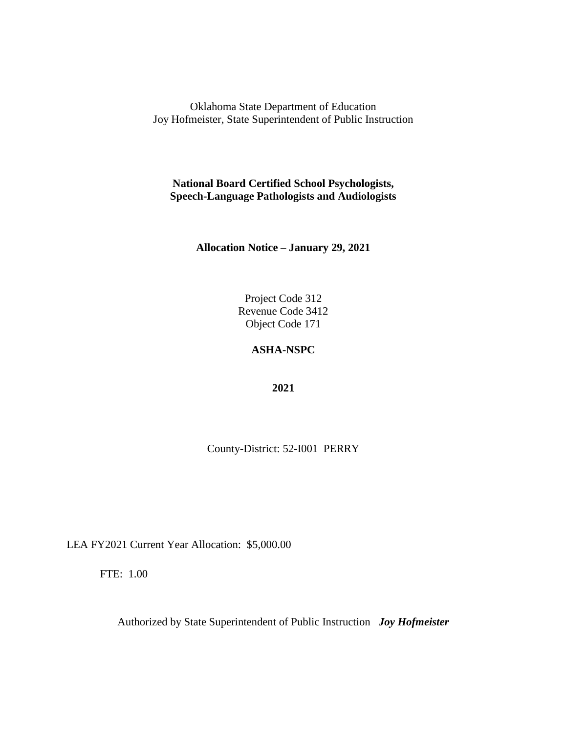**National Board Certified School Psychologists, Speech-Language Pathologists and Audiologists**

**Allocation Notice – January 29, 2021**

Project Code 312 Revenue Code 3412 Object Code 171

#### **ASHA-NSPC**

**2021**

County-District: 52-I001 PERRY

LEA FY2021 Current Year Allocation: \$5,000.00

FTE: 1.00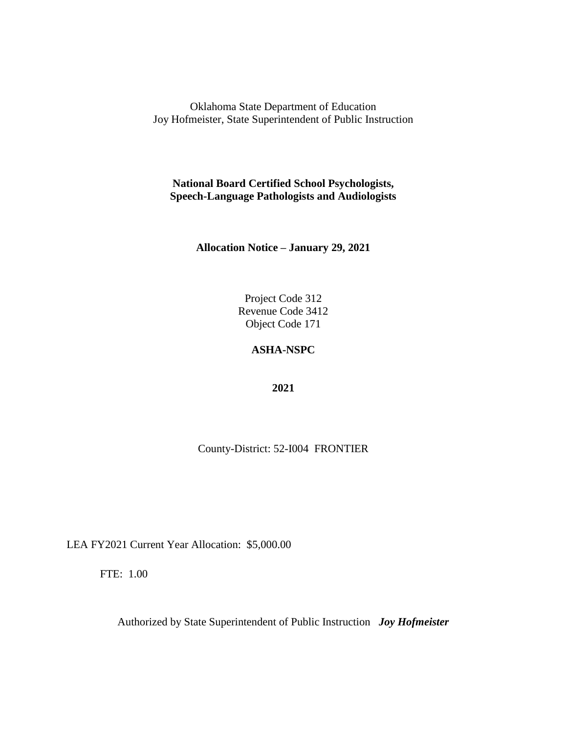**National Board Certified School Psychologists, Speech-Language Pathologists and Audiologists**

**Allocation Notice – January 29, 2021**

Project Code 312 Revenue Code 3412 Object Code 171

#### **ASHA-NSPC**

**2021**

County-District: 52-I004 FRONTIER

LEA FY2021 Current Year Allocation: \$5,000.00

FTE: 1.00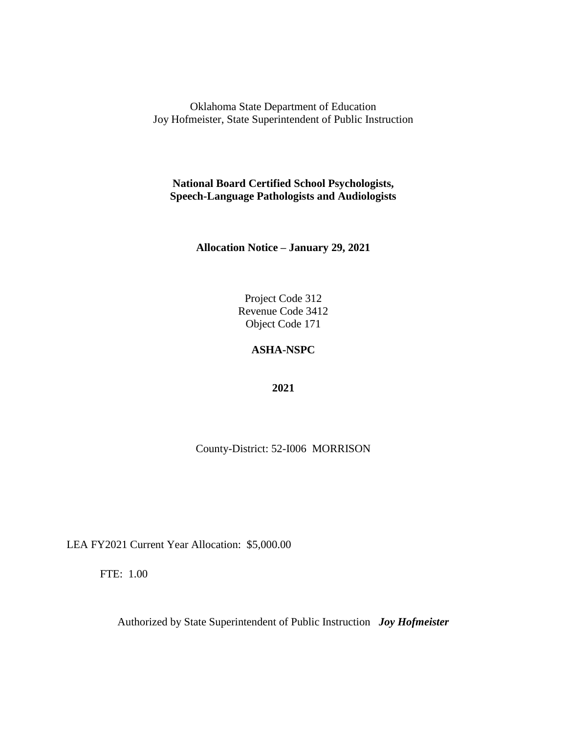**National Board Certified School Psychologists, Speech-Language Pathologists and Audiologists**

**Allocation Notice – January 29, 2021**

Project Code 312 Revenue Code 3412 Object Code 171

#### **ASHA-NSPC**

**2021**

County-District: 52-I006 MORRISON

LEA FY2021 Current Year Allocation: \$5,000.00

FTE: 1.00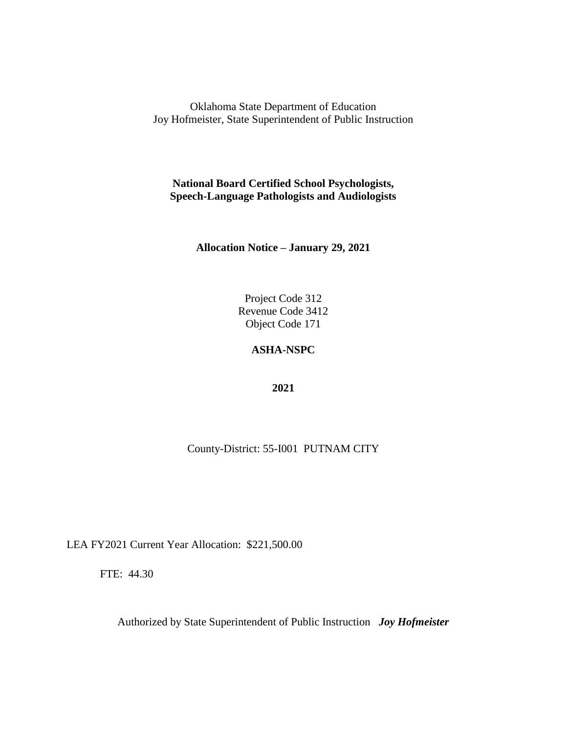**National Board Certified School Psychologists, Speech-Language Pathologists and Audiologists**

**Allocation Notice – January 29, 2021**

Project Code 312 Revenue Code 3412 Object Code 171

### **ASHA-NSPC**

**2021**

County-District: 55-I001 PUTNAM CITY

LEA FY2021 Current Year Allocation: \$221,500.00

FTE: 44.30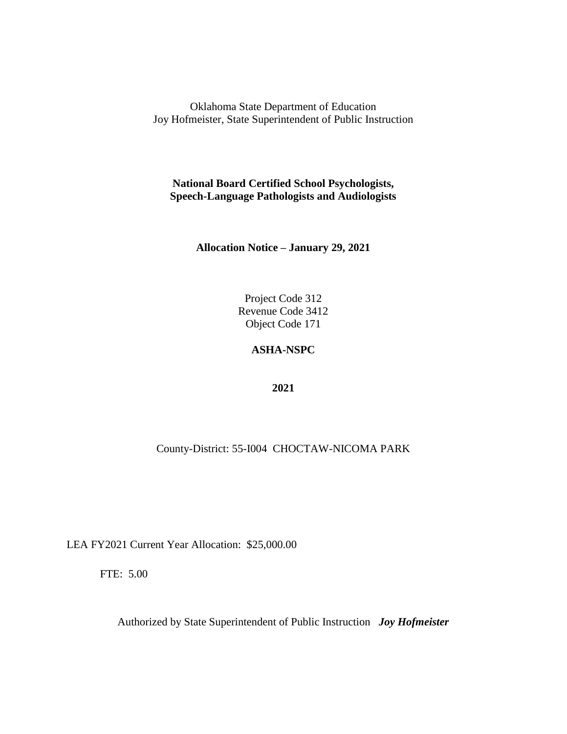**National Board Certified School Psychologists, Speech-Language Pathologists and Audiologists**

**Allocation Notice – January 29, 2021**

Project Code 312 Revenue Code 3412 Object Code 171

### **ASHA-NSPC**

**2021**

# County-District: 55-I004 CHOCTAW-NICOMA PARK

LEA FY2021 Current Year Allocation: \$25,000.00

FTE: 5.00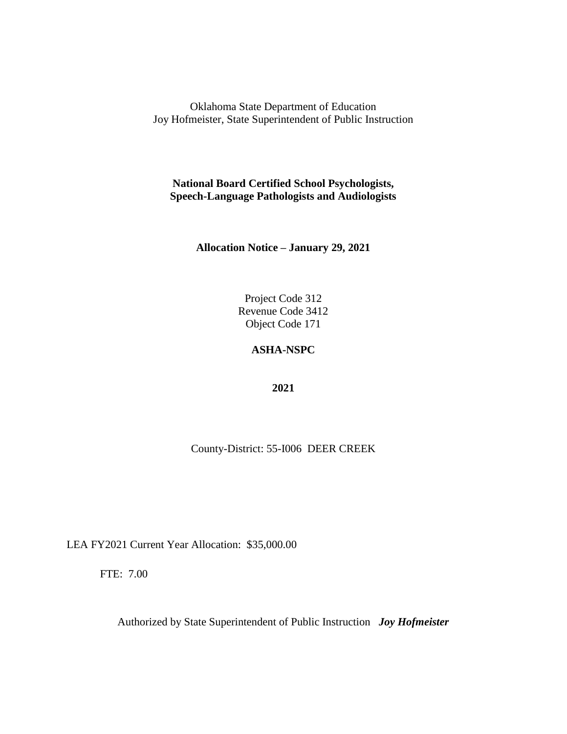**National Board Certified School Psychologists, Speech-Language Pathologists and Audiologists**

**Allocation Notice – January 29, 2021**

Project Code 312 Revenue Code 3412 Object Code 171

### **ASHA-NSPC**

**2021**

County-District: 55-I006 DEER CREEK

LEA FY2021 Current Year Allocation: \$35,000.00

FTE: 7.00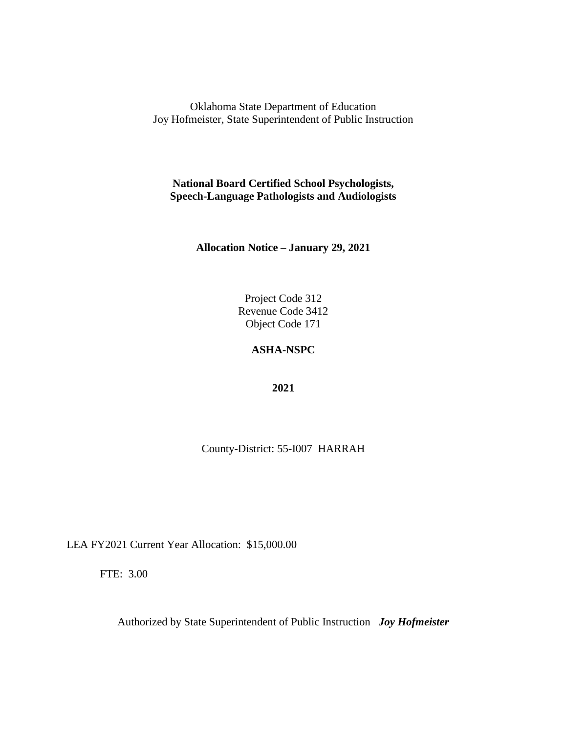**National Board Certified School Psychologists, Speech-Language Pathologists and Audiologists**

**Allocation Notice – January 29, 2021**

Project Code 312 Revenue Code 3412 Object Code 171

#### **ASHA-NSPC**

**2021**

County-District: 55-I007 HARRAH

LEA FY2021 Current Year Allocation: \$15,000.00

FTE: 3.00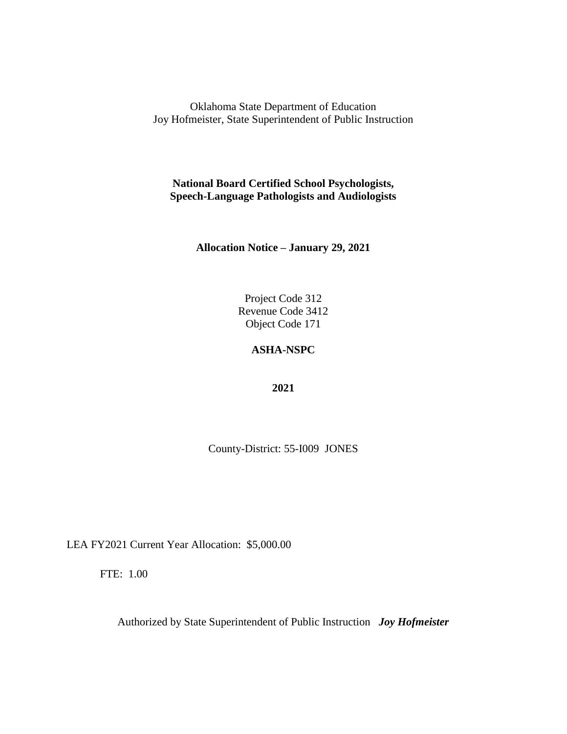**National Board Certified School Psychologists, Speech-Language Pathologists and Audiologists**

**Allocation Notice – January 29, 2021**

Project Code 312 Revenue Code 3412 Object Code 171

#### **ASHA-NSPC**

**2021**

County-District: 55-I009 JONES

LEA FY2021 Current Year Allocation: \$5,000.00

FTE: 1.00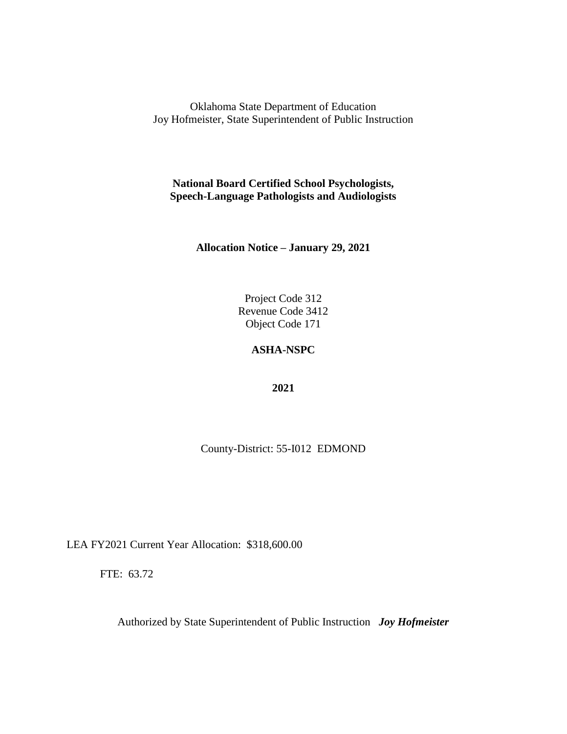**National Board Certified School Psychologists, Speech-Language Pathologists and Audiologists**

**Allocation Notice – January 29, 2021**

Project Code 312 Revenue Code 3412 Object Code 171

#### **ASHA-NSPC**

**2021**

County-District: 55-I012 EDMOND

LEA FY2021 Current Year Allocation: \$318,600.00

FTE: 63.72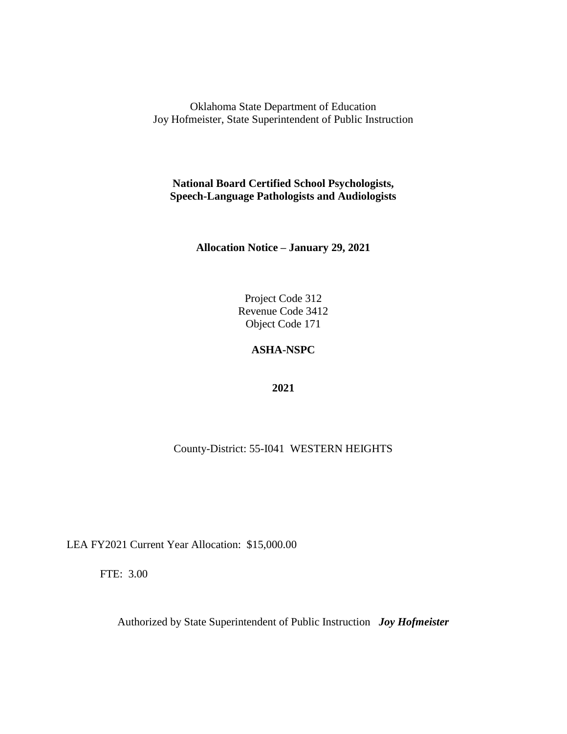**National Board Certified School Psychologists, Speech-Language Pathologists and Audiologists**

**Allocation Notice – January 29, 2021**

Project Code 312 Revenue Code 3412 Object Code 171

### **ASHA-NSPC**

**2021**

County-District: 55-I041 WESTERN HEIGHTS

LEA FY2021 Current Year Allocation: \$15,000.00

FTE: 3.00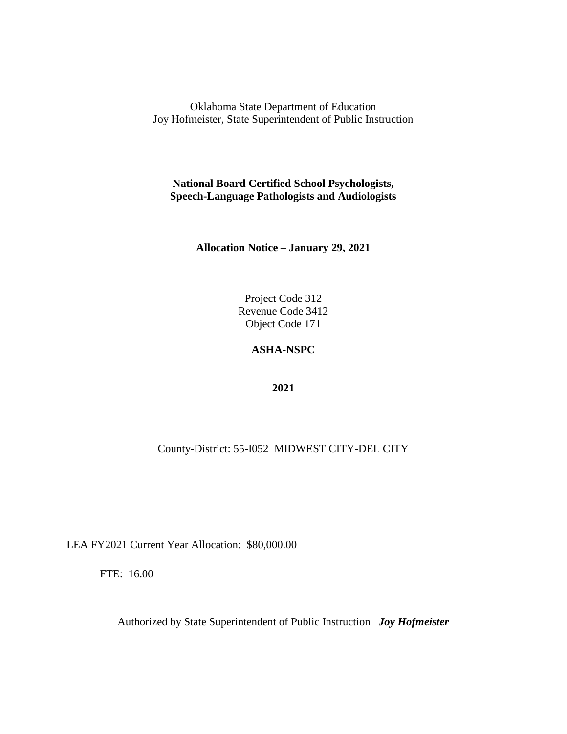**National Board Certified School Psychologists, Speech-Language Pathologists and Audiologists**

**Allocation Notice – January 29, 2021**

Project Code 312 Revenue Code 3412 Object Code 171

### **ASHA-NSPC**

**2021**

## County-District: 55-I052 MIDWEST CITY-DEL CITY

LEA FY2021 Current Year Allocation: \$80,000.00

FTE: 16.00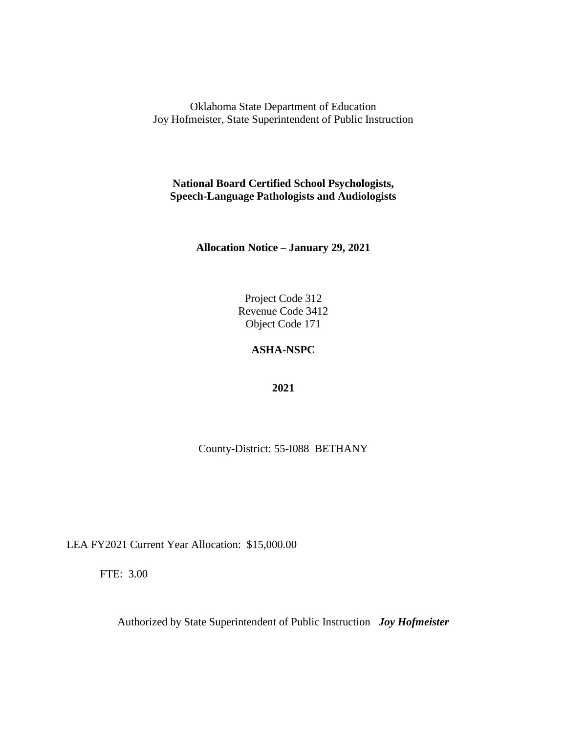**National Board Certified School Psychologists, Speech-Language Pathologists and Audiologists**

**Allocation Notice – January 29, 2021**

Project Code 312 Revenue Code 3412 Object Code 171

#### **ASHA-NSPC**

**2021**

County-District: 55-I088 BETHANY

LEA FY2021 Current Year Allocation: \$15,000.00

FTE: 3.00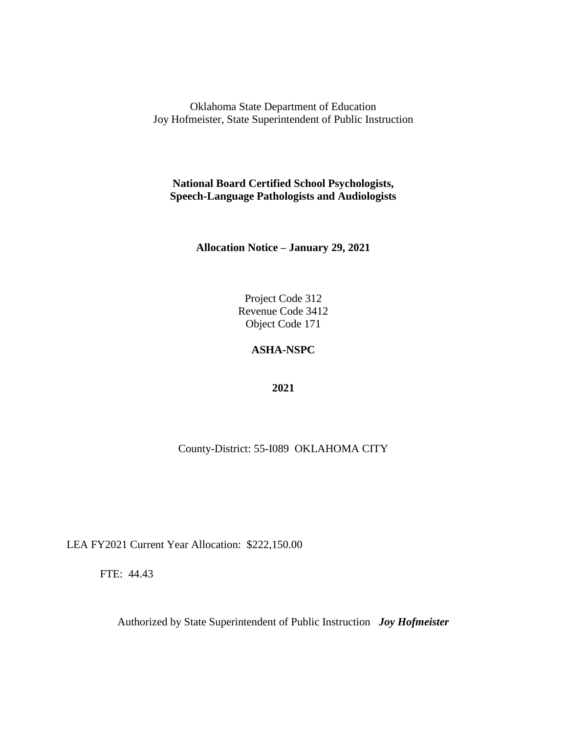**National Board Certified School Psychologists, Speech-Language Pathologists and Audiologists**

**Allocation Notice – January 29, 2021**

Project Code 312 Revenue Code 3412 Object Code 171

### **ASHA-NSPC**

**2021**

County-District: 55-I089 OKLAHOMA CITY

LEA FY2021 Current Year Allocation: \$222,150.00

FTE: 44.43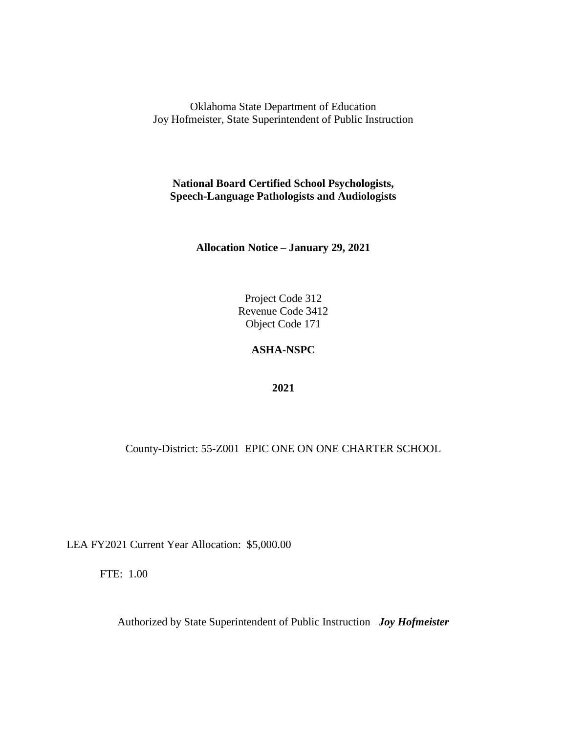**National Board Certified School Psychologists, Speech-Language Pathologists and Audiologists**

**Allocation Notice – January 29, 2021**

Project Code 312 Revenue Code 3412 Object Code 171

#### **ASHA-NSPC**

**2021**

County-District: 55-Z001 EPIC ONE ON ONE CHARTER SCHOOL

LEA FY2021 Current Year Allocation: \$5,000.00

FTE: 1.00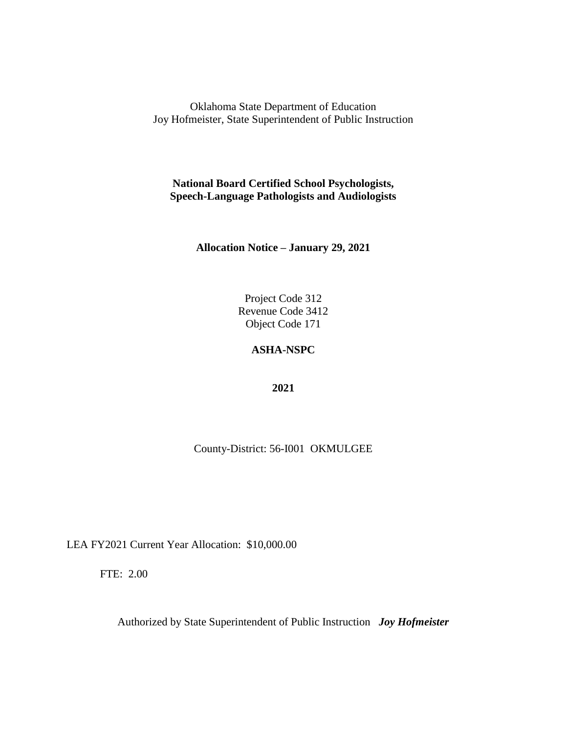**National Board Certified School Psychologists, Speech-Language Pathologists and Audiologists**

**Allocation Notice – January 29, 2021**

Project Code 312 Revenue Code 3412 Object Code 171

### **ASHA-NSPC**

**2021**

County-District: 56-I001 OKMULGEE

LEA FY2021 Current Year Allocation: \$10,000.00

FTE: 2.00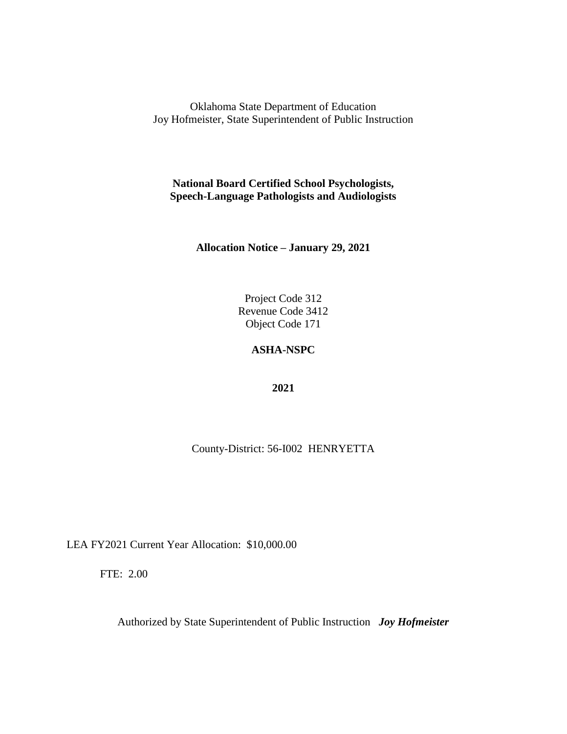**National Board Certified School Psychologists, Speech-Language Pathologists and Audiologists**

**Allocation Notice – January 29, 2021**

Project Code 312 Revenue Code 3412 Object Code 171

### **ASHA-NSPC**

**2021**

County-District: 56-I002 HENRYETTA

LEA FY2021 Current Year Allocation: \$10,000.00

FTE: 2.00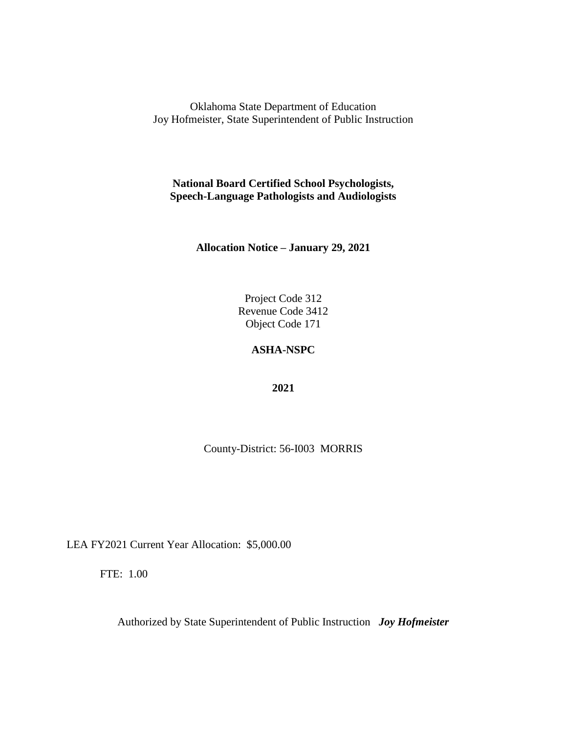**National Board Certified School Psychologists, Speech-Language Pathologists and Audiologists**

**Allocation Notice – January 29, 2021**

Project Code 312 Revenue Code 3412 Object Code 171

#### **ASHA-NSPC**

**2021**

County-District: 56-I003 MORRIS

LEA FY2021 Current Year Allocation: \$5,000.00

FTE: 1.00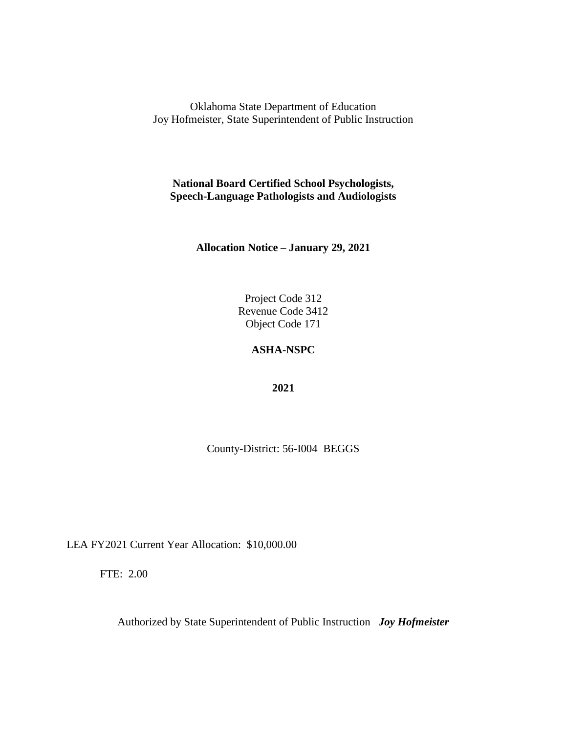**National Board Certified School Psychologists, Speech-Language Pathologists and Audiologists**

**Allocation Notice – January 29, 2021**

Project Code 312 Revenue Code 3412 Object Code 171

### **ASHA-NSPC**

**2021**

County-District: 56-I004 BEGGS

LEA FY2021 Current Year Allocation: \$10,000.00

FTE: 2.00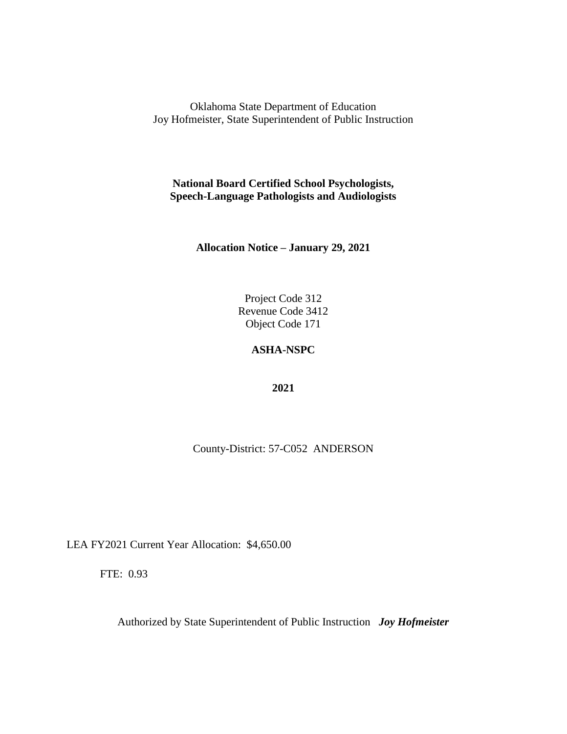**National Board Certified School Psychologists, Speech-Language Pathologists and Audiologists**

**Allocation Notice – January 29, 2021**

Project Code 312 Revenue Code 3412 Object Code 171

### **ASHA-NSPC**

**2021**

County-District: 57-C052 ANDERSON

LEA FY2021 Current Year Allocation: \$4,650.00

FTE: 0.93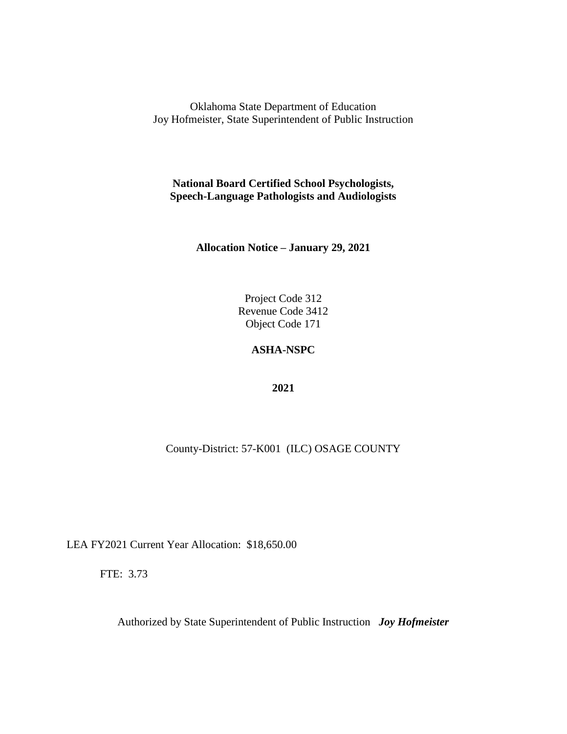**National Board Certified School Psychologists, Speech-Language Pathologists and Audiologists**

**Allocation Notice – January 29, 2021**

Project Code 312 Revenue Code 3412 Object Code 171

### **ASHA-NSPC**

**2021**

County-District: 57-K001 (ILC) OSAGE COUNTY

LEA FY2021 Current Year Allocation: \$18,650.00

FTE: 3.73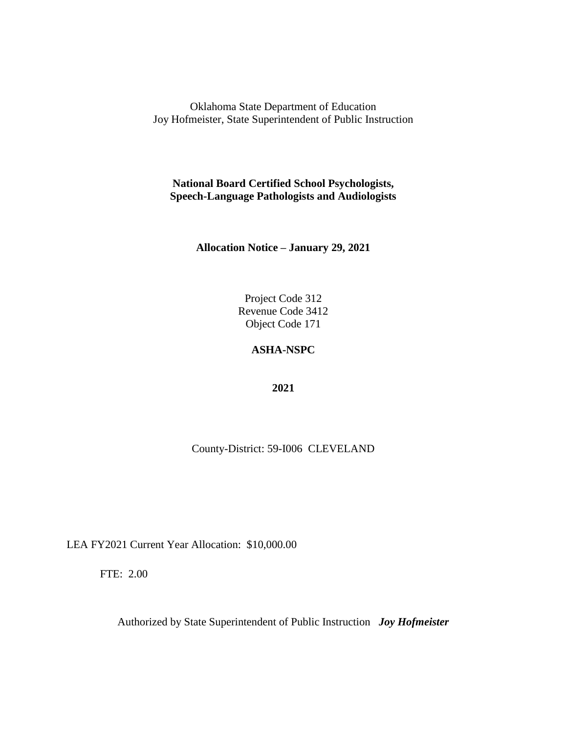**National Board Certified School Psychologists, Speech-Language Pathologists and Audiologists**

**Allocation Notice – January 29, 2021**

Project Code 312 Revenue Code 3412 Object Code 171

### **ASHA-NSPC**

**2021**

County-District: 59-I006 CLEVELAND

LEA FY2021 Current Year Allocation: \$10,000.00

FTE: 2.00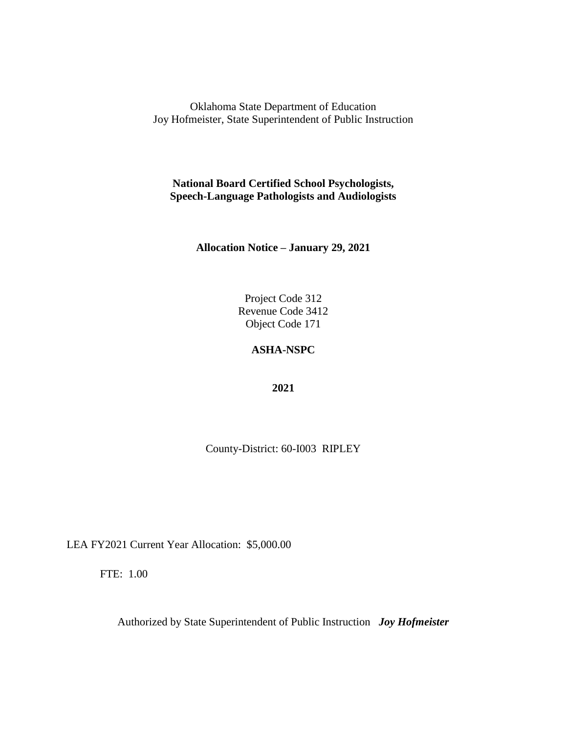**National Board Certified School Psychologists, Speech-Language Pathologists and Audiologists**

**Allocation Notice – January 29, 2021**

Project Code 312 Revenue Code 3412 Object Code 171

#### **ASHA-NSPC**

**2021**

County-District: 60-I003 RIPLEY

LEA FY2021 Current Year Allocation: \$5,000.00

FTE: 1.00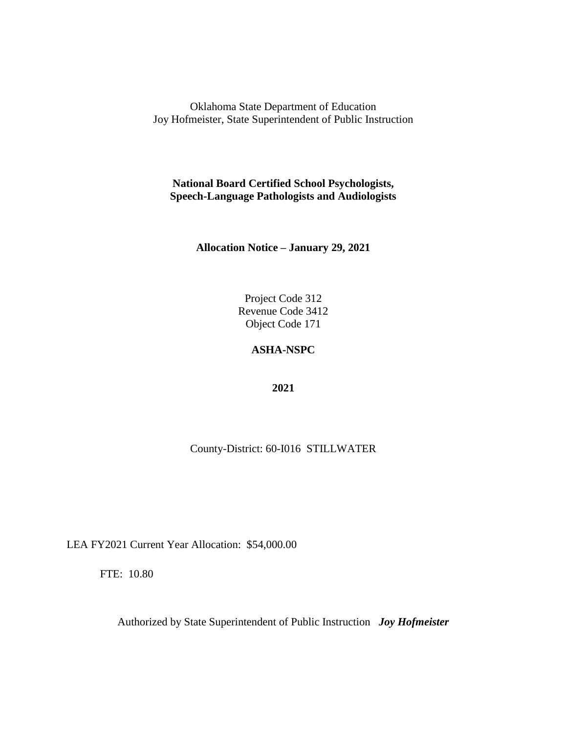**National Board Certified School Psychologists, Speech-Language Pathologists and Audiologists**

**Allocation Notice – January 29, 2021**

Project Code 312 Revenue Code 3412 Object Code 171

### **ASHA-NSPC**

**2021**

County-District: 60-I016 STILLWATER

LEA FY2021 Current Year Allocation: \$54,000.00

FTE: 10.80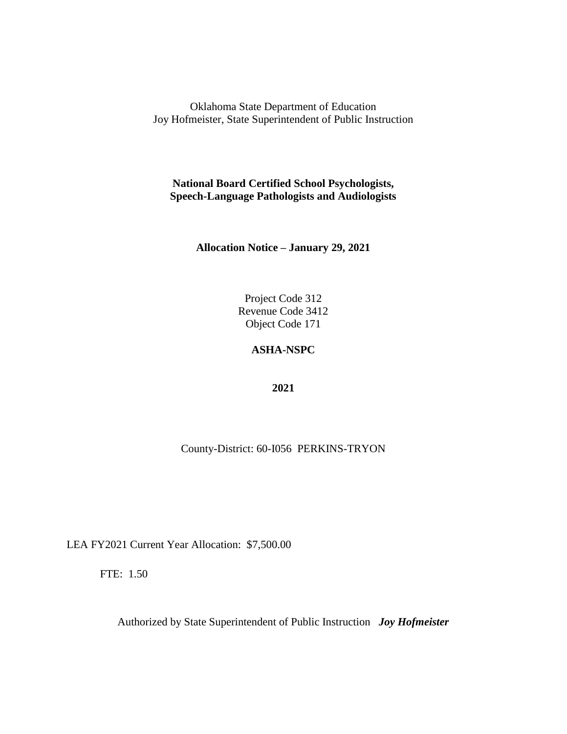**National Board Certified School Psychologists, Speech-Language Pathologists and Audiologists**

**Allocation Notice – January 29, 2021**

Project Code 312 Revenue Code 3412 Object Code 171

### **ASHA-NSPC**

**2021**

County-District: 60-I056 PERKINS-TRYON

LEA FY2021 Current Year Allocation: \$7,500.00

FTE: 1.50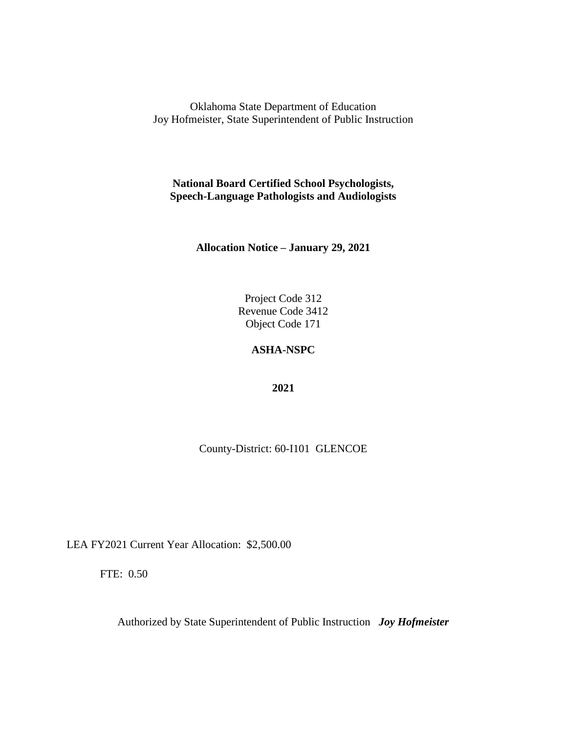**National Board Certified School Psychologists, Speech-Language Pathologists and Audiologists**

**Allocation Notice – January 29, 2021**

Project Code 312 Revenue Code 3412 Object Code 171

### **ASHA-NSPC**

**2021**

County-District: 60-I101 GLENCOE

LEA FY2021 Current Year Allocation: \$2,500.00

FTE: 0.50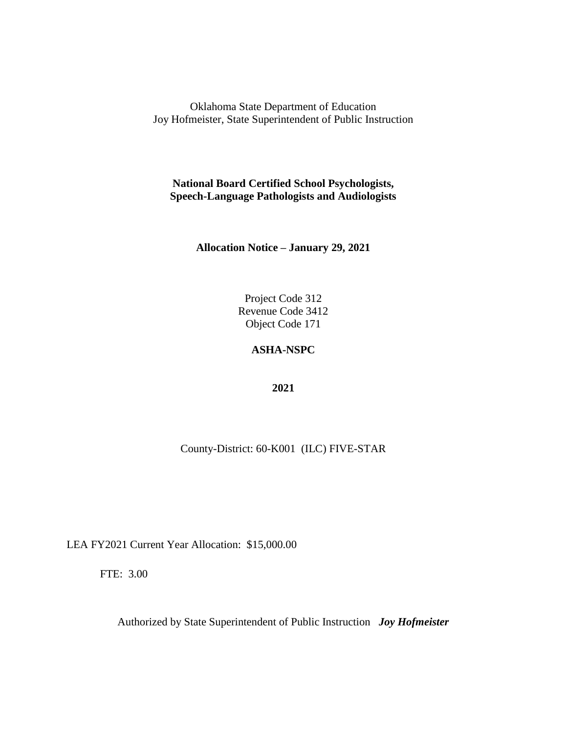**National Board Certified School Psychologists, Speech-Language Pathologists and Audiologists**

**Allocation Notice – January 29, 2021**

Project Code 312 Revenue Code 3412 Object Code 171

### **ASHA-NSPC**

**2021**

County-District: 60-K001 (ILC) FIVE-STAR

LEA FY2021 Current Year Allocation: \$15,000.00

FTE: 3.00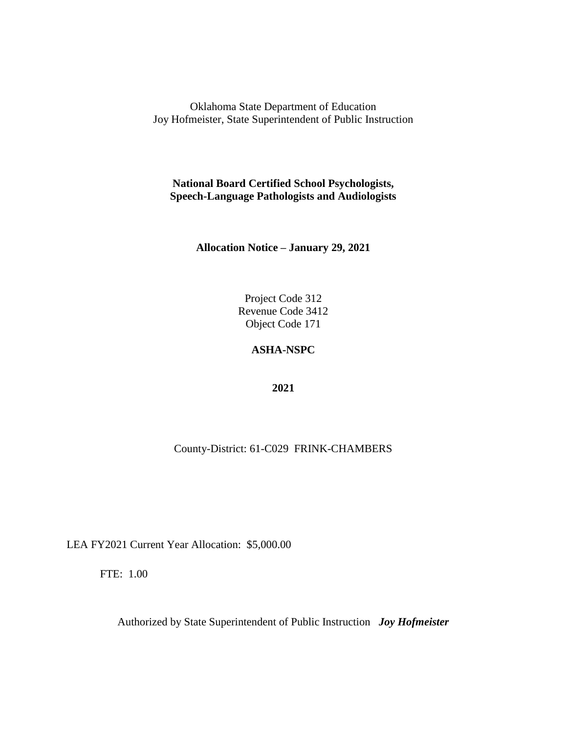**National Board Certified School Psychologists, Speech-Language Pathologists and Audiologists**

**Allocation Notice – January 29, 2021**

Project Code 312 Revenue Code 3412 Object Code 171

### **ASHA-NSPC**

**2021**

County-District: 61-C029 FRINK-CHAMBERS

LEA FY2021 Current Year Allocation: \$5,000.00

FTE: 1.00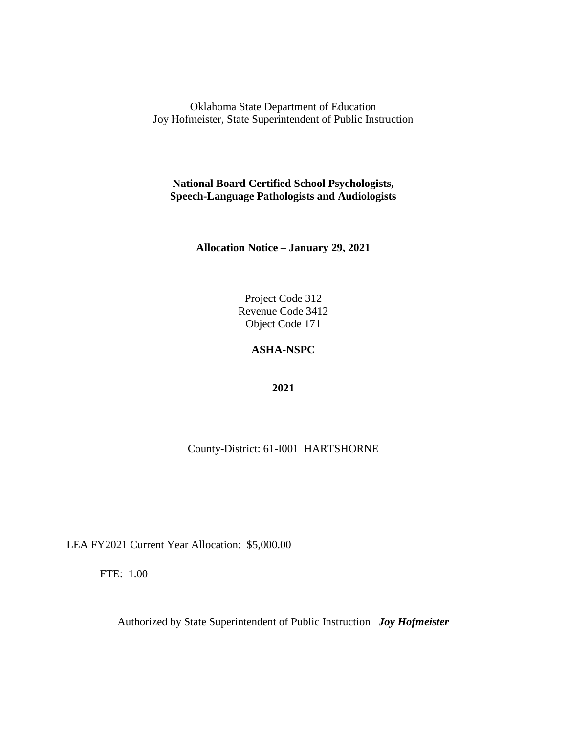**National Board Certified School Psychologists, Speech-Language Pathologists and Audiologists**

**Allocation Notice – January 29, 2021**

Project Code 312 Revenue Code 3412 Object Code 171

### **ASHA-NSPC**

**2021**

County-District: 61-I001 HARTSHORNE

LEA FY2021 Current Year Allocation: \$5,000.00

FTE: 1.00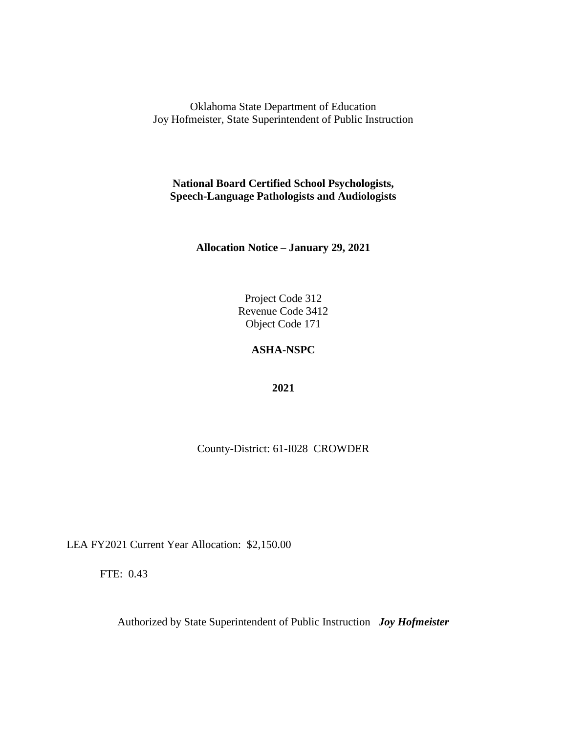**National Board Certified School Psychologists, Speech-Language Pathologists and Audiologists**

**Allocation Notice – January 29, 2021**

Project Code 312 Revenue Code 3412 Object Code 171

#### **ASHA-NSPC**

**2021**

County-District: 61-I028 CROWDER

LEA FY2021 Current Year Allocation: \$2,150.00

FTE: 0.43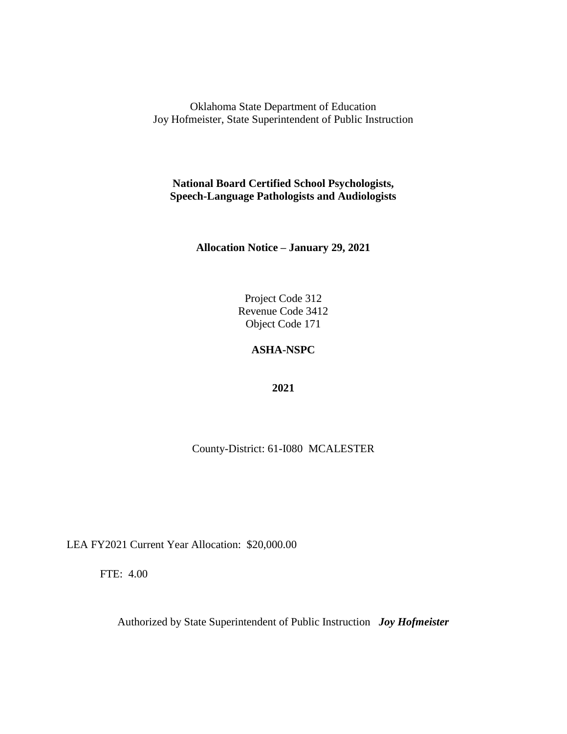**National Board Certified School Psychologists, Speech-Language Pathologists and Audiologists**

**Allocation Notice – January 29, 2021**

Project Code 312 Revenue Code 3412 Object Code 171

### **ASHA-NSPC**

**2021**

County-District: 61-I080 MCALESTER

LEA FY2021 Current Year Allocation: \$20,000.00

FTE: 4.00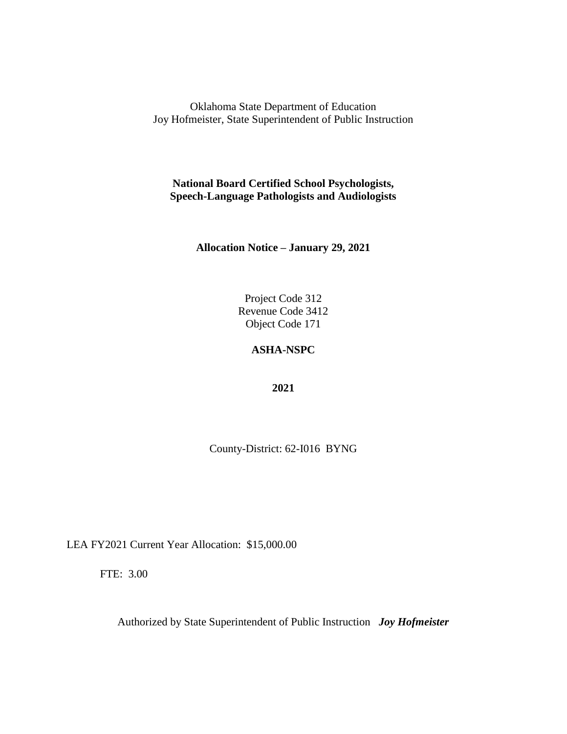**National Board Certified School Psychologists, Speech-Language Pathologists and Audiologists**

**Allocation Notice – January 29, 2021**

Project Code 312 Revenue Code 3412 Object Code 171

### **ASHA-NSPC**

**2021**

County-District: 62-I016 BYNG

LEA FY2021 Current Year Allocation: \$15,000.00

FTE: 3.00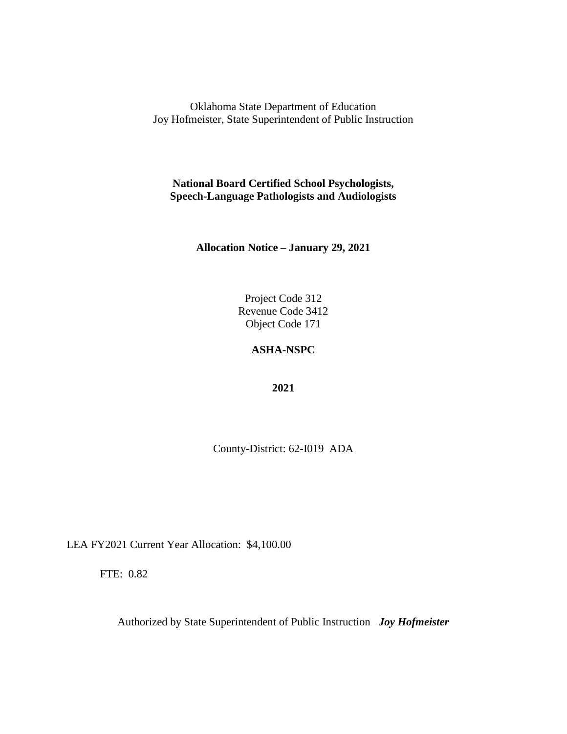**National Board Certified School Psychologists, Speech-Language Pathologists and Audiologists**

**Allocation Notice – January 29, 2021**

Project Code 312 Revenue Code 3412 Object Code 171

#### **ASHA-NSPC**

**2021**

County-District: 62-I019 ADA

LEA FY2021 Current Year Allocation: \$4,100.00

FTE: 0.82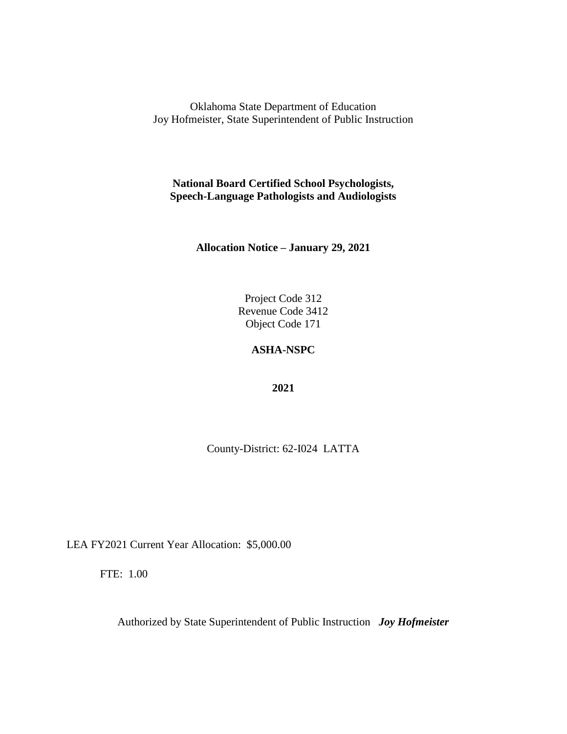**National Board Certified School Psychologists, Speech-Language Pathologists and Audiologists**

**Allocation Notice – January 29, 2021**

Project Code 312 Revenue Code 3412 Object Code 171

### **ASHA-NSPC**

**2021**

County-District: 62-I024 LATTA

LEA FY2021 Current Year Allocation: \$5,000.00

FTE: 1.00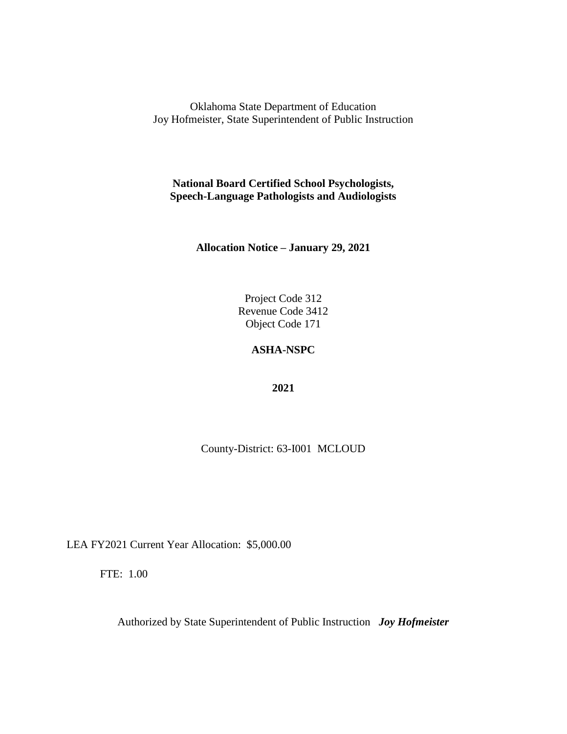**National Board Certified School Psychologists, Speech-Language Pathologists and Audiologists**

**Allocation Notice – January 29, 2021**

Project Code 312 Revenue Code 3412 Object Code 171

### **ASHA-NSPC**

**2021**

County-District: 63-I001 MCLOUD

LEA FY2021 Current Year Allocation: \$5,000.00

FTE: 1.00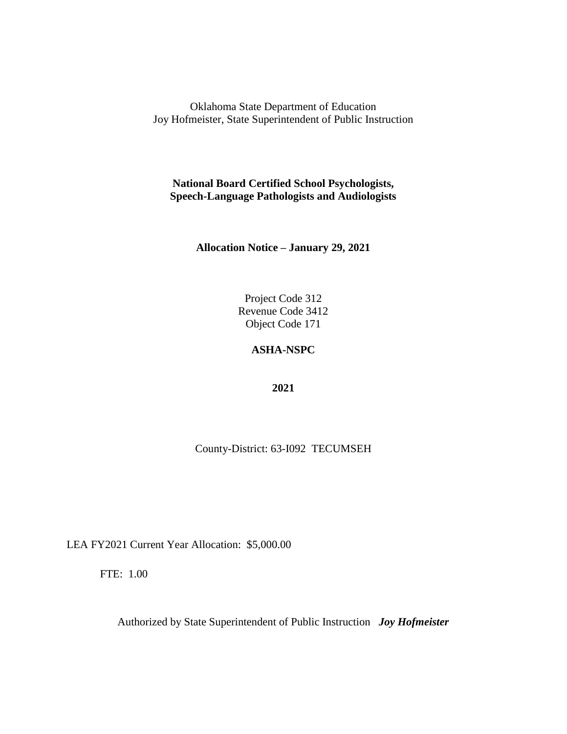**National Board Certified School Psychologists, Speech-Language Pathologists and Audiologists**

**Allocation Notice – January 29, 2021**

Project Code 312 Revenue Code 3412 Object Code 171

### **ASHA-NSPC**

**2021**

County-District: 63-I092 TECUMSEH

LEA FY2021 Current Year Allocation: \$5,000.00

FTE: 1.00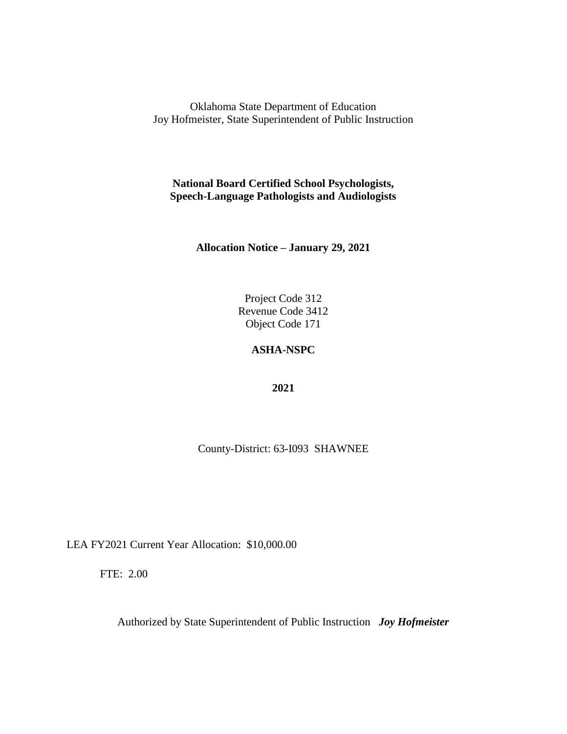**National Board Certified School Psychologists, Speech-Language Pathologists and Audiologists**

**Allocation Notice – January 29, 2021**

Project Code 312 Revenue Code 3412 Object Code 171

### **ASHA-NSPC**

**2021**

County-District: 63-I093 SHAWNEE

LEA FY2021 Current Year Allocation: \$10,000.00

FTE: 2.00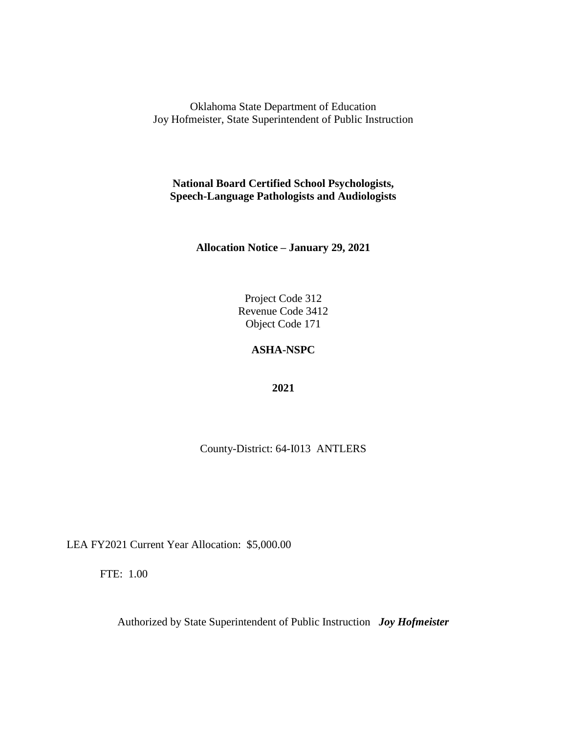**National Board Certified School Psychologists, Speech-Language Pathologists and Audiologists**

**Allocation Notice – January 29, 2021**

Project Code 312 Revenue Code 3412 Object Code 171

### **ASHA-NSPC**

**2021**

County-District: 64-I013 ANTLERS

LEA FY2021 Current Year Allocation: \$5,000.00

FTE: 1.00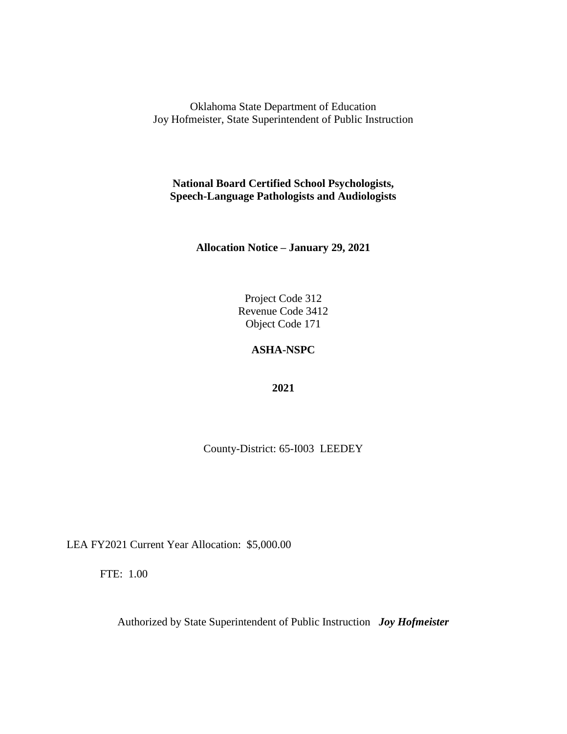**National Board Certified School Psychologists, Speech-Language Pathologists and Audiologists**

**Allocation Notice – January 29, 2021**

Project Code 312 Revenue Code 3412 Object Code 171

### **ASHA-NSPC**

**2021**

County-District: 65-I003 LEEDEY

LEA FY2021 Current Year Allocation: \$5,000.00

FTE: 1.00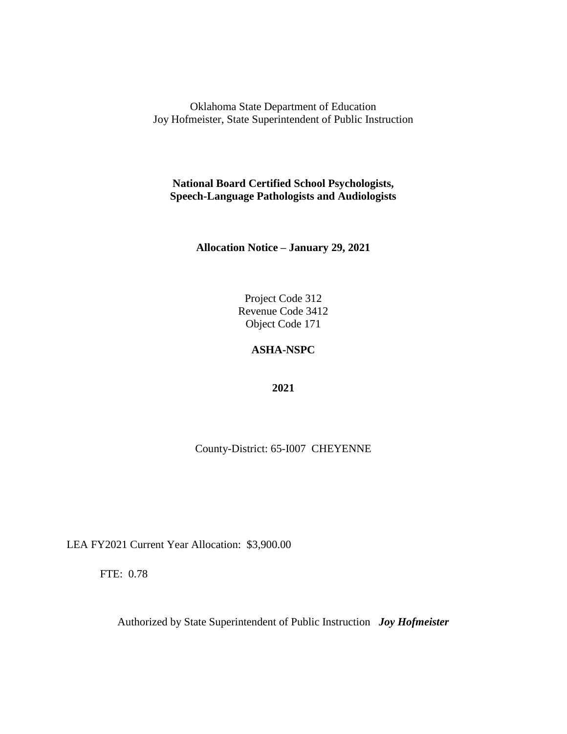**National Board Certified School Psychologists, Speech-Language Pathologists and Audiologists**

**Allocation Notice – January 29, 2021**

Project Code 312 Revenue Code 3412 Object Code 171

# **ASHA-NSPC**

**2021**

County-District: 65-I007 CHEYENNE

LEA FY2021 Current Year Allocation: \$3,900.00

FTE: 0.78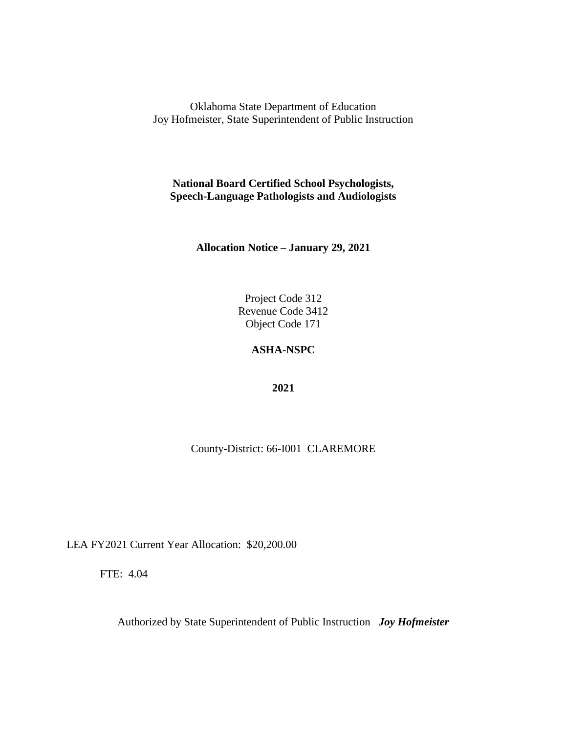**National Board Certified School Psychologists, Speech-Language Pathologists and Audiologists**

**Allocation Notice – January 29, 2021**

Project Code 312 Revenue Code 3412 Object Code 171

# **ASHA-NSPC**

**2021**

County-District: 66-I001 CLAREMORE

LEA FY2021 Current Year Allocation: \$20,200.00

FTE: 4.04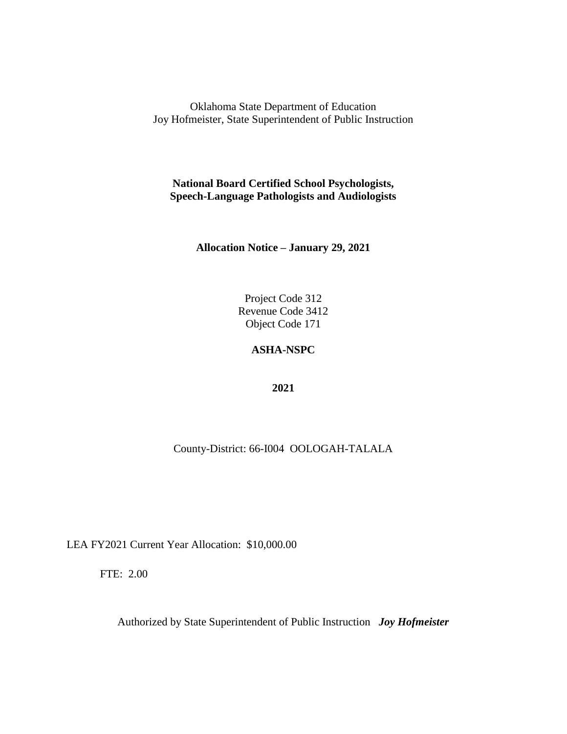**National Board Certified School Psychologists, Speech-Language Pathologists and Audiologists**

**Allocation Notice – January 29, 2021**

Project Code 312 Revenue Code 3412 Object Code 171

# **ASHA-NSPC**

**2021**

County-District: 66-I004 OOLOGAH-TALALA

LEA FY2021 Current Year Allocation: \$10,000.00

FTE: 2.00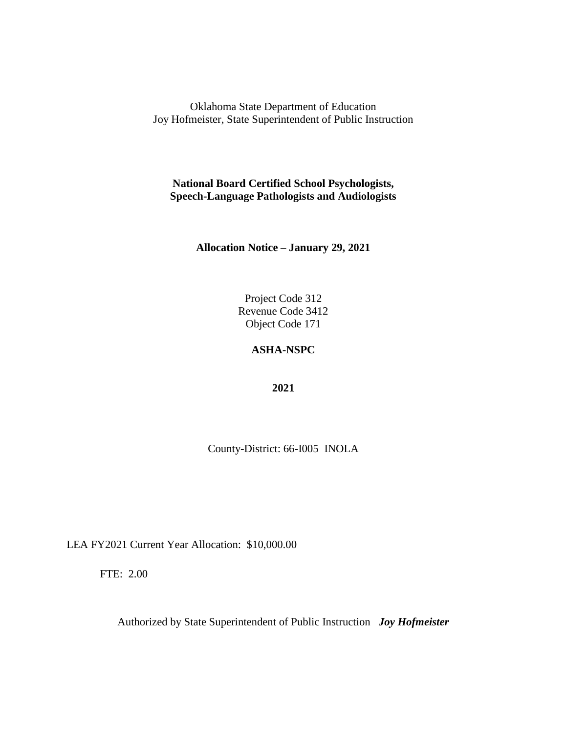**National Board Certified School Psychologists, Speech-Language Pathologists and Audiologists**

**Allocation Notice – January 29, 2021**

Project Code 312 Revenue Code 3412 Object Code 171

### **ASHA-NSPC**

**2021**

County-District: 66-I005 INOLA

LEA FY2021 Current Year Allocation: \$10,000.00

FTE: 2.00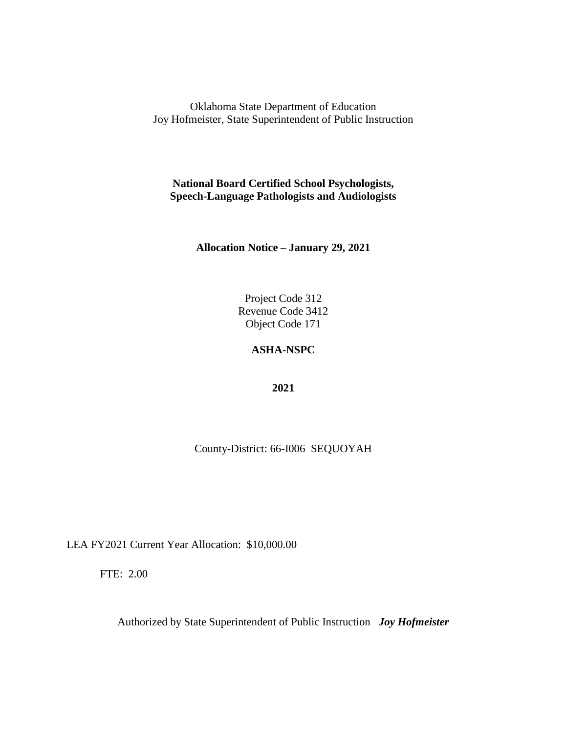**National Board Certified School Psychologists, Speech-Language Pathologists and Audiologists**

**Allocation Notice – January 29, 2021**

Project Code 312 Revenue Code 3412 Object Code 171

# **ASHA-NSPC**

**2021**

County-District: 66-I006 SEQUOYAH

LEA FY2021 Current Year Allocation: \$10,000.00

FTE: 2.00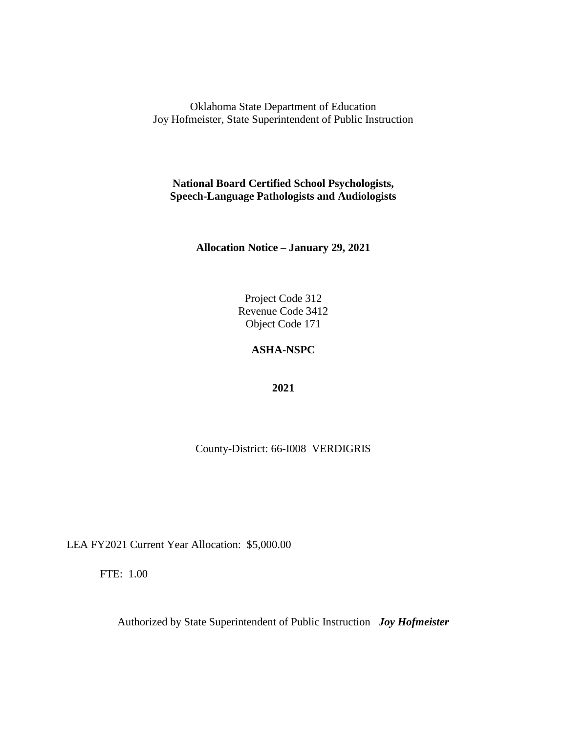**National Board Certified School Psychologists, Speech-Language Pathologists and Audiologists**

**Allocation Notice – January 29, 2021**

Project Code 312 Revenue Code 3412 Object Code 171

### **ASHA-NSPC**

**2021**

County-District: 66-I008 VERDIGRIS

LEA FY2021 Current Year Allocation: \$5,000.00

FTE: 1.00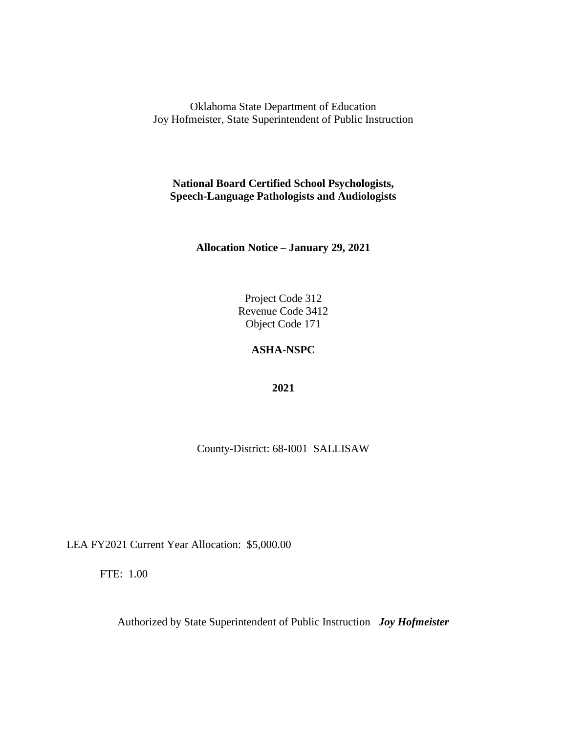**National Board Certified School Psychologists, Speech-Language Pathologists and Audiologists**

**Allocation Notice – January 29, 2021**

Project Code 312 Revenue Code 3412 Object Code 171

### **ASHA-NSPC**

**2021**

County-District: 68-I001 SALLISAW

LEA FY2021 Current Year Allocation: \$5,000.00

FTE: 1.00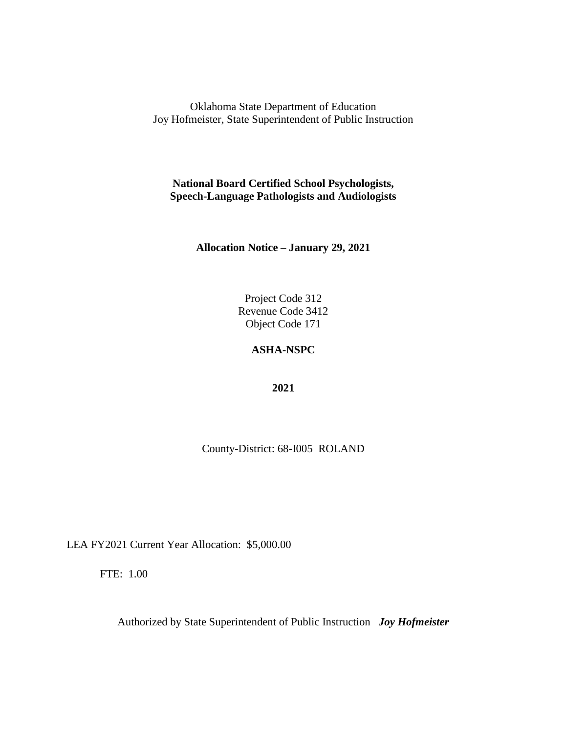**National Board Certified School Psychologists, Speech-Language Pathologists and Audiologists**

**Allocation Notice – January 29, 2021**

Project Code 312 Revenue Code 3412 Object Code 171

# **ASHA-NSPC**

**2021**

County-District: 68-I005 ROLAND

LEA FY2021 Current Year Allocation: \$5,000.00

FTE: 1.00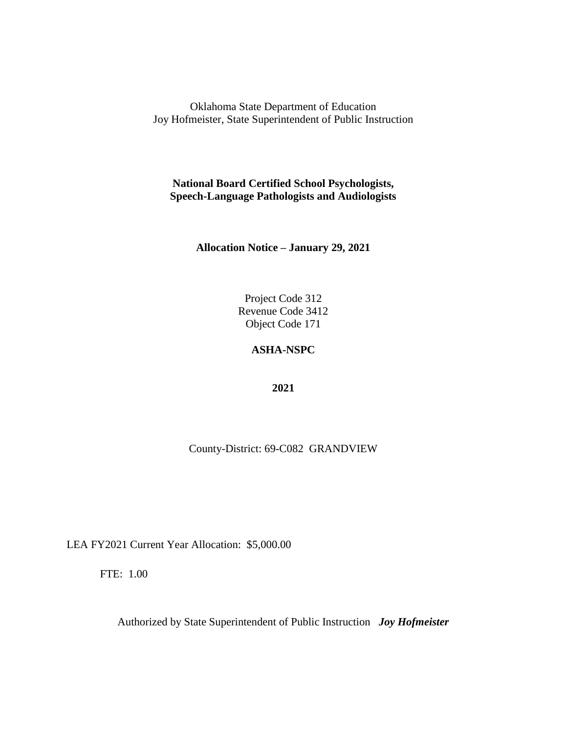**National Board Certified School Psychologists, Speech-Language Pathologists and Audiologists**

**Allocation Notice – January 29, 2021**

Project Code 312 Revenue Code 3412 Object Code 171

# **ASHA-NSPC**

**2021**

County-District: 69-C082 GRANDVIEW

LEA FY2021 Current Year Allocation: \$5,000.00

FTE: 1.00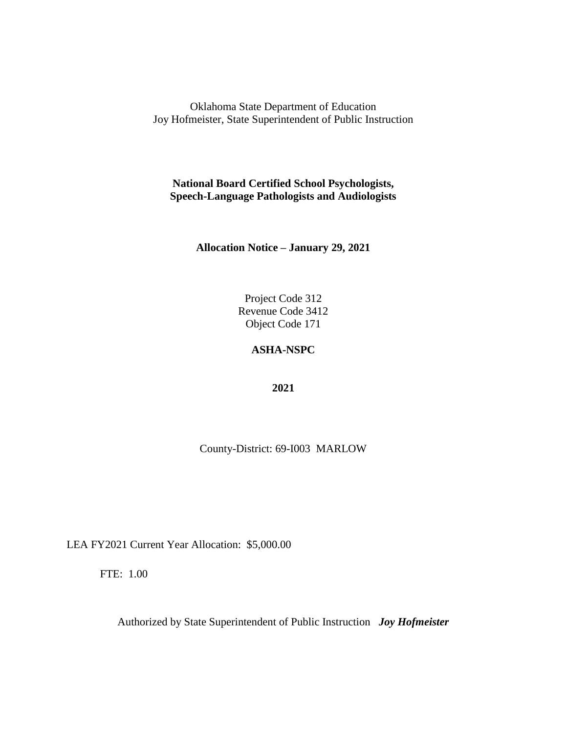**National Board Certified School Psychologists, Speech-Language Pathologists and Audiologists**

**Allocation Notice – January 29, 2021**

Project Code 312 Revenue Code 3412 Object Code 171

### **ASHA-NSPC**

**2021**

County-District: 69-I003 MARLOW

LEA FY2021 Current Year Allocation: \$5,000.00

FTE: 1.00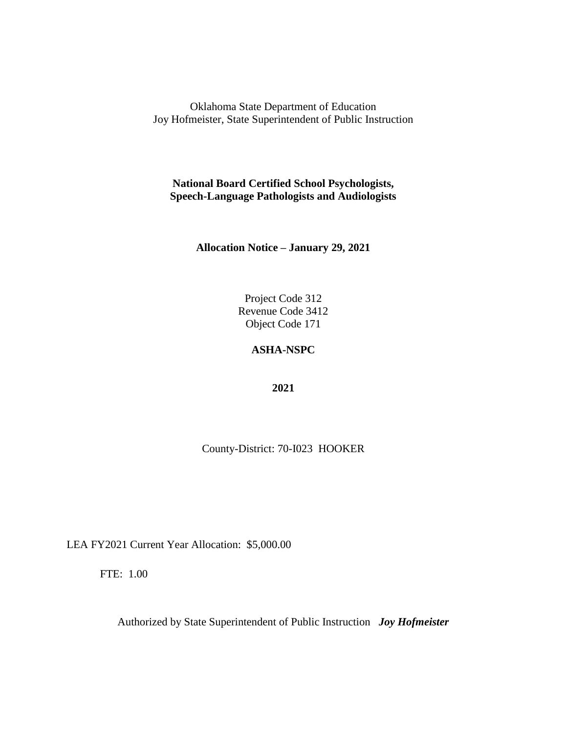**National Board Certified School Psychologists, Speech-Language Pathologists and Audiologists**

**Allocation Notice – January 29, 2021**

Project Code 312 Revenue Code 3412 Object Code 171

### **ASHA-NSPC**

**2021**

County-District: 70-I023 HOOKER

LEA FY2021 Current Year Allocation: \$5,000.00

FTE: 1.00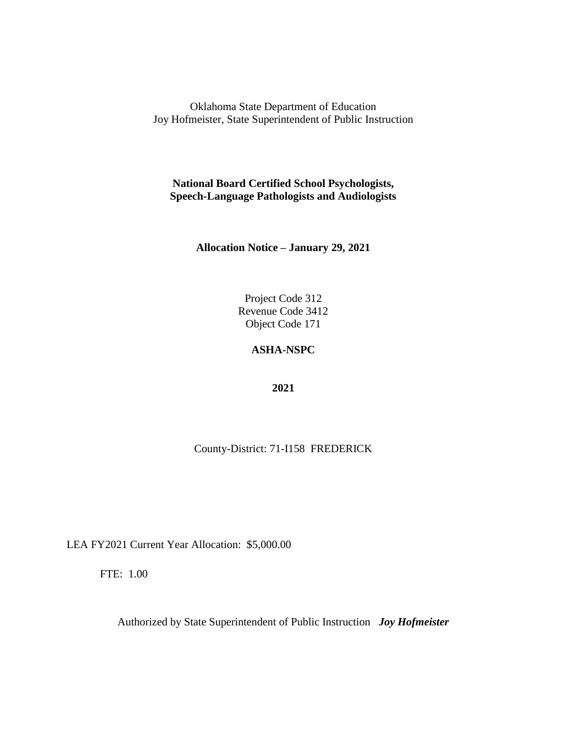**National Board Certified School Psychologists, Speech-Language Pathologists and Audiologists**

**Allocation Notice – January 29, 2021**

Project Code 312 Revenue Code 3412 Object Code 171

# **ASHA-NSPC**

**2021**

County-District: 71-I158 FREDERICK

LEA FY2021 Current Year Allocation: \$5,000.00

FTE: 1.00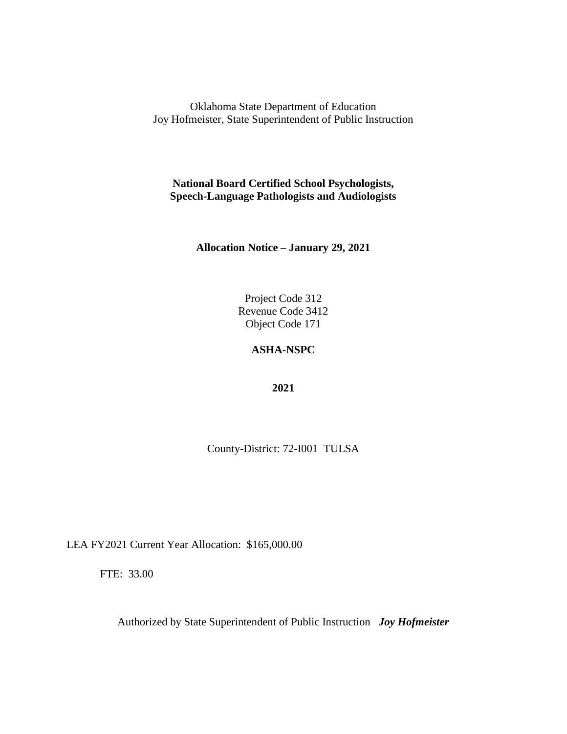**National Board Certified School Psychologists, Speech-Language Pathologists and Audiologists**

**Allocation Notice – January 29, 2021**

Project Code 312 Revenue Code 3412 Object Code 171

### **ASHA-NSPC**

**2021**

County-District: 72-I001 TULSA

LEA FY2021 Current Year Allocation: \$165,000.00

FTE: 33.00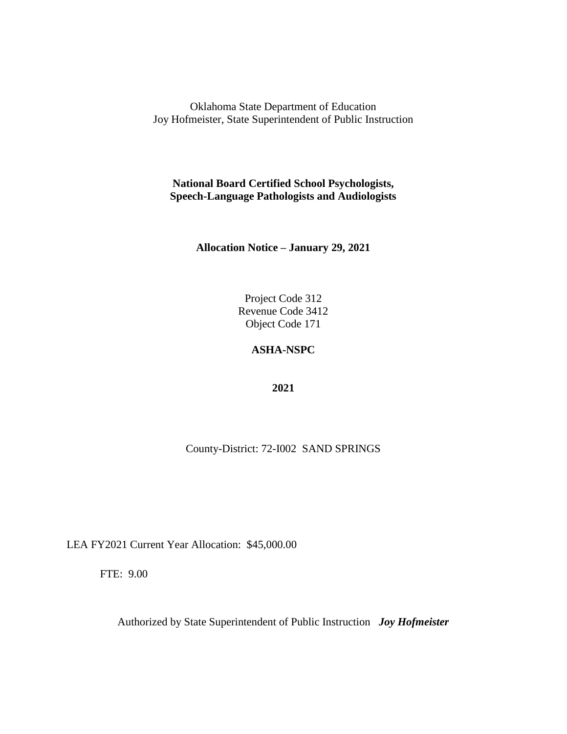**National Board Certified School Psychologists, Speech-Language Pathologists and Audiologists**

**Allocation Notice – January 29, 2021**

Project Code 312 Revenue Code 3412 Object Code 171

# **ASHA-NSPC**

**2021**

County-District: 72-I002 SAND SPRINGS

LEA FY2021 Current Year Allocation: \$45,000.00

FTE: 9.00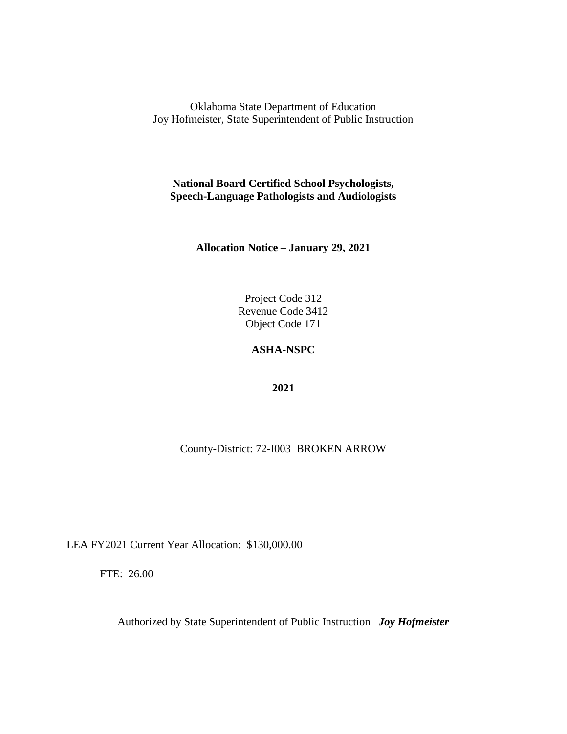**National Board Certified School Psychologists, Speech-Language Pathologists and Audiologists**

**Allocation Notice – January 29, 2021**

Project Code 312 Revenue Code 3412 Object Code 171

# **ASHA-NSPC**

**2021**

County-District: 72-I003 BROKEN ARROW

LEA FY2021 Current Year Allocation: \$130,000.00

FTE: 26.00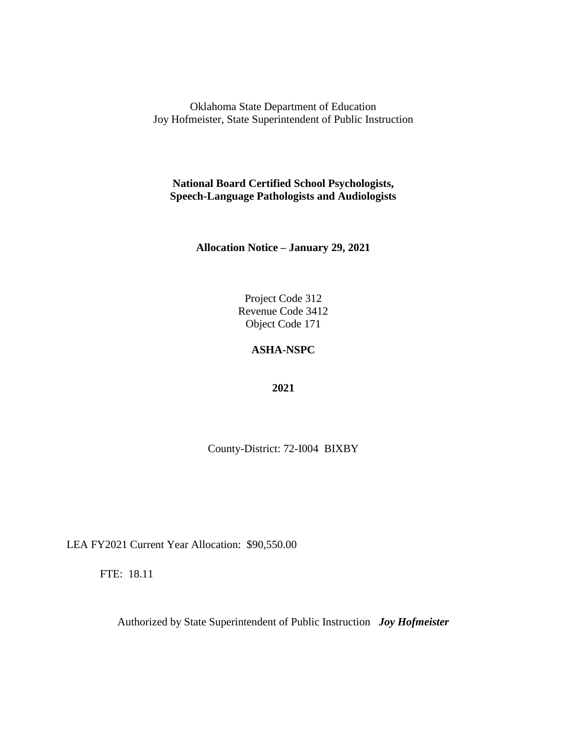**National Board Certified School Psychologists, Speech-Language Pathologists and Audiologists**

**Allocation Notice – January 29, 2021**

Project Code 312 Revenue Code 3412 Object Code 171

### **ASHA-NSPC**

**2021**

County-District: 72-I004 BIXBY

LEA FY2021 Current Year Allocation: \$90,550.00

FTE: 18.11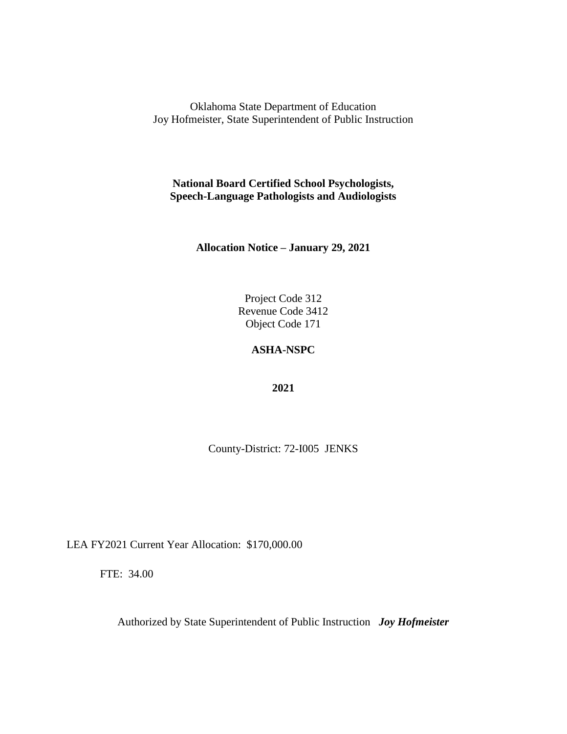**National Board Certified School Psychologists, Speech-Language Pathologists and Audiologists**

**Allocation Notice – January 29, 2021**

Project Code 312 Revenue Code 3412 Object Code 171

### **ASHA-NSPC**

**2021**

County-District: 72-I005 JENKS

LEA FY2021 Current Year Allocation: \$170,000.00

FTE: 34.00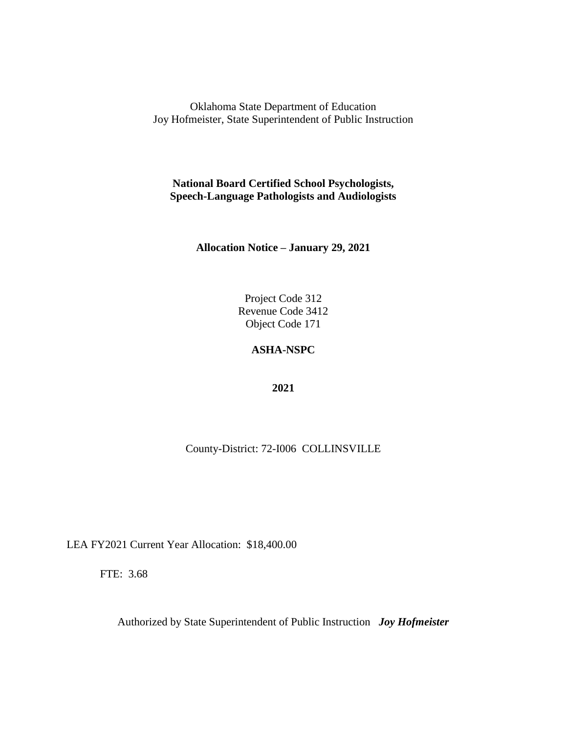**National Board Certified School Psychologists, Speech-Language Pathologists and Audiologists**

**Allocation Notice – January 29, 2021**

Project Code 312 Revenue Code 3412 Object Code 171

# **ASHA-NSPC**

**2021**

County-District: 72-I006 COLLINSVILLE

LEA FY2021 Current Year Allocation: \$18,400.00

FTE: 3.68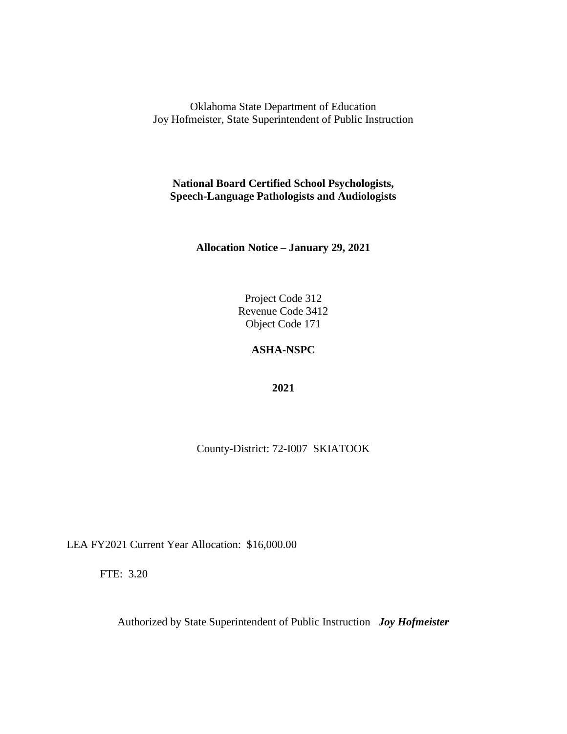**National Board Certified School Psychologists, Speech-Language Pathologists and Audiologists**

**Allocation Notice – January 29, 2021**

Project Code 312 Revenue Code 3412 Object Code 171

# **ASHA-NSPC**

**2021**

County-District: 72-I007 SKIATOOK

LEA FY2021 Current Year Allocation: \$16,000.00

FTE: 3.20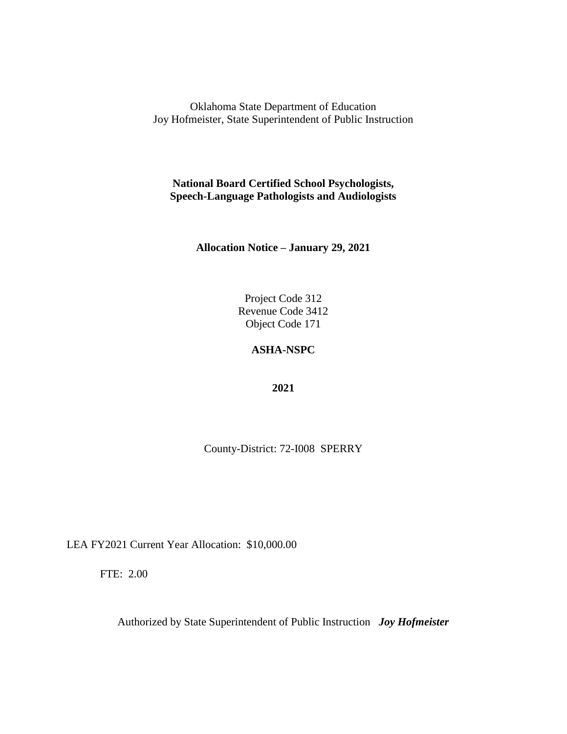**National Board Certified School Psychologists, Speech-Language Pathologists and Audiologists**

**Allocation Notice – January 29, 2021**

Project Code 312 Revenue Code 3412 Object Code 171

### **ASHA-NSPC**

**2021**

County-District: 72-I008 SPERRY

LEA FY2021 Current Year Allocation: \$10,000.00

FTE: 2.00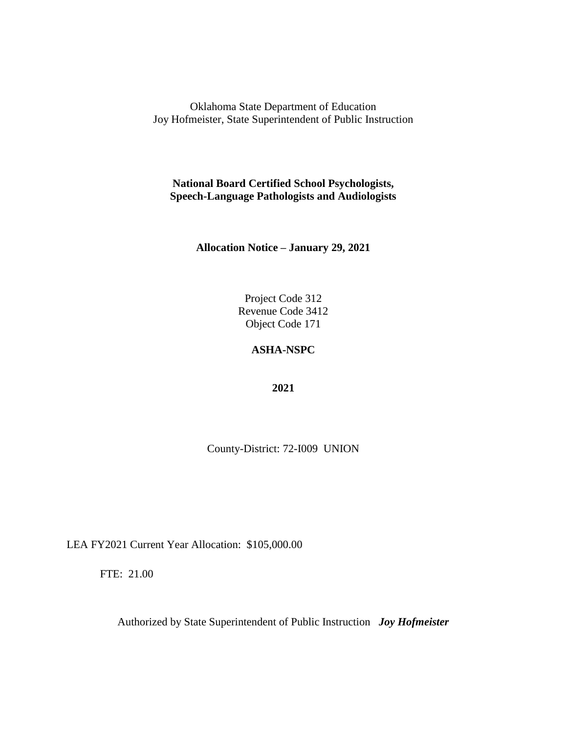**National Board Certified School Psychologists, Speech-Language Pathologists and Audiologists**

**Allocation Notice – January 29, 2021**

Project Code 312 Revenue Code 3412 Object Code 171

### **ASHA-NSPC**

**2021**

County-District: 72-I009 UNION

LEA FY2021 Current Year Allocation: \$105,000.00

FTE: 21.00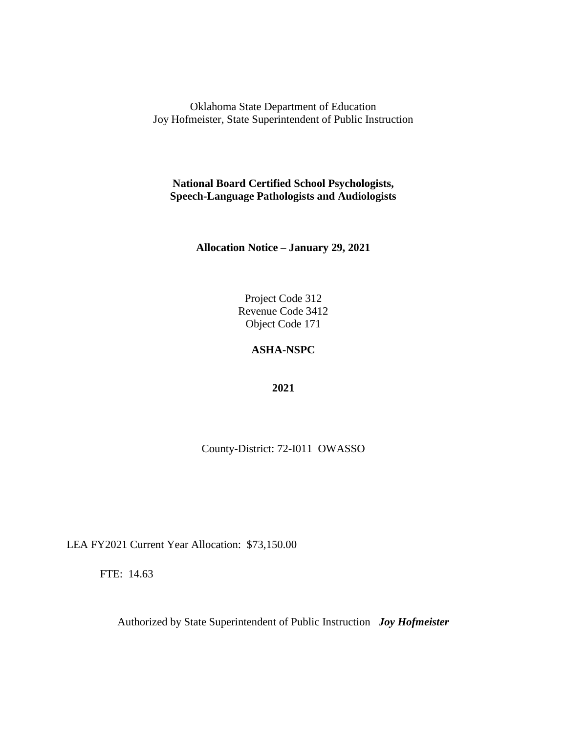**National Board Certified School Psychologists, Speech-Language Pathologists and Audiologists**

**Allocation Notice – January 29, 2021**

Project Code 312 Revenue Code 3412 Object Code 171

### **ASHA-NSPC**

**2021**

County-District: 72-I011 OWASSO

LEA FY2021 Current Year Allocation: \$73,150.00

FTE: 14.63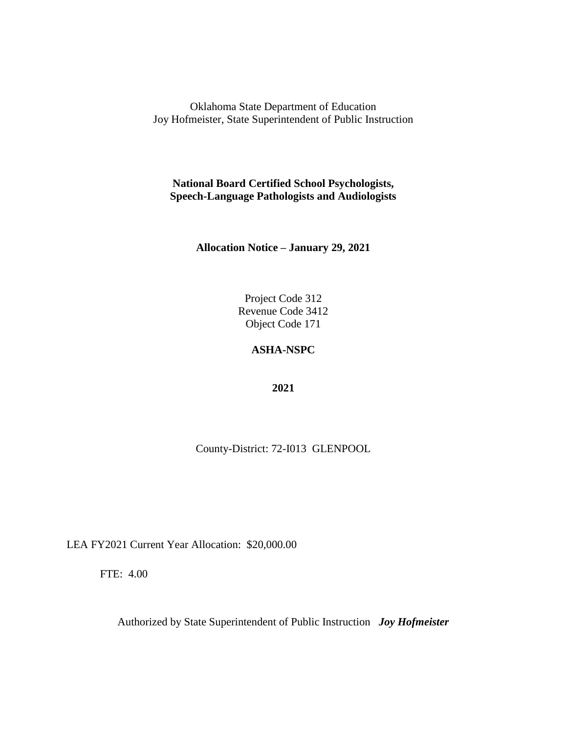**National Board Certified School Psychologists, Speech-Language Pathologists and Audiologists**

**Allocation Notice – January 29, 2021**

Project Code 312 Revenue Code 3412 Object Code 171

# **ASHA-NSPC**

**2021**

County-District: 72-I013 GLENPOOL

LEA FY2021 Current Year Allocation: \$20,000.00

FTE: 4.00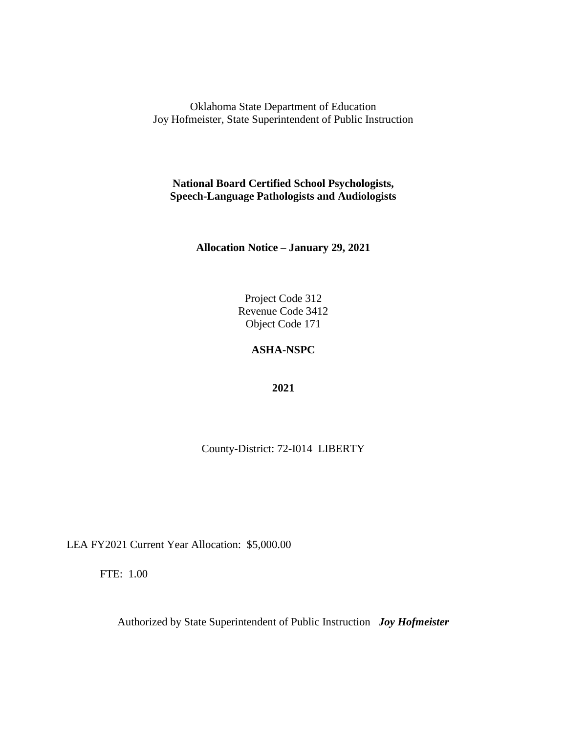**National Board Certified School Psychologists, Speech-Language Pathologists and Audiologists**

**Allocation Notice – January 29, 2021**

Project Code 312 Revenue Code 3412 Object Code 171

### **ASHA-NSPC**

**2021**

County-District: 72-I014 LIBERTY

LEA FY2021 Current Year Allocation: \$5,000.00

FTE: 1.00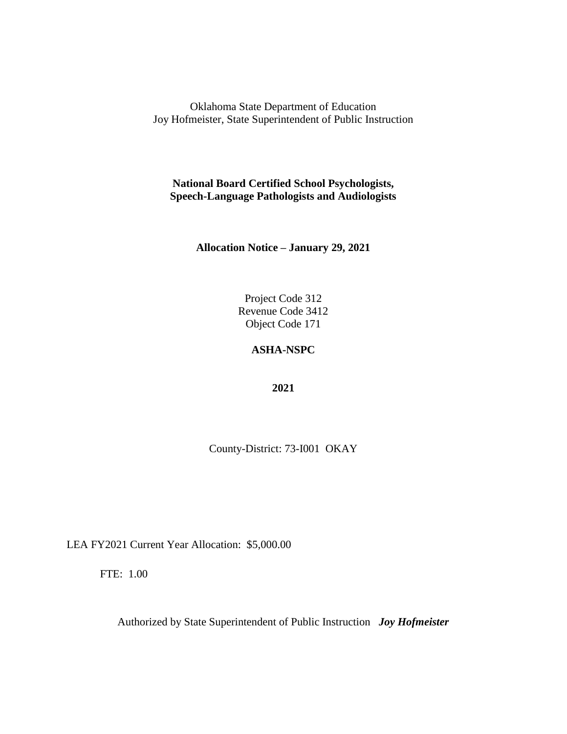**National Board Certified School Psychologists, Speech-Language Pathologists and Audiologists**

**Allocation Notice – January 29, 2021**

Project Code 312 Revenue Code 3412 Object Code 171

### **ASHA-NSPC**

**2021**

County-District: 73-I001 OKAY

LEA FY2021 Current Year Allocation: \$5,000.00

FTE: 1.00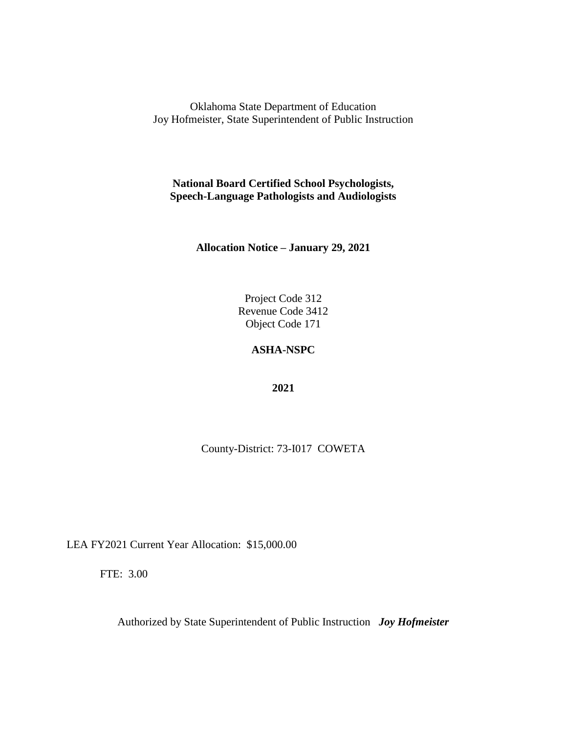**National Board Certified School Psychologists, Speech-Language Pathologists and Audiologists**

**Allocation Notice – January 29, 2021**

Project Code 312 Revenue Code 3412 Object Code 171

# **ASHA-NSPC**

**2021**

County-District: 73-I017 COWETA

LEA FY2021 Current Year Allocation: \$15,000.00

FTE: 3.00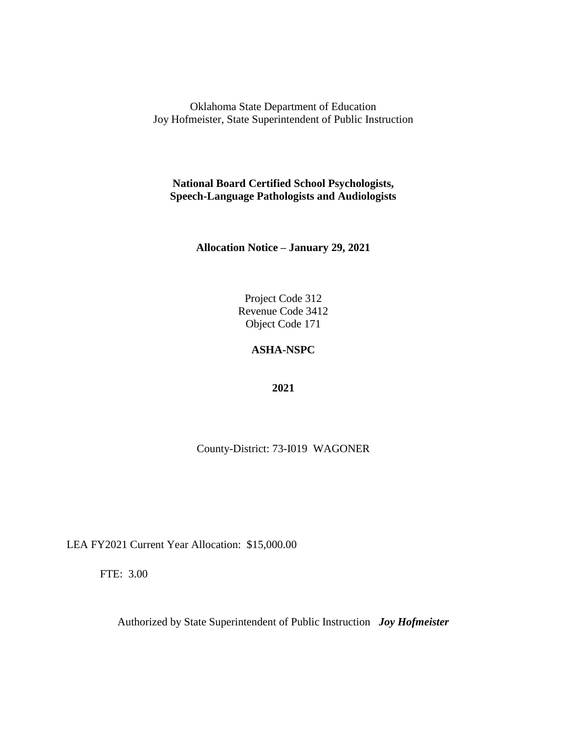**National Board Certified School Psychologists, Speech-Language Pathologists and Audiologists**

**Allocation Notice – January 29, 2021**

Project Code 312 Revenue Code 3412 Object Code 171

# **ASHA-NSPC**

**2021**

County-District: 73-I019 WAGONER

LEA FY2021 Current Year Allocation: \$15,000.00

FTE: 3.00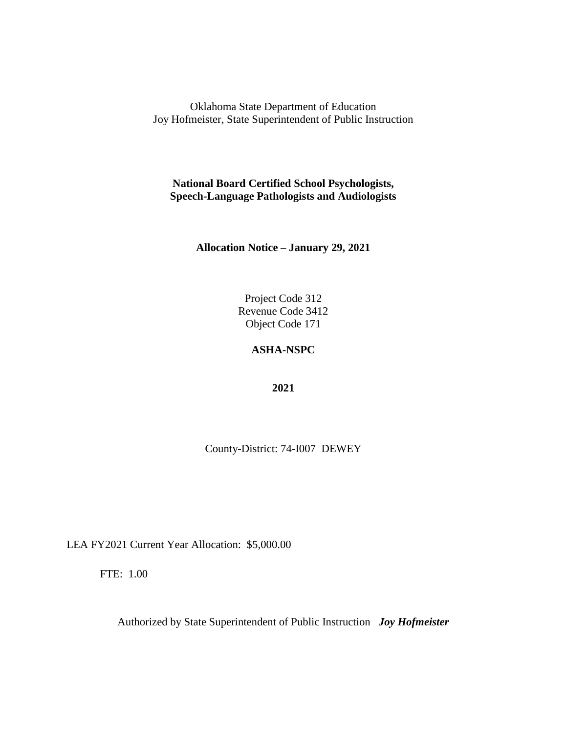**National Board Certified School Psychologists, Speech-Language Pathologists and Audiologists**

**Allocation Notice – January 29, 2021**

Project Code 312 Revenue Code 3412 Object Code 171

### **ASHA-NSPC**

**2021**

County-District: 74-I007 DEWEY

LEA FY2021 Current Year Allocation: \$5,000.00

FTE: 1.00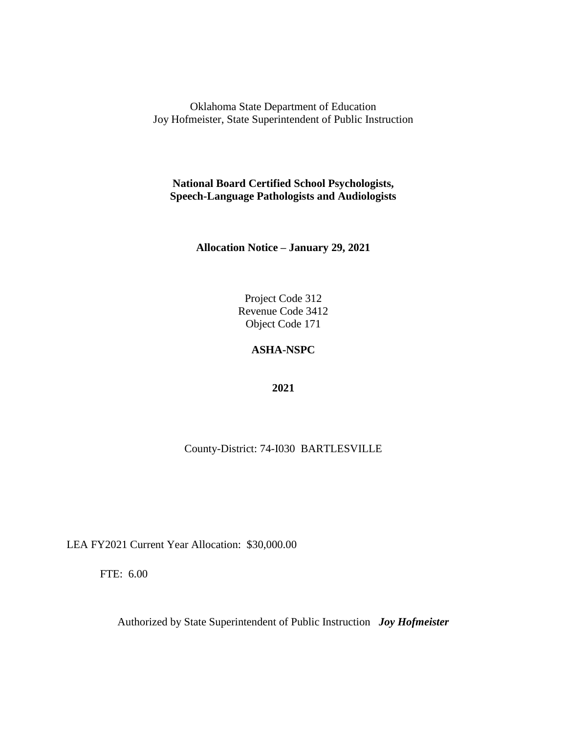**National Board Certified School Psychologists, Speech-Language Pathologists and Audiologists**

**Allocation Notice – January 29, 2021**

Project Code 312 Revenue Code 3412 Object Code 171

# **ASHA-NSPC**

**2021**

County-District: 74-I030 BARTLESVILLE

LEA FY2021 Current Year Allocation: \$30,000.00

FTE: 6.00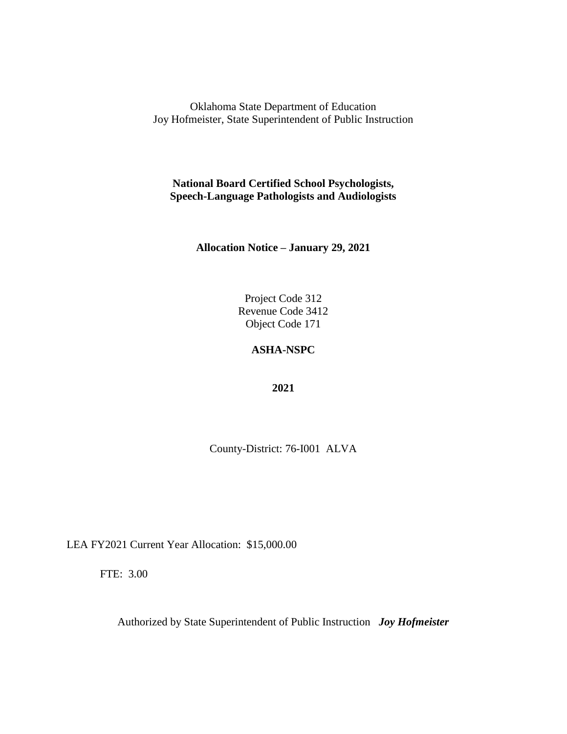**National Board Certified School Psychologists, Speech-Language Pathologists and Audiologists**

**Allocation Notice – January 29, 2021**

Project Code 312 Revenue Code 3412 Object Code 171

# **ASHA-NSPC**

**2021**

County-District: 76-I001 ALVA

LEA FY2021 Current Year Allocation: \$15,000.00

FTE: 3.00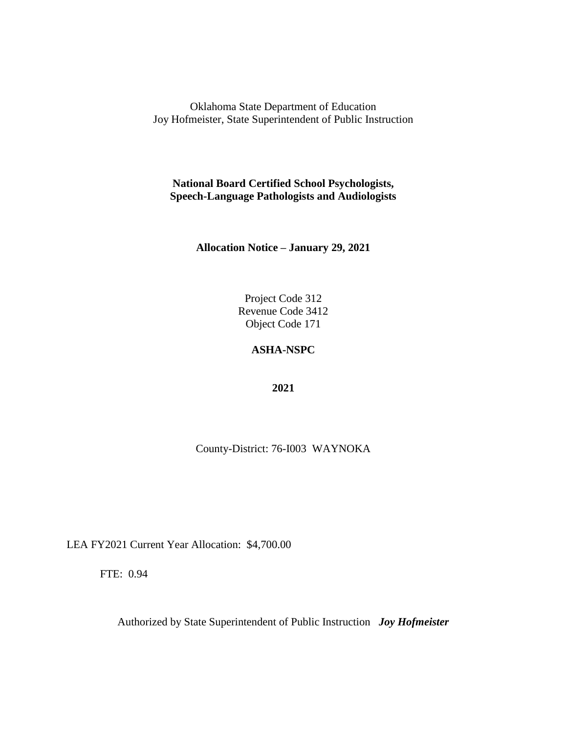Oklahoma State Department of Education Joy Hofmeister, State Superintendent of Public Instruction

**National Board Certified School Psychologists, Speech-Language Pathologists and Audiologists**

**Allocation Notice – January 29, 2021**

Project Code 312 Revenue Code 3412 Object Code 171

## **ASHA-NSPC**

**2021**

County-District: 76-I003 WAYNOKA

LEA FY2021 Current Year Allocation: \$4,700.00

FTE: 0.94

Authorized by State Superintendent of Public Instruction *Joy Hofmeister*